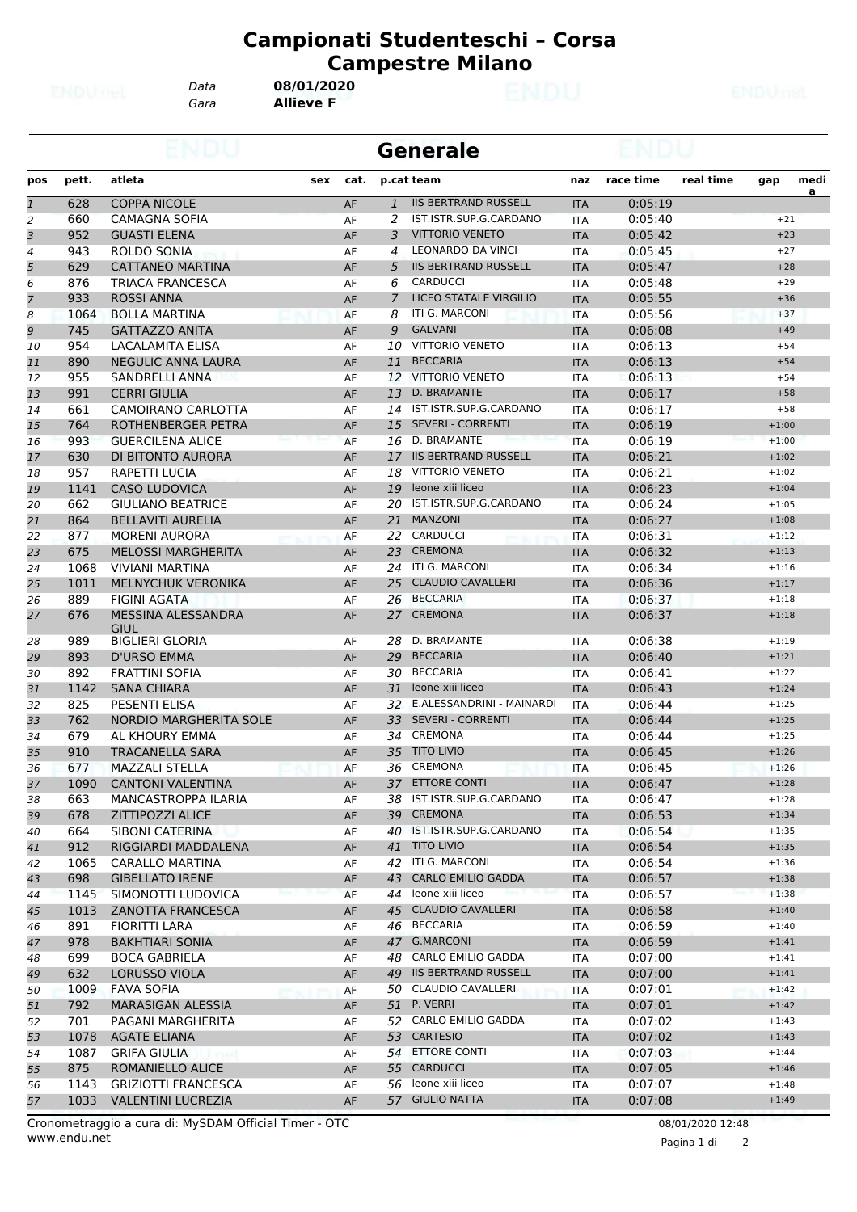*Data* **08/01/2020**

*Gara* **Allieve F**

|                |       |                               |             |              | Generale                      |            |           |           |         |          |
|----------------|-------|-------------------------------|-------------|--------------|-------------------------------|------------|-----------|-----------|---------|----------|
| pos            | pett. | atleta                        | cat.<br>sex |              | p.cat team                    | naz        | race time | real time | gap     | medi     |
| $\overline{1}$ | 628   | <b>COPPA NICOLE</b>           | AF          | $\mathbf{1}$ | <b>IIS BERTRAND RUSSELL</b>   | <b>ITA</b> | 0:05:19   |           |         | <u>a</u> |
| $\overline{c}$ | 660   | CAMAGNA SOFIA                 | AF          | 2            | IST.ISTR.SUP.G.CARDANO        | <b>ITA</b> | 0:05:40   |           | $+21$   |          |
| 3              | 952   | <b>GUASTI ELENA</b>           | AF          | 3            | <b>VITTORIO VENETO</b>        | <b>ITA</b> | 0:05:42   |           | $+23$   |          |
| 4              | 943   | ROLDO SONIA                   | AF          | 4            | <b>LEONARDO DA VINCI</b>      | <b>ITA</b> | 0:05:45   |           | $+27$   |          |
| 5              | 629   | <b>CATTANEO MARTINA</b>       | AF          | 5            | <b>IIS BERTRAND RUSSELL</b>   | <b>ITA</b> | 0:05:47   |           | $+28$   |          |
| 6              | 876   | <b>TRIACA FRANCESCA</b>       | AF          | 6            | <b>CARDUCCI</b>               | <b>ITA</b> | 0:05:48   |           | $+29$   |          |
| 7              | 933   | <b>ROSSI ANNA</b>             | AF          | 7            | <b>LICEO STATALE VIRGILIO</b> | <b>ITA</b> | 0:05:55   |           | $+36$   |          |
| 8              | 1064  | <b>BOLLA MARTINA</b>          | AF          | 8            | ITI G. MARCONI                | <b>ITA</b> | 0:05:56   |           | $+37$   |          |
| 9              | 745   | <b>GATTAZZO ANITA</b>         | AF          | 9            | <b>GALVANI</b>                | <b>ITA</b> | 0:06:08   |           | $+49$   |          |
| 10             | 954   | LACALAMITA ELISA              | AF          | 10           | <b>VITTORIO VENETO</b>        | <b>ITA</b> | 0:06:13   |           | $+54$   |          |
| 11             | 890   | <b>NEGULIC ANNA LAURA</b>     | AF          | 11           | <b>BECCARIA</b>               | <b>ITA</b> | 0:06:13   |           | $+54$   |          |
| 12             | 955   | SANDRELLI ANNA                | AF          | 12           | <b>VITTORIO VENETO</b>        | <b>ITA</b> | 0:06:13   |           | $+54$   |          |
| 13             | 991   | <b>CERRI GIULIA</b>           | AF          | 13           | D. BRAMANTE                   | <b>ITA</b> | 0:06:17   |           | $+58$   |          |
| 14             | 661   | CAMOIRANO CARLOTTA            | AF          | 14           | IST.ISTR.SUP.G.CARDANO        | <b>ITA</b> | 0:06:17   |           | $+58$   |          |
| 15             | 764   | ROTHENBERGER PETRA            | AF          | 15           | <b>SEVERI - CORRENTI</b>      | <b>ITA</b> | 0:06:19   |           | $+1:00$ |          |
| 16             | 993   | <b>GUERCILENA ALICE</b>       | AF          | 16           | D. BRAMANTE                   | <b>ITA</b> | 0:06:19   |           | $+1:00$ |          |
| 17             | 630   | DI BITONTO AURORA             | AF          | 17           | <b>IIS BERTRAND RUSSELL</b>   | <b>ITA</b> | 0:06:21   |           | $+1:02$ |          |
|                |       |                               |             |              | <b>VITTORIO VENETO</b>        |            |           |           |         |          |
| 18             | 957   | RAPETTI LUCIA                 | AF          | 18           |                               | <b>ITA</b> | 0:06:21   |           | $+1:02$ |          |
| 19             | 1141  | <b>CASO LUDOVICA</b>          | AF          | 19           | leone xiii liceo              | <b>ITA</b> | 0:06:23   |           | $+1:04$ |          |
| 20             | 662   | <b>GIULIANO BEATRICE</b>      | AF          | 20           | IST.ISTR.SUP.G.CARDANO        | <b>ITA</b> | 0:06:24   |           | $+1:05$ |          |
| 21             | 864   | <b>BELLAVITI AURELIA</b>      | AF          | 21           | <b>MANZONI</b>                | <b>ITA</b> | 0:06:27   |           | $+1:08$ |          |
| 22             | 877   | <b>MORENI AURORA</b>          | AF          |              | 22 CARDUCCI                   | ITA        | 0:06:31   |           | $+1:12$ |          |
| 23             | 675   | <b>MELOSSI MARGHERITA</b>     | AF          | 23           | <b>CREMONA</b>                | <b>ITA</b> | 0:06:32   |           | $+1:13$ |          |
| 24             | 1068  | <b>VIVIANI MARTINA</b>        | AF          | 24           | ITI G. MARCONI                | <b>ITA</b> | 0:06:34   |           | $+1:16$ |          |
| 25             | 1011  | <b>MELNYCHUK VERONIKA</b>     | AF          | 25           | <b>CLAUDIO CAVALLERI</b>      | <b>ITA</b> | 0:06:36   |           | $+1:17$ |          |
| 26             | 889   | <b>FIGINI AGATA</b>           | AF          | 26           | <b>BECCARIA</b>               | <b>ITA</b> | 0:06:37   |           | $+1:18$ |          |
| 27             | 676   | MESSINA ALESSANDRA<br>GIUL    | AF          | 27           | <b>CREMONA</b>                | <b>ITA</b> | 0:06:37   |           | $+1:18$ |          |
| 28             | 989   | <b>BIGLIERI GLORIA</b>        | AF          | 28           | D. BRAMANTE                   | <b>ITA</b> | 0:06:38   |           | $+1:19$ |          |
| 29             | 893   | D'URSO EMMA                   | AF          | 29           | <b>BECCARIA</b>               | <b>ITA</b> | 0:06:40   |           | $+1:21$ |          |
| 30             | 892   | <b>FRATTINI SOFIA</b>         | AF          | 30           | <b>BECCARIA</b>               | <b>ITA</b> | 0:06:41   |           | $+1:22$ |          |
| 31             | 1142  | <b>SANA CHIARA</b>            | AF          | 31           | leone xiii liceo              | <b>ITA</b> | 0:06:43   |           | $+1:24$ |          |
| 32             | 825   | <b>PESENTI ELISA</b>          | AF          | 32           | E.ALESSANDRINI - MAINARDI     | <b>ITA</b> | 0:06:44   |           | $+1:25$ |          |
| 33             | 762   | <b>NORDIO MARGHERITA SOLE</b> | AF          | 33           | <b>SEVERI - CORRENTI</b>      | <b>ITA</b> | 0:06:44   |           | $+1:25$ |          |
| 34             | 679   | AL KHOURY EMMA                | AF          | 34           | <b>CREMONA</b>                | <b>ITA</b> | 0:06:44   |           | $+1:25$ |          |
| 35             | 910   | <b>TRACANELLA SARA</b>        | AF          | 35           | <b>TITO LIVIO</b>             | <b>ITA</b> | 0:06:45   |           | $+1:26$ |          |
| 36             | 677   | <b>MAZZALI STELLA</b>         | AF          | 36           | CREMONA                       | <b>ITA</b> | 0:06:45   |           | $+1:26$ |          |
| 37             | 1090  | <b>CANTONI VALENTINA</b>      | AF          | 37           | <b>ETTORE CONTI</b>           | <b>ITA</b> | 0:06:47   |           | $+1:28$ |          |
| 38             | 663   | MANCASTROPPA ILARIA           | AF          |              | 38 IST.ISTR.SUP.G.CARDANO     | ITA        | 0:06:47   |           | $+1:28$ |          |
| 39             | 678   | <b>ZITTIPOZZI ALICE</b>       | AF          |              | 39 CREMONA                    | <b>ITA</b> | 0:06:53   |           | $+1:34$ |          |
| 40             | 664   | SIBONI CATERINA               | AF          | 40           | IST.ISTR.SUP.G.CARDANO        | ITA        | 0:06:54   |           | $+1:35$ |          |
|                | 912   |                               |             |              | 41 TITO LIVIO                 |            |           |           | $+1:35$ |          |
| 41             |       | RIGGIARDI MADDALENA           | AF          |              | ITI G. MARCONI                | <b>ITA</b> | 0:06:54   |           |         |          |
| 42             | 1065  | CARALLO MARTINA               | AF          | 42           |                               | ITA        | 0:06:54   |           | $+1:36$ |          |
| 43             | 698   | <b>GIBELLATO IRENE</b>        | AF          | 43           | <b>CARLO EMILIO GADDA</b>     | <b>ITA</b> | 0:06:57   |           | $+1:38$ |          |
| 44             | 1145  | SIMONOTTI LUDOVICA            | AF          |              | 44 leone xiii liceo           | ITA        | 0:06:57   |           | $+1:38$ |          |
| 45             | 1013  | ZANOTTA FRANCESCA             | AF          | 45           | <b>CLAUDIO CAVALLERI</b>      | <b>ITA</b> | 0:06:58   |           | $+1:40$ |          |
| 46             | 891   | <b>FIORITTI LARA</b>          | AF          | 46           | <b>BECCARIA</b>               | ITA        | 0:06:59   |           | $+1:40$ |          |
| 47             | 978   | <b>BAKHTIARI SONIA</b>        | AF          |              | 47 G.MARCONI                  | <b>ITA</b> | 0:06:59   |           | $+1:41$ |          |
| 48             | 699   | <b>BOCA GABRIELA</b>          | AF          | 48           | CARLO EMILIO GADDA            | ITA        | 0:07:00   |           | $+1:41$ |          |
| 49             | 632   | LORUSSO VIOLA                 | AF          |              | 49 IIS BERTRAND RUSSELL       | <b>ITA</b> | 0:07:00   |           | $+1:41$ |          |
| 50             | 1009  | <b>FAVA SOFIA</b>             | AF          |              | 50 CLAUDIO CAVALLERI          | ITA        | 0:07:01   |           | $+1:42$ |          |
| 51             | 792   | MARASIGAN ALESSIA             | AF          |              | <b>51 P. VERRI</b>            | <b>ITA</b> | 0:07:01   |           | $+1:42$ |          |
| 52             | 701   | PAGANI MARGHERITA             | AF          |              | 52 CARLO EMILIO GADDA         | ITA        | 0:07:02   |           | $+1:43$ |          |
| 53             | 1078  | <b>AGATE ELIANA</b>           | AF          |              | 53 CARTESIO                   | <b>ITA</b> | 0:07:02   |           | $+1:43$ |          |
| 54             | 1087  | <b>GRIFA GIULIA</b><br>scit   | AF          | 54           | <b>ETTORE CONTI</b>           | ITA        | 0:07:03   |           | $+1:44$ |          |
| 55             | 875   | ROMANIELLO ALICE              | AF          | 55           | <b>CARDUCCI</b>               | <b>ITA</b> | 0:07:05   |           | $+1:46$ |          |
| 56             | 1143  | <b>GRIZIOTTI FRANCESCA</b>    | AF          | 56           | leone xiii liceo              | ITA        | 0:07:07   |           | $+1:48$ |          |
| 57             | 1033  | <b>VALENTINI LUCREZIA</b>     | AF          |              | 57 GIULIO NATTA               | <b>ITA</b> | 0:07:08   |           | $+1:49$ |          |
|                |       |                               |             |              |                               |            |           |           |         |          |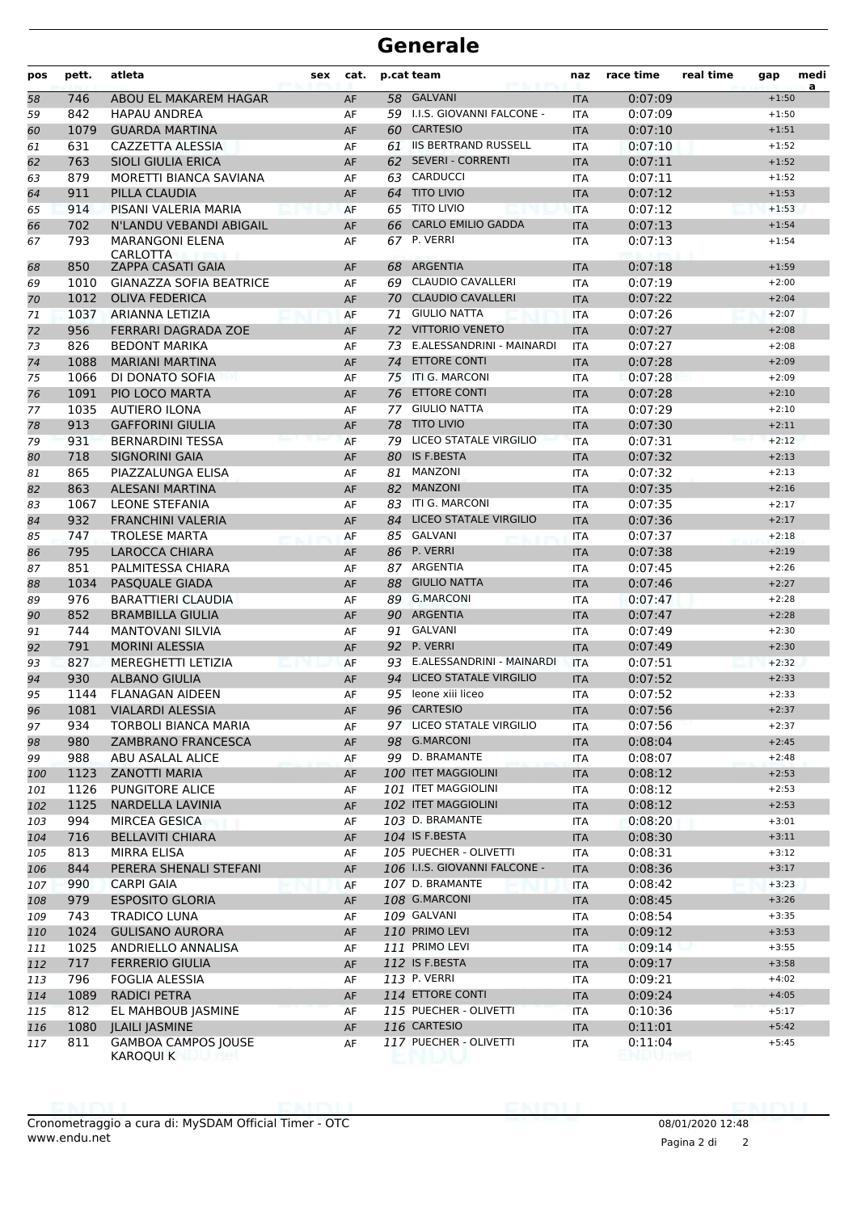| pos | pett. | atleta                                  | sex | cat. |    | p.cat team                    | naz        | race time | real time | gap     | medi |
|-----|-------|-----------------------------------------|-----|------|----|-------------------------------|------------|-----------|-----------|---------|------|
| 58  | 746   | ABOU EL MAKAREM HAGAR                   |     | AF   |    | 58 GALVANI                    | <b>ITA</b> | 0:07:09   |           | $+1:50$ | a    |
| 59  | 842   | <b>HAPAU ANDREA</b>                     |     | AF   |    | 59 I.I.S. GIOVANNI FALCONE -  | <b>ITA</b> | 0:07:09   |           | $+1:50$ |      |
| 60  | 1079  | <b>GUARDA MARTINA</b>                   |     | AF   |    | 60 CARTESIO                   | <b>ITA</b> | 0:07:10   |           | $+1:51$ |      |
| 61  | 631   | <b>CAZZETTA ALESSIA</b>                 |     | AF   |    | 61 IIS BERTRAND RUSSELL       | <b>ITA</b> | 0:07:10   |           | $+1:52$ |      |
| 62  | 763   | <b>SIOLI GIULIA ERICA</b>               |     | AF   | 62 | <b>SEVERI - CORRENTI</b>      | <b>ITA</b> | 0:07:11   |           | $+1:52$ |      |
| 63  | 879   | MORETTI BIANCA SAVIANA                  |     | AF   | 63 | <b>CARDUCCI</b>               | <b>ITA</b> | 0:07:11   |           | $+1:52$ |      |
| 64  | 911   | PILLA CLAUDIA                           |     | AF   | 64 | <b>TITO LIVIO</b>             | <b>ITA</b> | 0:07:12   |           | $+1:53$ |      |
| 65  | 914   | PISANI VALERIA MARIA                    |     | AF   |    | 65 TITO LIVIO                 | <b>ITA</b> | 0:07:12   |           | $+1:53$ |      |
| 66  | 702   | N'LANDU VEBANDI ABIGAIL                 |     | AF   | 66 | <b>CARLO EMILIO GADDA</b>     | <b>ITA</b> | 0:07:13   |           | $+1:54$ |      |
| 67  | 793   | <b>MARANGONI ELENA</b><br>CARLOTTA      |     | AF   |    | 67 P. VERRI                   | <b>ITA</b> | 0:07:13   |           | $+1:54$ |      |
| 68  | 850   | ZAPPA CASATI GAIA                       |     | AF   |    | 68 ARGENTIA                   | <b>ITA</b> | 0:07:18   |           | $+1:59$ |      |
| 69  | 1010  | <b>GIANAZZA SOFIA BEATRICE</b>          |     | AF   | 69 | <b>CLAUDIO CAVALLERI</b>      | <b>ITA</b> | 0:07:19   |           | $+2:00$ |      |
| 70  | 1012  | <b>OLIVA FEDERICA</b>                   |     | AF   | 70 | <b>CLAUDIO CAVALLERI</b>      | <b>ITA</b> | 0:07:22   |           | $+2:04$ |      |
| 71  | 1037  | ARIANNA LETIZIA                         |     | AF   | 71 | <b>GIULIO NATTA</b>           | <b>ITA</b> | 0:07:26   |           | $+2:07$ |      |
| 72  | 956   | FERRARI DAGRADA ZOE                     |     | AF   | 72 | <b>VITTORIO VENETO</b>        | <b>ITA</b> | 0:07:27   |           | $+2:08$ |      |
| 73  | 826   | <b>BEDONT MARIKA</b>                    |     | AF   | 73 | E.ALESSANDRINI - MAINARDI     | <b>ITA</b> | 0:07:27   |           | $+2:08$ |      |
| 74  | 1088  | <b>MARIANI MARTINA</b>                  |     | AF   | 74 | <b>ETTORE CONTI</b>           | <b>ITA</b> | 0:07:28   |           | $+2:09$ |      |
| 75  | 1066  | DI DONATO SOFIA                         |     | AF   | 75 | ITI G. MARCONI                | ITA        | 0:07:28   |           | $+2:09$ |      |
| 76  | 1091  | PIO LOCO MARTA                          |     | AF   | 76 | <b>ETTORE CONTI</b>           | <b>ITA</b> | 0:07:28   |           | $+2:10$ |      |
| 77  | 1035  | <b>AUTIERO ILONA</b>                    |     | AF   | 77 | <b>GIULIO NATTA</b>           | <b>ITA</b> | 0:07:29   |           | $+2:10$ |      |
| 78  | 913   | <b>GAFFORINI GIULIA</b>                 |     | AF   | 78 | <b>TITO LIVIO</b>             | <b>ITA</b> | 0:07:30   |           | $+2:11$ |      |
| 79  | 931   | <b>BERNARDINI TESSA</b>                 |     | AF   |    | 79 LICEO STATALE VIRGILIO     | <b>ITA</b> | 0:07:31   |           | $+2:12$ |      |
| 80  | 718   | <b>SIGNORINI GAIA</b>                   |     | AF   |    | 80 IS F.BESTA                 | <b>ITA</b> | 0:07:32   |           | $+2:13$ |      |
| 81  | 865   | PIAZZALUNGA ELISA                       |     | AF   | 81 | <b>MANZONI</b>                | <b>ITA</b> | 0:07:32   |           | $+2:13$ |      |
| 82  | 863   | <b>ALESANI MARTINA</b>                  |     | AF   | 82 | <b>MANZONI</b>                | <b>ITA</b> | 0:07:35   |           | $+2:16$ |      |
| 83  | 1067  | <b>LEONE STEFANIA</b>                   |     | AF   | 83 | ITI G. MARCONI                | <b>ITA</b> | 0:07:35   |           | $+2:17$ |      |
| 84  | 932   | <b>FRANCHINI VALERIA</b>                |     | AF   | 84 | LICEO STATALE VIRGILIO        | <b>ITA</b> | 0:07:36   |           | $+2:17$ |      |
| 85  | 747   | <b>TROLESE MARTA</b>                    |     | AF   |    | 85 GALVANI                    | <b>ITA</b> | 0:07:37   |           | $+2:18$ |      |
| 86  | 795   | <b>LAROCCA CHIARA</b>                   |     | AF   |    | 86 P. VERRI                   | <b>ITA</b> | 0:07:38   |           | $+2:19$ |      |
| 87  | 851   | PALMITESSA CHIARA                       |     | AF   |    | 87 ARGENTIA                   | ITA        | 0:07:45   |           | $+2:26$ |      |
| 88  | 1034  | PASQUALE GIADA                          |     | AF   | 88 | <b>GIULIO NATTA</b>           | <b>ITA</b> | 0:07:46   |           | $+2:27$ |      |
| 89  | 976   | <b>BARATTIERI CLAUDIA</b>               |     | AF   | 89 | <b>G.MARCONI</b>              | <b>ITA</b> | 0:07:47   |           | $+2:28$ |      |
| 90  | 852   | <b>BRAMBILLA GIULIA</b>                 |     | AF   |    | 90 ARGENTIA                   | <b>ITA</b> | 0:07:47   |           | $+2:28$ |      |
| 91  | 744   | <b>MANTOVANI SILVIA</b>                 |     | AF   |    | 91 GALVANI                    | <b>ITA</b> | 0:07:49   |           | $+2:30$ |      |
| 92  | 791   | <b>MORINI ALESSIA</b>                   |     | AF   |    | 92 P. VERRI                   | <b>ITA</b> | 0:07:49   |           | $+2:30$ |      |
| 93  | 827   | MEREGHETTI LETIZIA                      |     | AF   |    | 93 E.ALESSANDRINI - MAINARDI  | <b>ITA</b> | 0:07:51   |           | $+2:32$ |      |
| 94  | 930   | <b>ALBANO GIULIA</b>                    |     | AF   | 94 | LICEO STATALE VIRGILIO        | <b>ITA</b> | 0:07:52   |           | $+2:33$ |      |
| 95  | 1144  | <b>FLANAGAN AIDEEN</b>                  |     | AF   |    | 95 leone xiii liceo           | <b>ITA</b> | 0:07:52   |           | $+2:33$ |      |
| 96  | 1081  | VIALARDI ALESSIA                        |     | AF   |    | 96 CARTESIO                   | <b>ITA</b> | 0:07:56   |           | $+2:37$ |      |
| 97  | 934   | TORBOLI BIANCA MARIA                    |     | AF   |    | 97 LICEO STATALE VIRGILIO     | <b>ITA</b> | 0:07:56   |           | $+2:37$ |      |
| 98  | 980   | ZAMBRANO FRANCESCA                      |     | AF   |    | 98 G.MARCONI                  | <b>ITA</b> | 0:08:04   |           | $+2:45$ |      |
| 99  | 988   | ABU ASALAL ALICE                        |     | AF   |    | 99 D. BRAMANTE                | ITA        | 0:08:07   |           | $+2:48$ |      |
| 100 | 1123  | <b>ZANOTTI MARIA</b>                    |     | AF   |    | 100 ITET MAGGIOLINI           | <b>ITA</b> | 0:08:12   |           | $+2:53$ |      |
| 101 | 1126  | PUNGITORE ALICE                         |     | AF   |    | 101 ITET MAGGIOLINI           | ITA        | 0:08:12   |           | $+2:53$ |      |
| 102 | 1125  | NARDELLA LAVINIA                        |     | AF   |    | 102 ITET MAGGIOLINI           | <b>ITA</b> | 0:08:12   |           | $+2:53$ |      |
| 103 | 994   | MIRCEA GESICA                           |     | AF   |    | 103 D. BRAMANTE               | <b>ITA</b> | 0:08:20   |           | $+3:01$ |      |
| 104 | 716   | <b>BELLAVITI CHIARA</b>                 |     | AF   |    | 104 IS F.BESTA                | <b>ITA</b> | 0:08:30   |           | $+3:11$ |      |
| 105 | 813   | MIRRA ELISA                             |     | AF   |    | 105 PUECHER - OLIVETTI        | ITA        | 0:08:31   |           | $+3:12$ |      |
| 106 | 844   | PERERA SHENALI STEFANI                  |     | AF   |    | 106 I.I.S. GIOVANNI FALCONE - | <b>ITA</b> | 0:08:36   |           | $+3:17$ |      |
| 107 | 990   | <b>CARPI GAIA</b>                       |     | AF   |    | 107 D. BRAMANTE               | ITA        | 0:08:42   |           | $+3:23$ |      |
| 108 | 979   | <b>ESPOSITO GLORIA</b>                  |     | AF   |    | 108 G.MARCONI                 | <b>ITA</b> | 0:08:45   |           | $+3:26$ |      |
| 109 | 743   | <b>TRADICO LUNA</b>                     |     | AF   |    | 109 GALVANI                   | ITA        | 0:08:54   |           | $+3:35$ |      |
| 110 | 1024  | <b>GULISANO AURORA</b>                  |     | AF   |    | 110 PRIMO LEVI                | <b>ITA</b> | 0:09:12   |           | $+3:53$ |      |
| 111 | 1025  | ANDRIELLO ANNALISA                      |     | AF   |    | 111 PRIMO LEVI                | ITA        | 0:09:14   |           | $+3:55$ |      |
| 112 | 717   | <b>FERRERIO GIULIA</b>                  |     | AF   |    | 112 IS F.BESTA                | <b>ITA</b> | 0:09:17   |           | $+3:58$ |      |
| 113 | 796   | FOGLIA ALESSIA                          |     | AF   |    | 113 P. VERRI                  | ITA        | 0:09:21   |           | $+4:02$ |      |
| 114 | 1089  | <b>RADICI PETRA</b>                     |     | AF   |    | 114 ETTORE CONTI              | <b>ITA</b> | 0:09:24   |           | $+4:05$ |      |
| 115 | 812   | EL MAHBOUB JASMINE                      |     | AF   |    | 115 PUECHER - OLIVETTI        | <b>ITA</b> | 0:10:36   |           | $+5:17$ |      |
| 116 | 1080  | <b>JLAILI JASMINE</b>                   |     | AF   |    | 116 CARTESIO                  | <b>ITA</b> | 0:11:01   |           | $+5:42$ |      |
| 117 | 811   | <b>GAMBOA CAMPOS JOUSE</b><br>KAROQUI K |     | AF   |    | 117 PUECHER - OLIVETTI        | ITA        | 0:11:04   |           | $+5:45$ |      |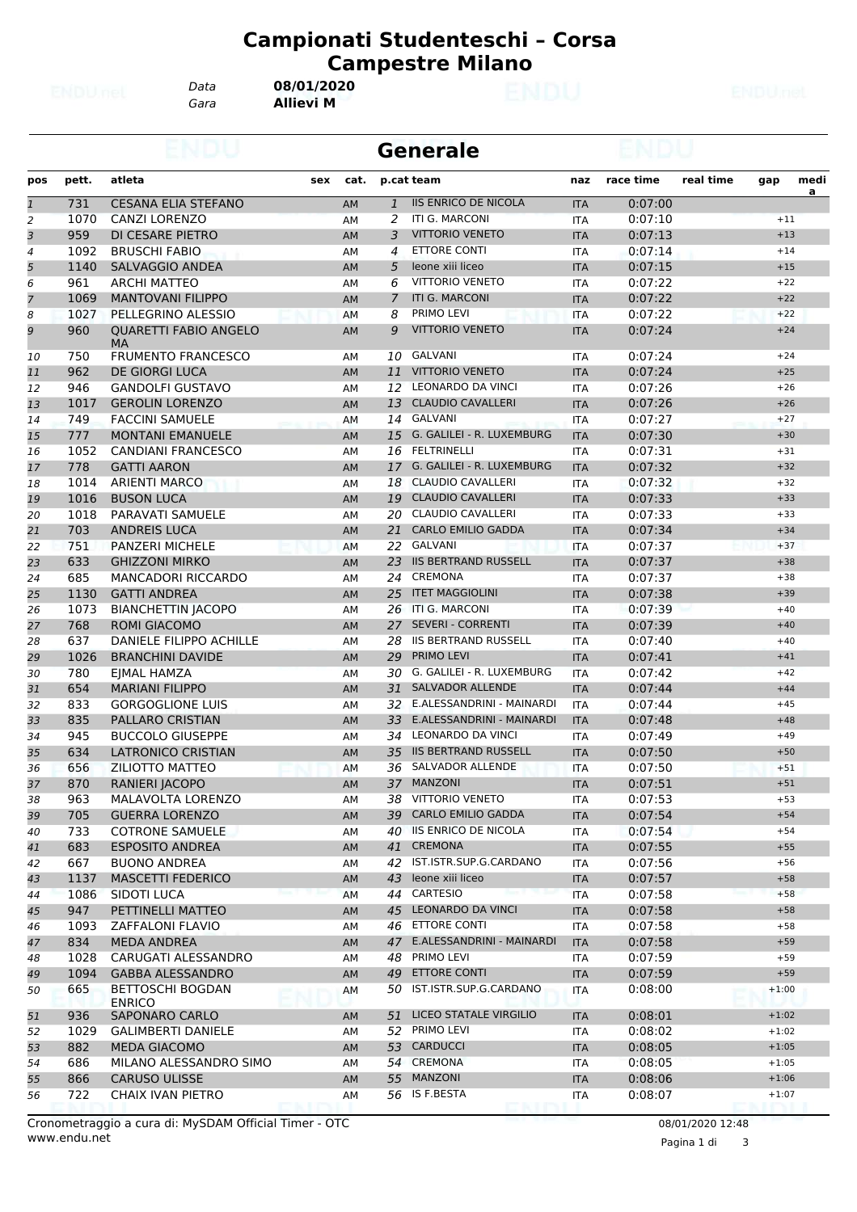*Data* **08/01/2020**

*Gara* **Allievi M**

|                |       |                                          |     |           |                | <b>Generale</b>              |            |           |           |         |           |
|----------------|-------|------------------------------------------|-----|-----------|----------------|------------------------------|------------|-----------|-----------|---------|-----------|
| pos            | pett. | atleta                                   | sex | cat.      |                | p.cat team                   | naz        | race time | real time | gap     | medi      |
| $\overline{1}$ | 731   | <b>CESANA ELIA STEFANO</b>               |     | AM        | $\mathbf{1}$   | <b>IIS ENRICO DE NICOLA</b>  | <b>ITA</b> | 0:07:00   |           |         | <u>a </u> |
| $\overline{a}$ | 1070  | <b>CANZI LORENZO</b>                     |     | AM        | 2              | ITI G. MARCONI               | <b>ITA</b> | 0:07:10   |           | $+11$   |           |
| 3              | 959   | DI CESARE PIETRO                         |     | AM        | 3              | <b>VITTORIO VENETO</b>       | <b>ITA</b> | 0:07:13   |           | $+13$   |           |
| 4              | 1092  | <b>BRUSCHI FABIO</b>                     |     | AM        | 4              | <b>ETTORE CONTI</b>          | <b>ITA</b> | 0:07:14   |           | $+14$   |           |
| 5              | 1140  | SALVAGGIO ANDEA                          |     | AM        | 5              | leone xiii liceo             | <b>ITA</b> | 0:07:15   |           | $+15$   |           |
| 6              | 961   | <b>ARCHI MATTEO</b>                      |     | AM        | 6              | <b>VITTORIO VENETO</b>       | <b>ITA</b> | 0:07:22   |           | $+22$   |           |
| $\overline{7}$ | 1069  | <b>MANTOVANI FILIPPO</b>                 |     | AM        | $\overline{7}$ | <b>ITI G. MARCONI</b>        | <b>ITA</b> | 0:07:22   |           | $+22$   |           |
| 8              | 1027  | PELLEGRINO ALESSIO                       |     | AM        | 8              | PRIMO LEVI                   | <b>ITA</b> | 0:07:22   |           | $+22$   |           |
| 9              | 960   | <b>QUARETTI FABIO ANGELO</b><br>MA       |     | AM        | 9              | <b>VITTORIO VENETO</b>       | <b>ITA</b> | 0:07:24   |           | $+24$   |           |
| 10             | 750   | <b>FRUMENTO FRANCESCO</b>                |     | ΑМ        | 10             | <b>GALVANI</b>               | <b>ITA</b> | 0:07:24   |           | $+24$   |           |
| 11             | 962   | <b>DE GIORGI LUCA</b>                    |     | AM        |                | 11 VITTORIO VENETO           | <b>ITA</b> | 0:07:24   |           | $+25$   |           |
| 12             | 946   | <b>GANDOLFI GUSTAVO</b>                  |     | AM        |                | 12 LEONARDO DA VINCI         | <b>ITA</b> | 0:07:26   |           | $+26$   |           |
| 13             | 1017  | <b>GEROLIN LORENZO</b>                   |     | AM        | 13             | <b>CLAUDIO CAVALLERI</b>     | <b>ITA</b> | 0:07:26   |           | $+26$   |           |
| 14             | 749   | <b>FACCINI SAMUELE</b>                   |     | AM        |                | 14 GALVANI                   | ITA        | 0:07:27   |           | $+27$   |           |
| 15             | 777   | <b>MONTANI EMANUELE</b>                  |     | AM        | 15             | G. GALILEI - R. LUXEMBURG    | <b>ITA</b> | 0:07:30   |           | $+30$   |           |
| 16             | 1052  | <b>CANDIANI FRANCESCO</b>                |     | AM        | 16             | FELTRINELLI                  | ITA        | 0:07:31   |           | $+31$   |           |
| 17             | 778   | <b>GATTI AARON</b>                       |     | AM        |                | 17 G. GALILEI - R. LUXEMBURG | <b>ITA</b> | 0:07:32   |           | $+32$   |           |
| 18             | 1014  | <b>ARIENTI MARCO</b>                     |     | AM        |                | 18 CLAUDIO CAVALLERI         | <b>ITA</b> | 0:07:32   |           | $+32$   |           |
| 19             | 1016  | <b>BUSON LUCA</b>                        |     | AM        | 19             | <b>CLAUDIO CAVALLERI</b>     | <b>ITA</b> | 0:07:33   |           | $+33$   |           |
| 20             | 1018  | PARAVATI SAMUELE                         |     | AM        |                | 20 CLAUDIO CAVALLERI         | <b>ITA</b> | 0:07:33   |           | $+33$   |           |
| 21             | 703   | <b>ANDREIS LUCA</b>                      |     | AM        |                | 21 CARLO EMILIO GADDA        | <b>ITA</b> | 0:07:34   |           | $+34$   |           |
| 22             | 751   | <b>PANZERI MICHELE</b>                   |     | AM        |                | 22 GALVANI                   | <b>ITA</b> | 0:07:37   |           | $+37$   |           |
| 23             | 633   | <b>GHIZZONI MIRKO</b>                    |     | AM        | 23             | <b>IIS BERTRAND RUSSELL</b>  | <b>ITA</b> | 0:07:37   |           | $+38$   |           |
| 24             | 685   | <b>MANCADORI RICCARDO</b>                |     | AM        |                | 24 CREMONA                   | <b>ITA</b> | 0:07:37   |           | $+38$   |           |
| 25             | 1130  | <b>GATTI ANDREA</b>                      |     | AM        | 25             | <b>ITET MAGGIOLINI</b>       | <b>ITA</b> | 0:07:38   |           | $+39$   |           |
| 26             | 1073  | <b>BIANCHETTIN JACOPO</b>                |     | AM        |                | 26 ITI G. MARCONI            | <b>ITA</b> | 0:07:39   |           | $+40$   |           |
| 27             | 768   | <b>ROMI GIACOMO</b>                      |     | AM        | 27             | <b>SEVERI - CORRENTI</b>     | <b>ITA</b> | 0:07:39   |           | $+40$   |           |
| 28             | 637   | DANIELE FILIPPO ACHILLE                  |     | AM        | 28             | <b>IIS BERTRAND RUSSELL</b>  | <b>ITA</b> | 0:07:40   |           | $+40$   |           |
| 29             | 1026  | <b>BRANCHINI DAVIDE</b>                  |     | AM        | 29             | PRIMO LEVI                   | <b>ITA</b> | 0:07:41   |           | $+41$   |           |
| 30             | 780   | <b>EJMAL HAMZA</b>                       |     | AM        | 30             | G. GALILEI - R. LUXEMBURG    | <b>ITA</b> | 0:07:42   |           | $+42$   |           |
| 31             | 654   | <b>MARIANI FILIPPO</b>                   |     | AM        | 31             | <b>SALVADOR ALLENDE</b>      | <b>ITA</b> | 0:07:44   |           | $+44$   |           |
| 32             | 833   | <b>GORGOGLIONE LUIS</b>                  |     | AM        |                | 32 E.ALESSANDRINI - MAINARDI | <b>ITA</b> | 0:07:44   |           | $+45$   |           |
| 33             | 835   | <b>PALLARO CRISTIAN</b>                  |     | <b>AM</b> | 33             | E.ALESSANDRINI - MAINARDI    | <b>ITA</b> | 0:07:48   |           | $+48$   |           |
| 34             | 945   | <b>BUCCOLO GIUSEPPE</b>                  |     | AM        | 34             | LEONARDO DA VINCI            | ITA        | 0:07:49   |           | $+49$   |           |
| 35             | 634   | <b>LATRONICO CRISTIAN</b>                |     | AM        | 35             | <b>IIS BERTRAND RUSSELL</b>  | <b>ITA</b> | 0:07:50   |           | $+50$   |           |
| 36             | 656   | ZILIOTTO MATTEO                          |     | AM        |                | 36 SALVADOR ALLENDE          | <b>ITA</b> | 0:07:50   |           | $+51$   |           |
| 37             | 870   | RANIERI JACOPO                           |     | AM        |                | 37 MANZONI                   | <b>ITA</b> | 0:07:51   |           | $+51$   |           |
|                | 963   | <b>MALAVOLTA LORENZO</b>                 |     |           |                | 38 VITTORIO VENETO           |            | 0:07:53   |           | $+53$   |           |
| 38             |       |                                          |     | AM        |                | 39 CARLO EMILIO GADDA        | ITA        |           |           | $+54$   |           |
| 39             | 705   | <b>GUERRA LORENZO</b>                    |     | AM        |                | <b>IIS ENRICO DE NICOLA</b>  | <b>ITA</b> | 0:07:54   |           |         |           |
| 40             | 733   | <b>COTRONE SAMUELE</b>                   |     | AM        | 40             | 41 CREMONA                   | ITA        | 0:07:54   |           | $+54$   |           |
| 41             | 683   | <b>ESPOSITO ANDREA</b>                   |     | AM        |                | 42 IST.ISTR.SUP.G.CARDANO    | <b>ITA</b> | 0:07:55   |           | $+55$   |           |
| 42             | 667   | <b>BUONO ANDREA</b>                      |     | AM        |                |                              | ITA        | 0:07:56   |           | $+56$   |           |
| 43             | 1137  | <b>MASCETTI FEDERICO</b>                 |     | AM        | 43             | leone xiii liceo             | <b>ITA</b> | 0:07:57   |           | $+58$   |           |
| 44             | 1086  | <b>SIDOTI LUCA</b>                       |     | AM        |                | 44 CARTESIO                  | <b>ITA</b> | 0:07:58   |           | $+58$   |           |
| 45             | 947   | PETTINELLI MATTEO                        |     | AM        | 45             | <b>LEONARDO DA VINCI</b>     | <b>ITA</b> | 0:07:58   |           | $+58$   |           |
| 46             | 1093  | ZAFFALONI FLAVIO                         |     | AM        | 46             | <b>ETTORE CONTI</b>          | <b>ITA</b> | 0:07:58   |           | $+58$   |           |
| 47             | 834   | <b>MEDA ANDREA</b>                       |     | AM        |                | 47 E.ALESSANDRINI - MAINARDI | <b>ITA</b> | 0:07:58   |           | $+59$   |           |
| 48             | 1028  | CARUGATI ALESSANDRO                      |     | AM        | 48             | PRIMO LEVI                   | ITA        | 0:07:59   |           | $+59$   |           |
| 49             | 1094  | <b>GABBA ALESSANDRO</b>                  |     | AM        | 49             | <b>ETTORE CONTI</b>          | <b>ITA</b> | 0:07:59   |           | $+59$   |           |
| 50             | 665   | <b>BETTOSCHI BOGDAN</b><br><b>ENRICO</b> |     | AМ        |                | 50 IST.ISTR.SUP.G.CARDANO    | ITA        | 0:08:00   |           | $+1:00$ |           |
| 51             | 936   | <b>SAPONARO CARLO</b>                    |     | AM        |                | 51 LICEO STATALE VIRGILIO    | <b>ITA</b> | 0:08:01   |           | $+1:02$ |           |
| 52             | 1029  | <b>GALIMBERTI DANIELE</b>                |     | AM        |                | 52 PRIMO LEVI                | ITA        | 0:08:02   |           | $+1:02$ |           |
| 53             | 882   | <b>MEDA GIACOMO</b>                      |     | AM        |                | 53 CARDUCCI                  | <b>ITA</b> | 0:08:05   |           | $+1:05$ |           |
| 54             | 686   | MILANO ALESSANDRO SIMO                   |     | ΑМ        |                | 54 CREMONA                   | ITA        | 0:08:05   |           | $+1:05$ |           |
| 55             | 866   | <b>CARUSO ULISSE</b>                     |     | AM        |                | 55 MANZONI                   | <b>ITA</b> | 0:08:06   |           | $+1:06$ |           |
| 56             | 722   | CHAIX IVAN PIETRO                        |     | AM        |                | 56 IS F.BESTA<br>END         | ITA        | 0:08:07   |           | $+1:07$ |           |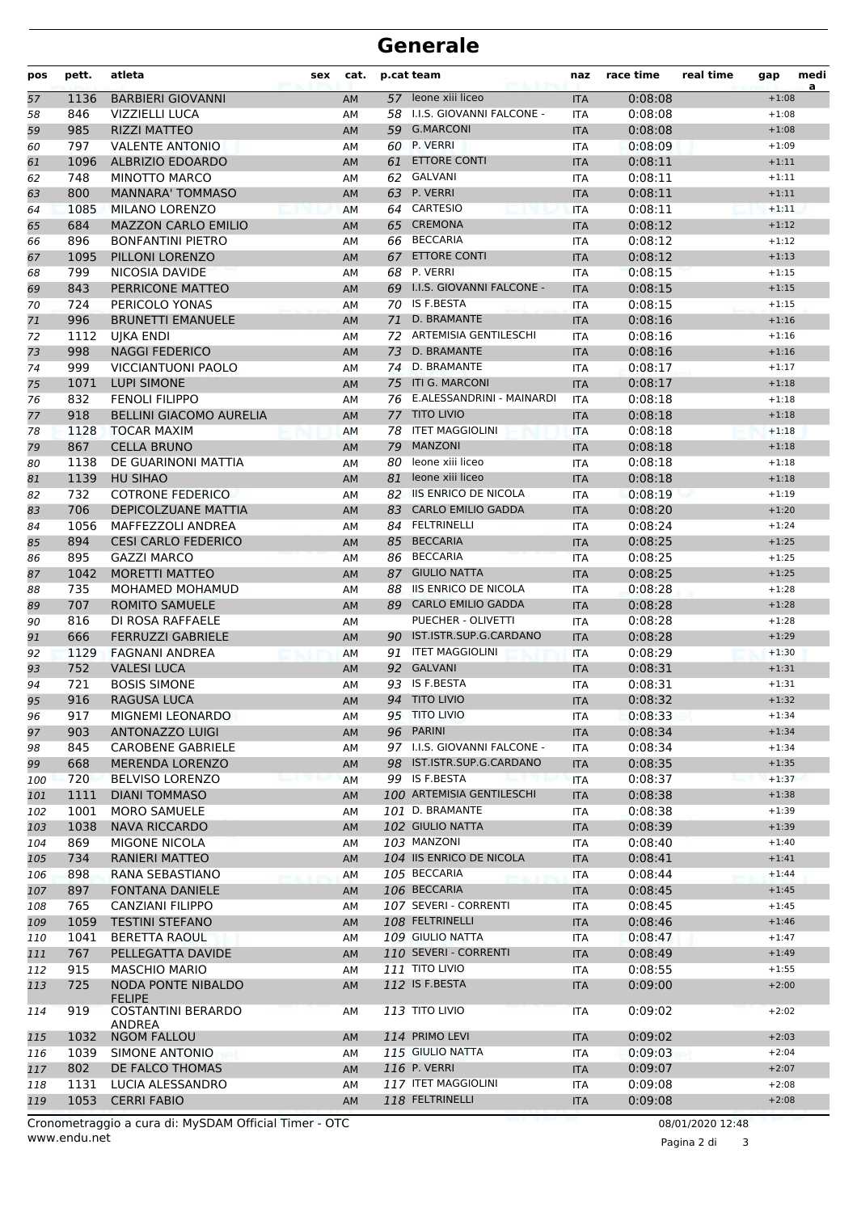| pos      | pett.       | atleta                                      | <b>sex</b> | cat.      |          | p.cat team                                   | naz               | race time          | real time | gap                | medi<br>a |
|----------|-------------|---------------------------------------------|------------|-----------|----------|----------------------------------------------|-------------------|--------------------|-----------|--------------------|-----------|
| 57       | 1136        | <b>BARBIERI GIOVANNI</b>                    |            | AM        |          | 57 leone xiii liceo                          | <b>ITA</b>        | 0:08:08            |           | $+1:08$            |           |
| 58       | 846         | <b>VIZZIELLI LUCA</b>                       |            | AM        | 58       | I.I.S. GIOVANNI FALCONE -                    | <b>ITA</b>        | 0:08:08            |           | $+1:08$            |           |
| 59       | 985         | <b>RIZZI MATTEO</b>                         |            | AM        |          | 59 G.MARCONI                                 | <b>ITA</b>        | 0:08:08            |           | $+1:08$            |           |
| 60       | 797         | <b>VALENTE ANTONIO</b>                      |            | AM        | 60       | P. VERRI                                     | ITA               | 0:08:09            |           | $+1:09$            |           |
| 61       | 1096        | ALBRIZIO EDOARDO                            |            | AM        | 61       | <b>ETTORE CONTI</b>                          | <b>ITA</b>        | 0:08:11            |           | $+1:11$            |           |
| 62       | 748         | <b>MINOTTO MARCO</b>                        |            | AM        | 62       | GALVANI                                      | <b>ITA</b>        | 0:08:11            |           | $+1:11$            |           |
| 63       | 800         | <b>MANNARA' TOMMASO</b>                     |            | AM        | 63       | P. VERRI                                     | <b>ITA</b>        | 0:08:11            |           | $+1:11$            |           |
| 64       | 1085        | <b>MILANO LORENZO</b>                       |            | AM        |          | 64 CARTESIO                                  | <b>ITA</b>        | 0:08:11            |           | $+1:11$            |           |
| 65       | 684         | <b>MAZZON CARLO EMILIO</b>                  |            | AM        |          | 65 CREMONA                                   | <b>ITA</b>        | 0:08:12            |           | $+1:12$            |           |
| 66       | 896         | <b>BONFANTINI PIETRO</b>                    |            | AM        | 66       | <b>BECCARIA</b>                              | ITA               | 0:08:12            |           | $+1:12$            |           |
| 67       | 1095        | PILLONI LORENZO                             |            | AM        | 67       | <b>ETTORE CONTI</b>                          | <b>ITA</b>        | 0:08:12            |           | $+1:13$            |           |
| 68       | 799         | NICOSIA DAVIDE                              |            | AM        | 68       | P. VERRI                                     | <b>ITA</b>        | 0:08:15            |           | $+1:15$            |           |
| 69       | 843         | PERRICONE MATTEO                            |            | AM        | 69       | I.I.S. GIOVANNI FALCONE -                    | <b>ITA</b>        | 0:08:15            |           | $+1:15$            |           |
| 70       | 724         | PERICOLO YONAS                              |            | AM        |          | 70 IS F.BESTA                                | <b>ITA</b>        | 0:08:15            |           | $+1:15$            |           |
| 71       | 996         | <b>BRUNETTI EMANUELE</b>                    |            | AM        | 71       | D. BRAMANTE                                  | <b>ITA</b>        | 0:08:16            |           | $+1:16$            |           |
| 72       | 1112        | UIKA ENDI                                   |            | AM        | 72       | ARTEMISIA GENTILESCHI                        | ITA               | 0:08:16            |           | $+1:16$            |           |
| 73       | 998         | <b>NAGGI FEDERICO</b>                       |            | AM        | 73       | D. BRAMANTE                                  | <b>ITA</b>        | 0:08:16            |           | $+1:16$            |           |
| 74       | 999         | <b>VICCIANTUONI PAOLO</b>                   |            | AM        |          | 74 D. BRAMANTE                               | <b>ITA</b>        | 0:08:17            |           | $+1:17$            |           |
| 75       | 1071        | <b>LUPI SIMONE</b>                          |            | AM        |          | 75 ITI G. MARCONI                            | <b>ITA</b>        | 0:08:17            |           | $+1:18$            |           |
| 76       | 832         | <b>FENOLI FILIPPO</b>                       |            | AM        | 76       | E.ALESSANDRINI - MAINARDI                    | <b>ITA</b>        | 0:08:18            |           | $+1:18$            |           |
| 77       | 918         | <b>BELLINI GIACOMO AURELIA</b>              |            | AM        |          | 77 TITO LIVIO                                | <b>ITA</b>        | 0:08:18            |           | $+1:18$            |           |
| 78       | 1128        | <b>TOCAR MAXIM</b>                          |            | AM        | 78       | <b>ITET MAGGIOLINI</b>                       | <b>ITA</b>        | 0:08:18            |           | $+1:18$            |           |
| 79       | 867         | <b>CELLA BRUNO</b>                          |            | AM        | 79       | <b>MANZONI</b>                               | <b>ITA</b>        | 0:08:18            |           | $+1:18$            |           |
| 80       | 1138        | DE GUARINONI MATTIA                         |            | AM        | 80       | leone xiii liceo                             | <b>ITA</b>        | 0:08:18            |           | $+1:18$            |           |
| 81       | 1139        | <b>HU SIHAO</b>                             |            | AM        | 81       | leone xiii liceo                             | <b>ITA</b>        | 0:08:18            |           | $+1:18$            |           |
| 82       | 732         | <b>COTRONE FEDERICO</b>                     |            | AM        |          | 82 IIS ENRICO DE NICOLA                      | <b>ITA</b>        | 0:08:19            |           | $+1:19$            |           |
| 83       | 706         | DEPICOLZUANE MATTIA                         |            | AM        | 83       | <b>CARLO EMILIO GADDA</b>                    | <b>ITA</b>        | 0:08:20            |           | $+1:20$            |           |
| 84       | 1056        | MAFFEZZOLI ANDREA                           |            | AM        | 84       | <b>FELTRINELLI</b>                           | ITA               | 0:08:24            |           | $+1:24$            |           |
| 85       | 894         | <b>CESI CARLO FEDERICO</b>                  |            | AM        | 85       | <b>BECCARIA</b>                              | <b>ITA</b>        | 0:08:25            |           | $+1:25$            |           |
| 86       | 895         | <b>GAZZI MARCO</b>                          |            | AM        | 86       | <b>BECCARIA</b>                              | <b>ITA</b>        | 0:08:25            |           | $+1:25$            |           |
| 87       | 1042        | <b>MORETTI MATTEO</b>                       |            | AM        | 87       | <b>GIULIO NATTA</b>                          | <b>ITA</b>        | 0:08:25            |           | $+1:25$            |           |
| 88       | 735         | MOHAMED MOHAMUD                             |            | AM        | 88       | <b>IIS ENRICO DE NICOLA</b>                  | ITA               | 0:08:28            |           | $+1:28$            |           |
| 89       | 707         | <b>ROMITO SAMUELE</b>                       |            | AM        |          | 89 CARLO EMILIO GADDA                        | <b>ITA</b>        | 0:08:28            |           | $+1:28$            |           |
| 90       | 816         | DI ROSA RAFFAELE                            |            | AM        |          | PUECHER - OLIVETTI<br>IST.ISTR.SUP.G.CARDANO | <b>ITA</b>        | 0:08:28            |           | $+1:28$            |           |
| 91       | 666         | <b>FERRUZZI GABRIELE</b>                    |            | AM        | 90       | <b>ITET MAGGIOLINI</b>                       | <b>ITA</b>        | 0:08:28            |           | $+1:29$<br>$+1:30$ |           |
| 92       | 1129<br>752 | <b>FAGNANI ANDREA</b><br><b>VALESI LUCA</b> |            | <b>AM</b> | 91<br>92 | GALVANI                                      | <b>ITA</b>        | 0:08:29<br>0:08:31 |           |                    |           |
| 93<br>94 | 721         | <b>BOSIS SIMONE</b>                         |            | AM        | 93       | IS F.BESTA                                   | <b>ITA</b>        | 0:08:31            |           | $+1:31$<br>$+1:31$ |           |
|          | 916         | <b>RAGUSA LUCA</b>                          |            | AM        |          | 94 TITO LIVIO                                | ITA               | 0:08:32            |           | $+1:32$            |           |
| 95       |             | MIGNEMI LEONARDO                            |            | AM        |          | 95 TITO LIVIO                                | <b>ITA</b>        | 0:08:33            |           | $+1:34$            |           |
| 96<br>97 | 917<br>903  | <b>ANTONAZZO LUIGI</b>                      |            | AM<br>AM  |          | 96 PARINI                                    | ITA<br><b>ITA</b> | 0:08:34            |           | $+1:34$            |           |
|          | 845         | <b>CAROBENE GABRIELE</b>                    |            | AM        |          | 97 I.I.S. GIOVANNI FALCONE -                 | ITA               | 0:08:34            |           | $+1:34$            |           |
| 98<br>99 | 668         | <b>MERENDA LORENZO</b>                      |            | AM        |          | 98 IST.ISTR.SUP.G.CARDANO                    | <b>ITA</b>        | 0:08:35            |           | $+1:35$            |           |
| 100      | 720         | <b>BELVISO LORENZO</b>                      |            | AM        |          | 99 IS F.BESTA                                | <b>ITA</b>        | 0:08:37            |           | $+1:37$            |           |
| 101      | 1111        | <b>DIANI TOMMASO</b>                        |            | AM        |          | 100 ARTEMISIA GENTILESCHI                    | <b>ITA</b>        | 0:08:38            |           | $+1:38$            |           |
| 102      | 1001        | <b>MORO SAMUELE</b>                         |            | AM        |          | 101 D. BRAMANTE                              | ITA               | 0:08:38            |           | $+1:39$            |           |
| 103      | 1038        | <b>NAVA RICCARDO</b>                        |            | AM        |          | 102 GIULIO NATTA                             | <b>ITA</b>        | 0:08:39            |           | $+1:39$            |           |
| 104      | 869         | MIGONE NICOLA                               |            | AM        |          | 103 MANZONI                                  | ITA               | 0:08:40            |           | $+1:40$            |           |
| 105      | 734         | <b>RANIERI MATTEO</b>                       |            | AM        |          | 104 IIS ENRICO DE NICOLA                     | <b>ITA</b>        | 0:08:41            |           | $+1:41$            |           |
| 106      | 898         | RANA SEBASTIANO                             |            | AM        |          | 105 BECCARIA                                 | ITA               | 0:08:44            |           | $+1:44$            |           |
| 107      | 897         | <b>FONTANA DANIELE</b>                      |            | AM        |          | 106 BECCARIA                                 | <b>ITA</b>        | 0:08:45            |           | $+1:45$            |           |
| 108      | 765         | CANZIANI FILIPPO                            |            | AM        |          | 107 SEVERI - CORRENTI                        | ITA               | 0:08:45            |           | $+1:45$            |           |
| 109      | 1059        | <b>TESTINI STEFANO</b>                      |            | AM        |          | 108 FELTRINELLI                              | <b>ITA</b>        | 0:08:46            |           | $+1:46$            |           |
| 110      | 1041        | <b>BERETTA RAOUL</b>                        |            | AM        |          | 109 GIULIO NATTA                             | ITA               | 0:08:47            |           | $+1:47$            |           |
| 111      | 767         | PELLEGATTA DAVIDE                           |            | AM        |          | 110 SEVERI - CORRENTI                        | <b>ITA</b>        | 0:08:49            |           | $+1:49$            |           |
| 112      | 915         | <b>MASCHIO MARIO</b>                        |            | AM        |          | 111 TITO LIVIO                               | ITA               | 0:08:55            |           | $+1:55$            |           |
| 113      | 725         | <b>NODA PONTE NIBALDO</b>                   |            | AM        |          | 112 IS F.BESTA                               | <b>ITA</b>        | 0:09:00            |           | $+2:00$            |           |
| 114      | 919         | <b>FELIPE</b><br><b>COSTANTINI BERARDO</b>  |            | AM        |          | <b>113 TITO LIVIO</b>                        | ITA               | 0:09:02            |           | $+2:02$            |           |
|          |             | ANDREA                                      |            |           |          |                                              |                   |                    |           |                    |           |
| 115      | 1032        | <b>NGOM FALLOU</b>                          |            | AM        |          | 114 PRIMO LEVI                               | <b>ITA</b>        | 0:09:02            |           | $+2:03$            |           |
| 116      | 1039        | SIMONE ANTONIO                              |            | AM        |          | 115 GIULIO NATTA                             | ITA               | 0:09:03            |           | $+2:04$            |           |
| 117      | 802         | DE FALCO THOMAS                             |            | AM        |          | 116 P. VERRI                                 | <b>ITA</b>        | 0:09:07            |           | $+2:07$            |           |
| 118      | 1131        | LUCIA ALESSANDRO                            |            | AM        |          | 117 ITET MAGGIOLINI                          | ITA               | 0:09:08            |           | $+2:08$            |           |
| 119      | 1053        | <b>CERRI FABIO</b>                          |            | AM        |          | 118 FELTRINELLI                              | <b>ITA</b>        | 0:09:08            |           | $+2:08$            |           |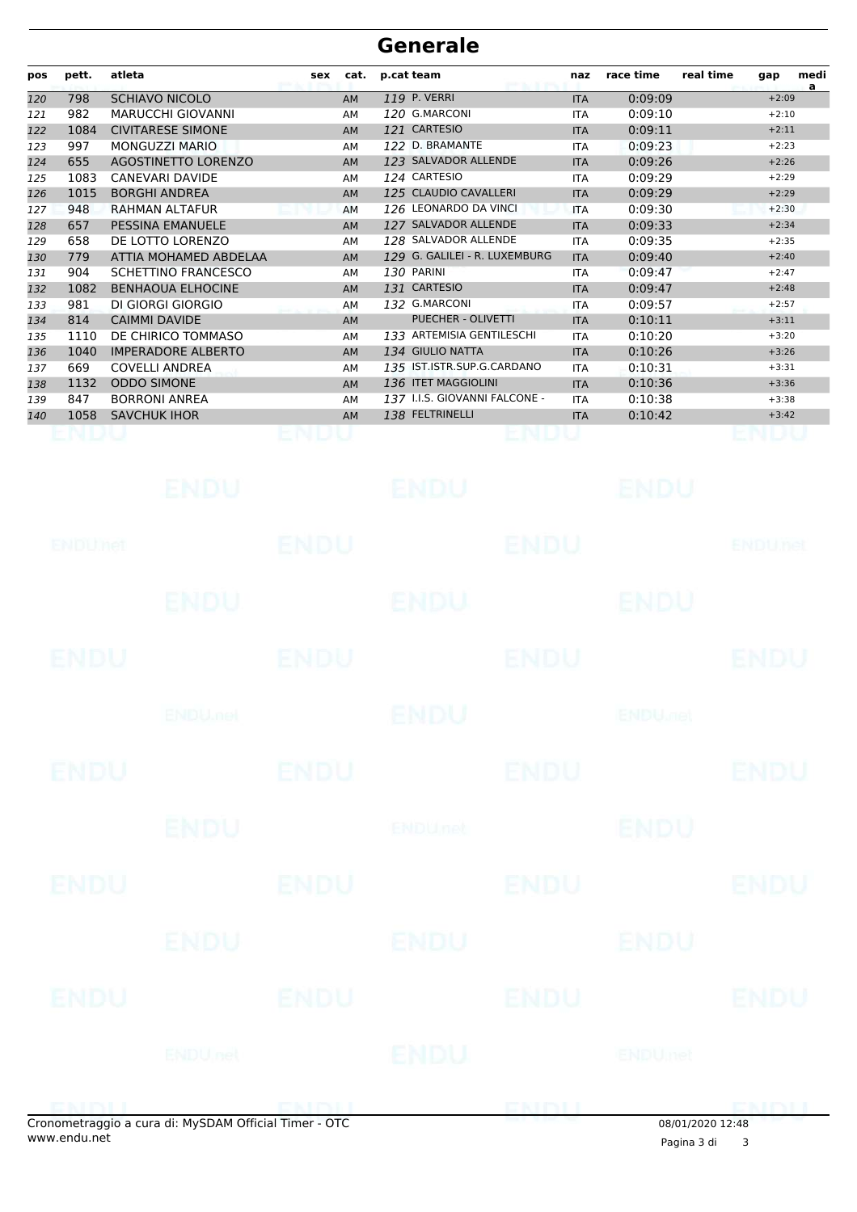| pos | pett. | atleta                     | sex | cat.      | p.cat team                    | naz        | race time | real time<br>medi<br>gap<br>a |
|-----|-------|----------------------------|-----|-----------|-------------------------------|------------|-----------|-------------------------------|
| 120 | 798   | <b>SCHIAVO NICOLO</b>      |     | <b>AM</b> | 119 P. VERRI                  | <b>ITA</b> | 0:09:09   | $+2:09$                       |
| 121 | 982   | <b>MARUCCHI GIOVANNI</b>   |     | AM        | 120 G.MARCONI                 | <b>ITA</b> | 0:09:10   | $+2:10$                       |
| 122 | 1084  | <b>CIVITARESE SIMONE</b>   |     | <b>AM</b> | 121 CARTESIO                  | <b>ITA</b> | 0:09:11   | $+2:11$                       |
| 123 | 997   | MONGUZZI MARIO             |     | AM        | 122 D. BRAMANTE               | <b>ITA</b> | 0:09:23   | $+2:23$                       |
| 124 | 655   | <b>AGOSTINETTO LORENZO</b> |     | <b>AM</b> | 123 SALVADOR ALLENDE          | <b>ITA</b> | 0:09:26   | $+2:26$                       |
| 125 | 1083  | <b>CANEVARI DAVIDE</b>     |     | AM        | 124 CARTESIO                  | <b>ITA</b> | 0:09:29   | $+2:29$                       |
| 126 | 1015  | <b>BORGHI ANDREA</b>       |     | <b>AM</b> | 125 CLAUDIO CAVALLERI         | <b>ITA</b> | 0:09:29   | $+2:29$                       |
| 127 | 948   | <b>RAHMAN ALTAFUR</b>      |     | AM        | 126 LEONARDO DA VINCI         | <b>ITA</b> | 0:09:30   | $+2:30$                       |
| 128 | 657   | PESSINA EMANUELE           |     | <b>AM</b> | 127 SALVADOR ALLENDE          | <b>ITA</b> | 0:09:33   | $+2:34$                       |
| 129 | 658   | DE LOTTO LORENZO           |     | AM        | 128 SALVADOR ALLENDE          | <b>ITA</b> | 0:09:35   | $+2:35$                       |
| 130 | 779   | ATTIA MOHAMED ABDELAA      |     | <b>AM</b> | 129 G. GALILEI - R. LUXEMBURG | <b>ITA</b> | 0:09:40   | $+2:40$                       |
| 131 | 904   | SCHETTINO FRANCESCO        |     | AM        | 130 PARINI                    | <b>ITA</b> | 0:09:47   | $+2:47$                       |
| 132 | 1082  | <b>BENHAOUA ELHOCINE</b>   |     | <b>AM</b> | 131 CARTESIO                  | <b>ITA</b> | 0:09:47   | $+2:48$                       |
| 133 | 981   | DI GIORGI GIORGIO          |     | AM        | 132 G.MARCONI                 | <b>ITA</b> | 0:09:57   | $+2:57$                       |
| 134 | 814   | <b>CAIMMI DAVIDE</b>       |     | <b>AM</b> | <b>PUECHER - OLIVETTI</b>     | <b>ITA</b> | 0:10:11   | $+3:11$                       |
| 135 | 1110  | DE CHIRICO TOMMASO         |     | AM        | 133 ARTEMISIA GENTILESCHI     | <b>ITA</b> | 0:10:20   | $+3:20$                       |
| 136 | 1040  | <b>IMPERADORE ALBERTO</b>  |     | <b>AM</b> | 134 GIULIO NATTA              | <b>ITA</b> | 0:10:26   | $+3:26$                       |
| 137 | 669   | <b>COVELLI ANDREA</b>      |     | AM        | 135 IST.ISTR.SUP.G.CARDANO    | <b>ITA</b> | 0:10:31   | $+3:31$                       |
| 138 | 1132  | <b>ODDO SIMONE</b>         |     | <b>AM</b> | 136 ITET MAGGIOLINI           | <b>ITA</b> | 0:10:36   | $+3:36$                       |
| 139 | 847   | <b>BORRONI ANREA</b>       |     | AM        | 137 I.I.S. GIOVANNI FALCONE - | <b>ITA</b> | 0:10:38   | $+3:38$                       |
| 140 | 1058  | <b>SAVCHUK IHOR</b>        |     | <b>AM</b> | 138 FELTRINELLI               | <b>ITA</b> | 0:10:42   | $+3:42$                       |
|     |       |                            |     |           |                               |            |           |                               |

|                                                       | ENDU                      |             | <b>ENDU</b>    |             | ENDU                      |                |
|-------------------------------------------------------|---------------------------|-------------|----------------|-------------|---------------------------|----------------|
| ENDUMet                                               |                           | <b>ENDU</b> |                | <b>ENDU</b> |                           | <b>ENDUnet</b> |
|                                                       | <b>ENDU</b>               |             | <b>ENDU</b>    |             | <b>ENDU</b>               |                |
| <b>ENDU</b>                                           |                           | <b>ENDU</b> |                | <b>ENDU</b> |                           | <b>ENDU</b>    |
|                                                       | <b>ENDU<sub>met</sub></b> |             | <b>ENDU</b>    |             | <b>ENDU<sub>DEL</sub></b> |                |
| <b>ENDU</b>                                           |                           | <b>ENDU</b> |                | <b>ENDU</b> |                           | <b>ENDU</b>    |
|                                                       | <b>ENDU</b>               |             | <b>ENDUnet</b> |             | <b>ENDU</b>               |                |
| ENDU                                                  |                           | <b>ENDU</b> |                | <b>ENDU</b> |                           | <b>ENDU</b>    |
|                                                       | <b>ENDU</b>               |             | ENDU           |             | ENDU                      |                |
| <b>ENDU</b>                                           |                           | <b>ENDU</b> |                | <b>ENDU</b> |                           | <b>ENDU</b>    |
|                                                       | ENDU <sub>net</sub>       |             | ENDU           |             | ENDUmet                   |                |
| Cronometraggio a cura di: MySDAM Official Timer - OTC |                           |             |                | ENDU        | 08/01/2020 12:48          | <b>ENDUL</b>   |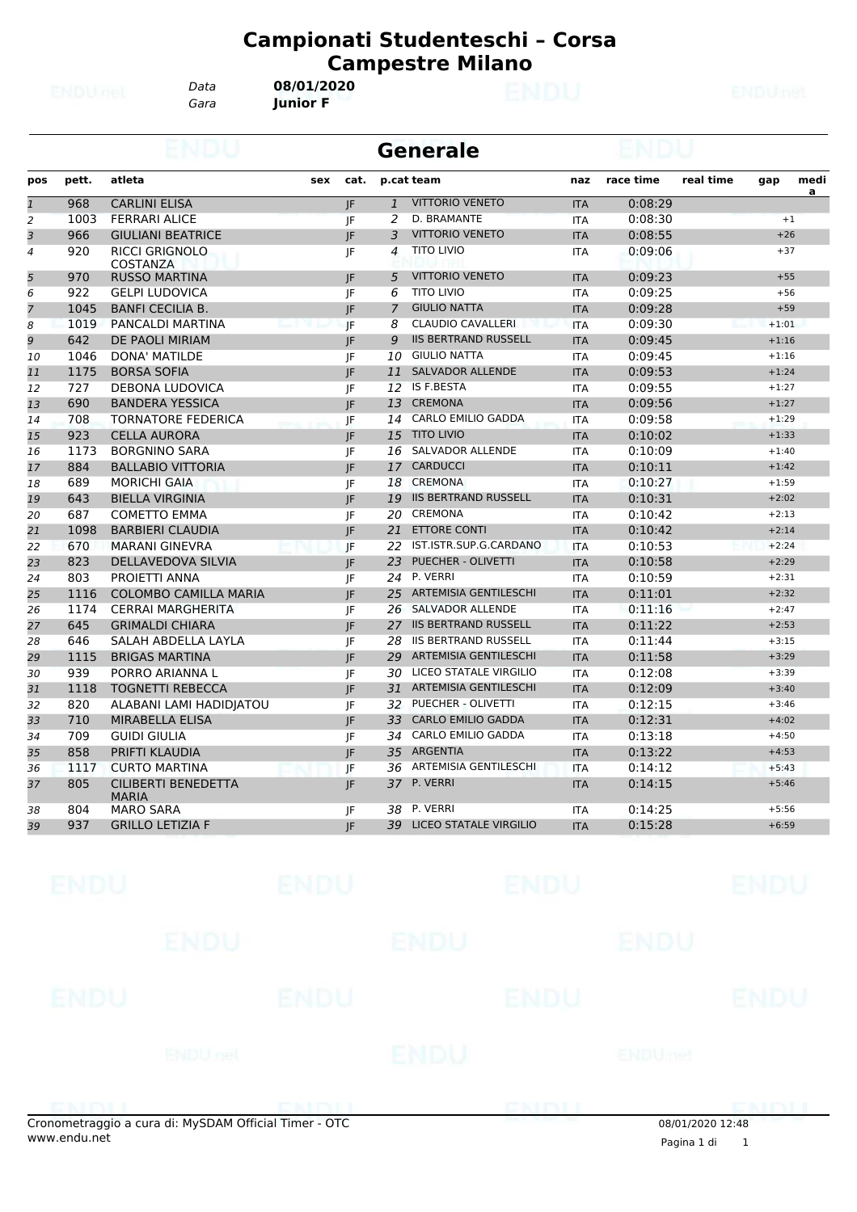# **Campionati Studenteschi – Corsa Campestre Milano<br>2020**<br>F

*Data* **08/01/2020**

*Gara* **Junior F**

|                          |       |                                   |     |      |                 | Generale                      |            |           |           |         |                |
|--------------------------|-------|-----------------------------------|-----|------|-----------------|-------------------------------|------------|-----------|-----------|---------|----------------|
| pos                      | pett. | atleta                            | sex | cat. |                 | p.cat team                    | naz        | race time | real time | gap     | medi           |
| $\mathbf{1}$             | 968   | <b>CARLINI ELISA</b>              |     | JF   | $\mathbf{1}$    | <b>VITTORIO VENETO</b>        | <b>ITA</b> | 0:08:29   |           |         | $\overline{a}$ |
| $\overline{a}$           | 1003  | <b>FERRARI ALICE</b>              |     | JF   | 2               | D. BRAMANTE                   | <b>ITA</b> | 0:08:30   |           |         | $+1$           |
| 3                        | 966   | <b>GIULIANI BEATRICE</b>          |     | JF   | 3               | <b>VITTORIO VENETO</b>        | <b>ITA</b> | 0:08:55   |           | $+26$   |                |
| $\overline{\mathcal{A}}$ | 920   | <b>RICCI GRIGNOLO</b><br>COSTANZA |     | JF   | 4               | <b>TITO LIVIO</b>             | <b>ITA</b> | 0:09:06   |           | $+37$   |                |
| 5                        | 970   | <b>RUSSO MARTINA</b>              |     | JF   | 5               | <b>VITTORIO VENETO</b>        | <b>ITA</b> | 0:09:23   |           | $+55$   |                |
| 6                        | 922   | <b>GELPI LUDOVICA</b>             |     | JF   | 6               | <b>TITO LIVIO</b>             | <b>ITA</b> | 0:09:25   |           | $+56$   |                |
| $\overline{7}$           | 1045  | <b>BANFI CECILIA B.</b>           |     | JF   | 7               | <b>GIULIO NATTA</b>           | <b>ITA</b> | 0:09:28   |           | $+59$   |                |
| 8                        | 1019  | PANCALDI MARTINA                  |     | JF   | 8               | <b>CLAUDIO CAVALLERI</b>      | <b>ITA</b> | 0:09:30   |           | $+1:01$ |                |
| 9                        | 642   | DE PAOLI MIRIAM                   |     | JF   | 9               | <b>IIS BERTRAND RUSSELL</b>   | <b>ITA</b> | 0:09:45   |           | $+1:16$ |                |
| 10                       | 1046  | DONA' MATILDE                     |     | JF   | 10              | <b>GIULIO NATTA</b>           | <b>ITA</b> | 0:09:45   |           | $+1:16$ |                |
| 11                       | 1175  | <b>BORSA SOFIA</b>                |     | JF   | 11              | <b>SALVADOR ALLENDE</b>       | <b>ITA</b> | 0:09:53   |           | $+1:24$ |                |
| 12                       | 727   | DEBONA LUDOVICA                   |     | JF   |                 | 12 IS F.BESTA                 | <b>ITA</b> | 0:09:55   |           | $+1:27$ |                |
| 13                       | 690   | <b>BANDERA YESSICA</b>            |     | JF   | 13              | <b>CREMONA</b>                | <b>ITA</b> | 0:09:56   |           | $+1:27$ |                |
| 14                       | 708   | <b>TORNATORE FEDERICA</b>         |     | IF   | 14              | <b>CARLO EMILIO GADDA</b>     | <b>ITA</b> | 0:09:58   |           | $+1:29$ |                |
| 15                       | 923   | <b>CELLA AURORA</b>               |     | IF.  | 15              | <b>TITO LIVIO</b>             | <b>ITA</b> | 0:10:02   |           | $+1:33$ |                |
| 16                       | 1173  | <b>BORGNINO SARA</b>              |     | JF   | 16              | <b>SALVADOR ALLENDE</b>       | <b>ITA</b> | 0:10:09   |           | $+1:40$ |                |
| 17                       | 884   | <b>BALLABIO VITTORIA</b>          |     | JF   | 17              | <b>CARDUCCI</b>               | <b>ITA</b> | 0:10:11   |           | $+1:42$ |                |
| 18                       | 689   | <b>MORICHI GAIA</b>               |     | JF   | 18              | <b>CREMONA</b>                | <b>ITA</b> | 0:10:27   |           | $+1:59$ |                |
| 19                       | 643   | <b>BIELLA VIRGINIA</b>            |     | JF   | 19              | <b>IIS BERTRAND RUSSELL</b>   | <b>ITA</b> | 0:10:31   |           | $+2:02$ |                |
| 20                       | 687   | <b>COMETTO EMMA</b>               |     | JF   | 20              | <b>CREMONA</b>                | <b>ITA</b> | 0:10:42   |           | $+2:13$ |                |
| 21                       | 1098  | <b>BARBIERI CLAUDIA</b>           |     | JF   | 21              | <b>ETTORE CONTI</b>           | <b>ITA</b> | 0:10:42   |           | $+2:14$ |                |
| 22                       | 670   | <b>MARANI GINEVRA</b>             |     | JF   | 22              | IST.ISTR.SUP.G.CARDANO        | <b>ITA</b> | 0:10:53   |           | $+2:24$ |                |
| 23                       | 823   | DELLAVEDOVA SILVIA                |     | JF   | 23              | PUECHER - OLIVETTI            | <b>ITA</b> | 0:10:58   |           | $+2:29$ |                |
| 24                       | 803   | PROJETTI ANNA                     |     | JF   | 24              | P. VERRI                      | <b>ITA</b> | 0:10:59   |           | $+2:31$ |                |
| 25                       | 1116  | <b>COLOMBO CAMILLA MARIA</b>      |     | IF.  | 25 <sub>2</sub> | <b>ARTEMISIA GENTILESCHI</b>  | <b>ITA</b> | 0:11:01   |           | $+2:32$ |                |
| 26                       | 1174  | <b>CERRAI MARGHERITA</b>          |     | JF   | 26              | <b>SALVADOR ALLENDE</b>       | <b>ITA</b> | 0:11:16   |           | $+2:47$ |                |
| 27                       | 645   | <b>GRIMALDI CHIARA</b>            |     | JF   | 27              | <b>IIS BERTRAND RUSSELL</b>   | <b>ITA</b> | 0:11:22   |           | $+2:53$ |                |
| 28                       | 646   | SALAH ABDELLA LAYLA               |     | JF   | 28              | <b>IIS BERTRAND RUSSELL</b>   | <b>ITA</b> | 0:11:44   |           | $+3:15$ |                |
| 29                       | 1115  | <b>BRIGAS MARTINA</b>             |     | JF   | 29              | <b>ARTEMISIA GENTILESCHI</b>  | <b>ITA</b> | 0:11:58   |           | $+3:29$ |                |
| 30                       | 939   | PORRO ARIANNA L                   |     | JF   | 30              | LICEO STATALE VIRGILIO        | <b>ITA</b> | 0:12:08   |           | $+3:39$ |                |
| 31                       | 1118  | <b>TOGNETTI REBECCA</b>           |     | JF   | 31              | <b>ARTEMISIA GENTILESCHI</b>  | <b>ITA</b> | 0:12:09   |           | $+3:40$ |                |
| 32                       | 820   | ALABANI LAMI HADIDJATOU           |     | JF   | 32              | PUECHER - OLIVETTI            | <b>ITA</b> | 0:12:15   |           | $+3:46$ |                |
| 33                       | 710   | <b>MIRABELLA ELISA</b>            |     | JF   | 33              | <b>CARLO EMILIO GADDA</b>     | <b>ITA</b> | 0:12:31   |           | $+4:02$ |                |
| 34                       | 709   | <b>GUIDI GIULIA</b>               |     | JF   |                 | 34 CARLO EMILIO GADDA         | <b>ITA</b> | 0:13:18   |           | $+4:50$ |                |
| 35                       | 858   | PRIFTI KLAUDIA                    |     | JF.  | 35              | <b>ARGENTIA</b>               | <b>ITA</b> | 0:13:22   |           | $+4:53$ |                |
| 36                       | 1117  | <b>CURTO MARTINA</b>              |     | JF.  | 36              | <b>ARTEMISIA GENTILESCHI</b>  | <b>ITA</b> | 0:14:12   |           | $+5:43$ |                |
| 37                       | 805   | <b>CILIBERTI BENEDETTA</b>        |     | JF   | 37              | P. VERRI                      | <b>ITA</b> | 0:14:15   |           | $+5:46$ |                |
|                          |       | <b>MARIA</b>                      |     |      |                 |                               |            |           |           |         |                |
| 38                       | 804   | <b>MARO SARA</b>                  |     | IF   | 38              | P. VERRI                      | <b>ITA</b> | 0:14:25   |           | $+5:56$ |                |
| 39                       | 937   | <b>GRILLO LETIZIA F</b>           |     | JF.  | 39              | <b>LICEO STATALE VIRGILIO</b> | <b>ITA</b> | 0:15:28   |           | $+6:59$ |                |

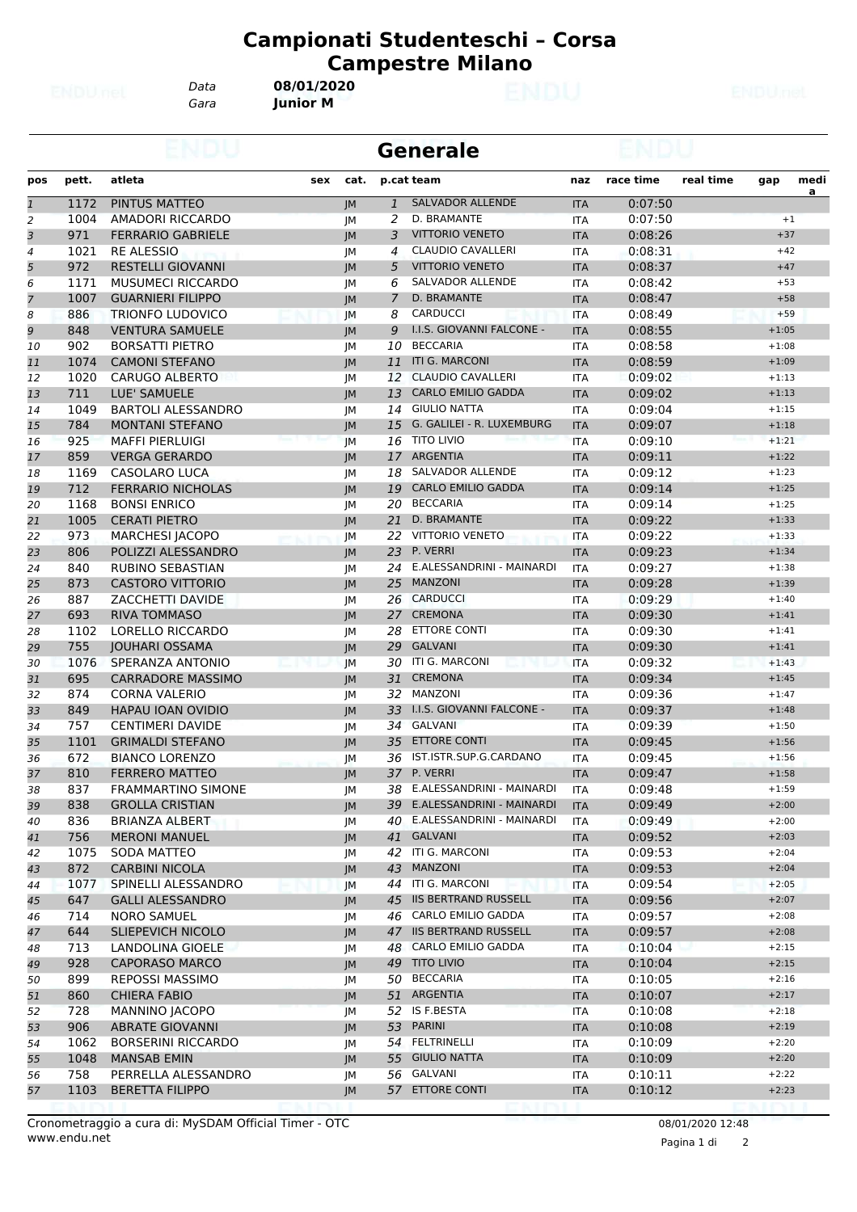*Gara* **Junior M** *Data* **08/01/2020**

|                |       |                           |      |              | <b>Generale</b>              |            |           |           |         |                |
|----------------|-------|---------------------------|------|--------------|------------------------------|------------|-----------|-----------|---------|----------------|
| pos            | pett. | atleta<br>sex             | cat. |              | p.cat team                   | naz        | race time | real time | gap     | medi           |
| $\overline{1}$ | 1172  | PINTUS MATTEO             | JM   | $\mathbf{1}$ | <b>SALVADOR ALLENDE</b>      | <b>ITA</b> | 0:07:50   |           |         | $\overline{a}$ |
| 2              | 1004  | <b>AMADORI RICCARDO</b>   | JM   | 2            | D. BRAMANTE                  | <b>ITA</b> | 0:07:50   |           | $+1$    |                |
| 3              | 971   | <b>FERRARIO GABRIELE</b>  | JM   | 3            | <b>VITTORIO VENETO</b>       | <b>ITA</b> | 0:08:26   |           | $+37$   |                |
| 4              | 1021  | <b>RE ALESSIO</b>         | JМ   | 4            | <b>CLAUDIO CAVALLERI</b>     | <b>ITA</b> | 0:08:31   |           | $+42$   |                |
| 5              | 972   | <b>RESTELLI GIOVANNI</b>  | JM   | 5            | <b>VITTORIO VENETO</b>       | <b>ITA</b> | 0:08:37   |           | $+47$   |                |
| 6              | 1171  | MUSUMECI RICCARDO         | JМ   | 6            | SALVADOR ALLENDE             | <b>ITA</b> | 0:08:42   |           | $+53$   |                |
| $\overline{7}$ | 1007  | <b>GUARNIERI FILIPPO</b>  | JM   | 7            | D. BRAMANTE                  | <b>ITA</b> | 0:08:47   |           | $+58$   |                |
| 8              | 886   | <b>TRIONFO LUDOVICO</b>   | JM   | 8            | <b>CARDUCCI</b>              | <b>ITA</b> | 0:08:49   |           | $+59$   |                |
| 9              | 848   | <b>VENTURA SAMUELE</b>    | JM   | 9            | I.I.S. GIOVANNI FALCONE -    | <b>ITA</b> | 0:08:55   |           | $+1:05$ |                |
| 10             | 902   | <b>BORSATTI PIETRO</b>    | JМ   | 10           | <b>BECCARIA</b>              | <b>ITA</b> | 0:08:58   |           | $+1:08$ |                |
| 11             | 1074  | <b>CAMONI STEFANO</b>     | JM   | 11           | <b>ITI G. MARCONI</b>        | <b>ITA</b> | 0:08:59   |           | $+1:09$ |                |
| 12             | 1020  | <b>CARUGO ALBERTO</b>     | JМ   |              | 12 CLAUDIO CAVALLERI         | <b>ITA</b> | 0:09:02   |           | $+1:13$ |                |
| 13             | 711   | LUE' SAMUELE              | JM   | 13           | <b>CARLO EMILIO GADDA</b>    | <b>ITA</b> | 0:09:02   |           | $+1:13$ |                |
| 14             | 1049  | <b>BARTOLI ALESSANDRO</b> | JM   |              | 14 GIULIO NATTA              | <b>ITA</b> | 0:09:04   |           | $+1:15$ |                |
| 15             | 784   | <b>MONTANI STEFANO</b>    | JM   | 15           | G. GALILEI - R. LUXEMBURG    | <b>ITA</b> | 0:09:07   |           | $+1:18$ |                |
| 16             | 925   | <b>MAFFI PIERLUIGI</b>    | JM   | 16           | <b>TITO LIVIO</b>            | <b>ITA</b> | 0:09:10   |           | $+1:21$ |                |
| 17             | 859   | <b>VERGA GERARDO</b>      | JM   |              | 17 ARGENTIA                  | <b>ITA</b> | 0:09:11   |           | $+1:22$ |                |
| 18             | 1169  | CASOLARO LUCA             | JМ   |              | 18 SALVADOR ALLENDE          | <b>ITA</b> | 0:09:12   |           | $+1:23$ |                |
| 19             | 712   | <b>FERRARIO NICHOLAS</b>  | JM   | 19           | <b>CARLO EMILIO GADDA</b>    | <b>ITA</b> | 0:09:14   |           | $+1:25$ |                |
| 20             | 1168  | <b>BONSI ENRICO</b>       | JM   |              | 20 BECCARIA                  | <b>ITA</b> | 0:09:14   |           | $+1:25$ |                |
| 21             | 1005  | <b>CERATI PIETRO</b>      | JM   | 21           | D. BRAMANTE                  | <b>ITA</b> | 0:09:22   |           | $+1:33$ |                |
| 22             | 973   | <b>MARCHESI JACOPO</b>    | JM   |              | 22 VITTORIO VENETO           | ITA        | 0:09:22   |           | $+1:33$ |                |
| 23             | 806   | POLIZZI ALESSANDRO        | JM   | 23           | P. VERRI                     | <b>ITA</b> | 0:09:23   |           | $+1:34$ |                |
| 24             | 840   | <b>RUBINO SEBASTIAN</b>   | JМ   |              | 24 E.ALESSANDRINI - MAINARDI | <b>ITA</b> | 0:09:27   |           | $+1:38$ |                |
| 25             | 873   | <b>CASTORO VITTORIO</b>   | JM   | 25           | <b>MANZONI</b>               | <b>ITA</b> | 0:09:28   |           | $+1:39$ |                |
| 26             | 887   | ZACCHETTI DAVIDE          | JM   |              | 26 CARDUCCI                  | <b>ITA</b> | 0:09:29   |           | $+1:40$ |                |
| 27             | 693   | <b>RIVA TOMMASO</b>       | JM   | 27           | <b>CREMONA</b>               | <b>ITA</b> | 0:09:30   |           | $+1:41$ |                |
| 28             | 1102  | LORELLO RICCARDO          | JМ   | 28           | <b>ETTORE CONTI</b>          | <b>ITA</b> | 0:09:30   |           | $+1:41$ |                |
| 29             | 755   | <b>JOUHARI OSSAMA</b>     | JM   | 29           | <b>GALVANI</b>               | <b>ITA</b> | 0:09:30   |           | $+1:41$ |                |
| 30             | 1076  | SPERANZA ANTONIO          | JM   |              | 30 ITI G. MARCONI            | <b>ITA</b> | 0:09:32   |           | $+1:43$ |                |
| 31             | 695   | <b>CARRADORE MASSIMO</b>  | JM   | 31           | <b>CREMONA</b>               | <b>ITA</b> | 0:09:34   |           | $+1:45$ |                |
| 32             | 874   | <b>CORNA VALERIO</b>      | JM   |              | 32 MANZONI                   | <b>ITA</b> | 0:09:36   |           | $+1:47$ |                |
| 33             | 849   | HAPAU IOAN OVIDIO         | JM   | 33           | I.I.S. GIOVANNI FALCONE -    | <b>ITA</b> | 0:09:37   |           | $+1:48$ |                |
| 34             | 757   | <b>CENTIMERI DAVIDE</b>   | JМ   |              | 34 GALVANI                   | <b>ITA</b> | 0:09:39   |           | $+1:50$ |                |
| 35             | 1101  | <b>GRIMALDI STEFANO</b>   | JM   | 35           | <b>ETTORE CONTI</b>          | <b>ITA</b> | 0:09:45   |           | $+1:56$ |                |
| 36             | 672   | <b>BIANCO LORENZO</b>     | JМ   |              | 36 IST.ISTR.SUP.G.CARDANO    | <b>ITA</b> | 0:09:45   |           | $+1:56$ |                |
| 37             | 810   | <b>FERRERO MATTEO</b>     | JM   |              | 37 P. VERRI                  | <b>ITA</b> | 0:09:47   |           | $+1:58$ |                |
| 38             | 837   | FRAMMARTINO SIMONE        | JM   |              | 38 E.ALESSANDRINI - MAINARDI | <b>ITA</b> | 0:09:48   |           | $+1:59$ |                |
| 39             | 838   | <b>GROLLA CRISTIAN</b>    | JM   |              | 39 E.ALESSANDRINI - MAINARDI | <b>ITA</b> | 0:09:49   |           | $+2:00$ |                |
| 40             | 836   | <b>BRIANZA ALBERT</b>     | JМ   | 40           | E.ALESSANDRINI - MAINARDI    | ITA        | 0:09:49   |           | $+2:00$ |                |
| 41             | 756   | <b>MERONI MANUEL</b>      | JM   |              | 41 GALVANI                   | <b>ITA</b> | 0:09:52   |           | $+2:03$ |                |
| 42             | 1075  | SODA MATTEO               | JM   |              | 42 ITI G. MARCONI            | ITA        | 0:09:53   |           | $+2:04$ |                |
| 43             | 872   | <b>CARBINI NICOLA</b>     | JM   | 43           | MANZONI                      | <b>ITA</b> | 0:09:53   |           | $+2:04$ |                |
| 44             | 1077  | SPINELLI ALESSANDRO       | JM   |              | 44 ITI G. MARCONI            | <b>ITA</b> | 0:09:54   |           | $+2:05$ |                |
| 45             | 647   | <b>GALLI ALESSANDRO</b>   | JM   |              | 45 IIS BERTRAND RUSSELL      | <b>ITA</b> | 0:09:56   |           | $+2:07$ |                |
| 46             | 714   | <b>NORO SAMUEL</b>        | JМ   |              | 46 CARLO EMILIO GADDA        | ITA        | 0:09:57   |           | $+2:08$ |                |
| 47             | 644   | SLIEPEVICH NICOLO         | JM   |              | 47 IIS BERTRAND RUSSELL      | <b>ITA</b> | 0:09:57   |           | $+2:08$ |                |
| 48             | 713   | LANDOLINA GIOELE          | JM   |              | 48 CARLO EMILIO GADDA        | ITA        | 0:10:04   |           | $+2:15$ |                |
| 49             | 928   | <b>CAPORASO MARCO</b>     | JM   |              | 49 TITO LIVIO                | <b>ITA</b> | 0:10:04   |           | $+2:15$ |                |
| 50             | 899   | <b>REPOSSI MASSIMO</b>    | JM   |              | 50 BECCARIA                  | ITA        | 0:10:05   |           | $+2:16$ |                |
| 51             | 860   | <b>CHIERA FABIO</b>       | JM   |              | 51 ARGENTIA                  | <b>ITA</b> | 0:10:07   |           | $+2:17$ |                |
| 52             | 728   | <b>MANNINO JACOPO</b>     | JМ   |              | 52 IS F.BESTA                | ITA        | 0:10:08   |           | $+2:18$ |                |
| 53             | 906   | <b>ABRATE GIOVANNI</b>    | JM   |              | 53 PARINI                    | <b>ITA</b> | 0:10:08   |           | $+2:19$ |                |
| 54             | 1062  | <b>BORSERINI RICCARDO</b> | JM   |              | 54 FELTRINELLI               | ITA        | 0:10:09   |           | $+2:20$ |                |
| 55             | 1048  | <b>MANSAB EMIN</b>        | JM   |              | 55 GIULIO NATTA              | <b>ITA</b> | 0:10:09   |           | $+2:20$ |                |
| 56             | 758   | PERRELLA ALESSANDRO       | JM   |              | 56 GALVANI                   | ITA        | 0:10:11   |           | $+2:22$ |                |
| 57             | 1103  | <b>BERETTA FILIPPO</b>    | JM   |              | 57 ETTORE CONTI              | <b>ITA</b> | 0:10:12   |           | $+2:23$ |                |
|                |       |                           |      |              |                              |            |           |           |         |                |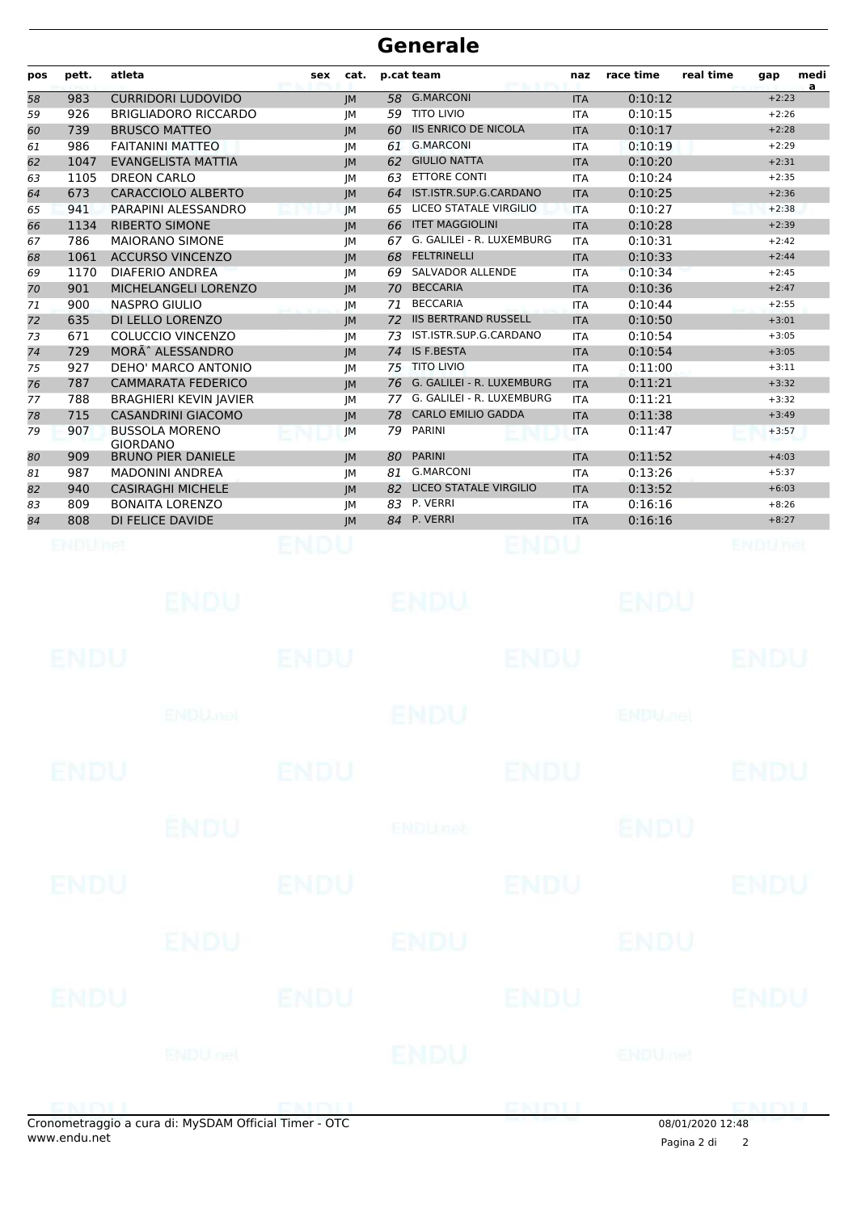| pos      | pett.       | atleta                                                | sex         | cat.      |          | p.cat team                                    | naz                      | race time                 | real time        | gap                | medi<br>a |
|----------|-------------|-------------------------------------------------------|-------------|-----------|----------|-----------------------------------------------|--------------------------|---------------------------|------------------|--------------------|-----------|
| 58       | 983         | <b>CURRIDORI LUDOVIDO</b>                             |             | <b>JM</b> | 58       | <b>G.MARCONI</b>                              | <b>ITA</b>               | 0:10:12                   |                  | $+2:23$            |           |
| 59       | 926         | <b>BRIGLIADORO RICCARDO</b>                           |             | JM        | 59       | <b>TITO LIVIO</b>                             | <b>ITA</b>               | 0:10:15                   |                  | $+2:26$            |           |
| 60       | 739         | <b>BRUSCO MATTEO</b>                                  |             | <b>JM</b> | 60       | <b>IIS ENRICO DE NICOLA</b>                   | <b>ITA</b>               | 0:10:17                   |                  | $+2:28$            |           |
| 61       | 986         | <b>FAITANINI MATTEO</b>                               |             | JM        | 61       | <b>G.MARCONI</b>                              | <b>ITA</b>               | 0:10:19                   |                  | $+2:29$            |           |
| 62       | 1047        | <b>EVANGELISTA MATTIA</b>                             |             | JM        | 62       | <b>GIULIO NATTA</b>                           | <b>ITA</b>               | 0:10:20                   |                  | $+2:31$            |           |
| 63       | 1105        | <b>DREON CARLO</b>                                    |             | JМ        | 63       | <b>ETTORE CONTI</b><br>IST.ISTR.SUP.G.CARDANO | <b>ITA</b>               | 0:10:24                   |                  | $+2:35$            |           |
| 64       | 673<br>941  | <b>CARACCIOLO ALBERTO</b><br>PARAPINI ALESSANDRO      |             | IM        | 64<br>65 | LICEO STATALE VIRGILIO                        | <b>ITA</b><br><b>ITA</b> | 0:10:25<br>0:10:27        |                  | $+2:36$<br>$+2:38$ |           |
| 65<br>66 | 1134        | <b>RIBERTO SIMONE</b>                                 |             | JM<br>JM  | 66       | <b>ITET MAGGIOLINI</b>                        | <b>ITA</b>               | 0:10:28                   |                  | $+2:39$            |           |
| 67       | 786         | <b>MAIORANO SIMONE</b>                                |             | JM        | 67       | G. GALILEI - R. LUXEMBURG                     | <b>ITA</b>               | 0:10:31                   |                  | $+2:42$            |           |
| 68       | 1061        | <b>ACCURSO VINCENZO</b>                               |             | JM        | 68       | <b>FELTRINELLI</b>                            | <b>ITA</b>               | 0:10:33                   |                  | $+2:44$            |           |
| 69       | 1170        | <b>DIAFERIO ANDREA</b>                                |             | JМ        | 69       | <b>SALVADOR ALLENDE</b>                       | <b>ITA</b>               | 0:10:34                   |                  | $+2:45$            |           |
| 70       | 901         | MICHELANGELI LORENZO                                  |             | IM        | 70       | <b>BECCARIA</b>                               | <b>ITA</b>               | 0:10:36                   |                  | $+2:47$            |           |
| 71       | 900         | <b>NASPRO GIULIO</b>                                  |             | JМ        | 71       | <b>BECCARIA</b>                               | <b>ITA</b>               | 0:10:44                   |                  | $+2:55$            |           |
| 72       | 635         | DI LELLO LORENZO                                      |             | IM        | 72       | <b>IIS BERTRAND RUSSELL</b>                   | <b>ITA</b>               | 0:10:50                   |                  | $+3:01$            |           |
| 73       | 671         | <b>COLUCCIO VINCENZO</b>                              |             | JM        | 73       | IST.ISTR.SUP.G.CARDANO                        | <b>ITA</b>               | 0:10:54                   |                  | $+3:05$            |           |
| 74       | 729         | MORÃ^ ALESSANDRO                                      |             | JM        | 74       | <b>IS F.BESTA</b>                             | <b>ITA</b>               | 0:10:54                   |                  | $+3:05$            |           |
| 75       | 927         | DEHO' MARCO ANTONIO                                   |             | JМ        | 75       | <b>TITO LIVIO</b>                             | <b>ITA</b>               | 0:11:00                   |                  | $+3:11$            |           |
| 76       | 787         | <b>CAMMARATA FEDERICO</b>                             |             | IM        | 76       | G. GALILEI - R. LUXEMBURG                     | <b>ITA</b>               | 0:11:21                   |                  | $+3:32$            |           |
| 77       | 788         | <b>BRAGHIERI KEVIN JAVIER</b>                         |             | JM        | 77       | G. GALILEI - R. LUXEMBURG                     | <b>ITA</b>               | 0:11:21                   |                  | $+3:32$            |           |
| 78       | 715         | <b>CASANDRINI GIACOMO</b>                             |             | IM        | 78       | <b>CARLO EMILIO GADDA</b>                     | <b>ITA</b>               | 0:11:38                   |                  | $+3:49$            |           |
| 79       | 907         | <b>BUSSOLA MORENO</b>                                 |             | JM        | 79       | <b>PARINI</b>                                 | <b>ITA</b>               | 0:11:47                   |                  | $+3:57$            |           |
| 80       | 909         | <b>GIORDANO</b><br><b>BRUNO PIER DANIELE</b>          |             | JM        | 80       | <b>PARINI</b>                                 | <b>ITA</b>               | 0:11:52                   |                  | $+4:03$            |           |
| 81       | 987         | <b>MADONINI ANDREA</b>                                |             | JМ        | 81       | <b>G.MARCONI</b>                              | <b>ITA</b>               | 0:13:26                   |                  | $+5:37$            |           |
| 82       | 940         | <b>CASIRAGHI MICHELE</b>                              |             | <b>JM</b> | 82       | LICEO STATALE VIRGILIO                        | <b>ITA</b>               | 0:13:52                   |                  | $+6:03$            |           |
| 83       | 809         | <b>BONAITA LORENZO</b>                                |             | JМ        | 83       | P. VERRI                                      | <b>ITA</b>               | 0:16:16                   |                  | $+8:26$            |           |
| 84       | 808         | DI FELICE DAVIDE                                      |             | IM        |          | 84 P. VERRI                                   | <b>ITA</b>               | 0:16:16                   |                  | $+8:27$            |           |
|          | ENDUMet     | ENDU.                                                 | ENDU        |           |          | ENDU<br>ENDU                                  |                          | ENDU                      |                  | ENDUnet            |           |
|          | ENDU        |                                                       | ENDU        |           |          | ENDU                                          |                          |                           |                  | ENDL               |           |
|          |             | <b>ENDU<sub>met</sub></b>                             |             |           |          | ENDU                                          |                          | <b>ENDU<sub>DER</sub></b> |                  |                    |           |
|          | <b>ENDU</b> |                                                       | <b>ENDU</b> |           |          | <b>ENDU</b>                                   |                          |                           |                  | <b>ENDU</b>        |           |
|          |             | <b>ENDU</b>                                           |             |           |          | ENDUnet                                       |                          | <b>ENDU</b>               |                  |                    |           |
|          | ENDU        |                                                       | <b>ENDU</b> |           |          | <b>ENDU</b>                                   |                          |                           |                  | ENDU               |           |
|          |             | ENDU                                                  |             |           |          | ENDU                                          |                          | ENDU                      |                  |                    |           |
|          | ENDU        |                                                       | <b>ENDU</b> |           |          | <b>ENDU</b>                                   |                          |                           |                  | <b>ENDU</b>        |           |
|          |             | <b>ENDU</b> nel                                       |             |           |          | ENDU                                          |                          | ENDUmet                   |                  |                    |           |
|          |             | Cronometraggio a cura di: MySDAM Official Timer - OTC |             |           |          | ENDLI                                         |                          |                           | 08/01/2020 12:48 |                    |           |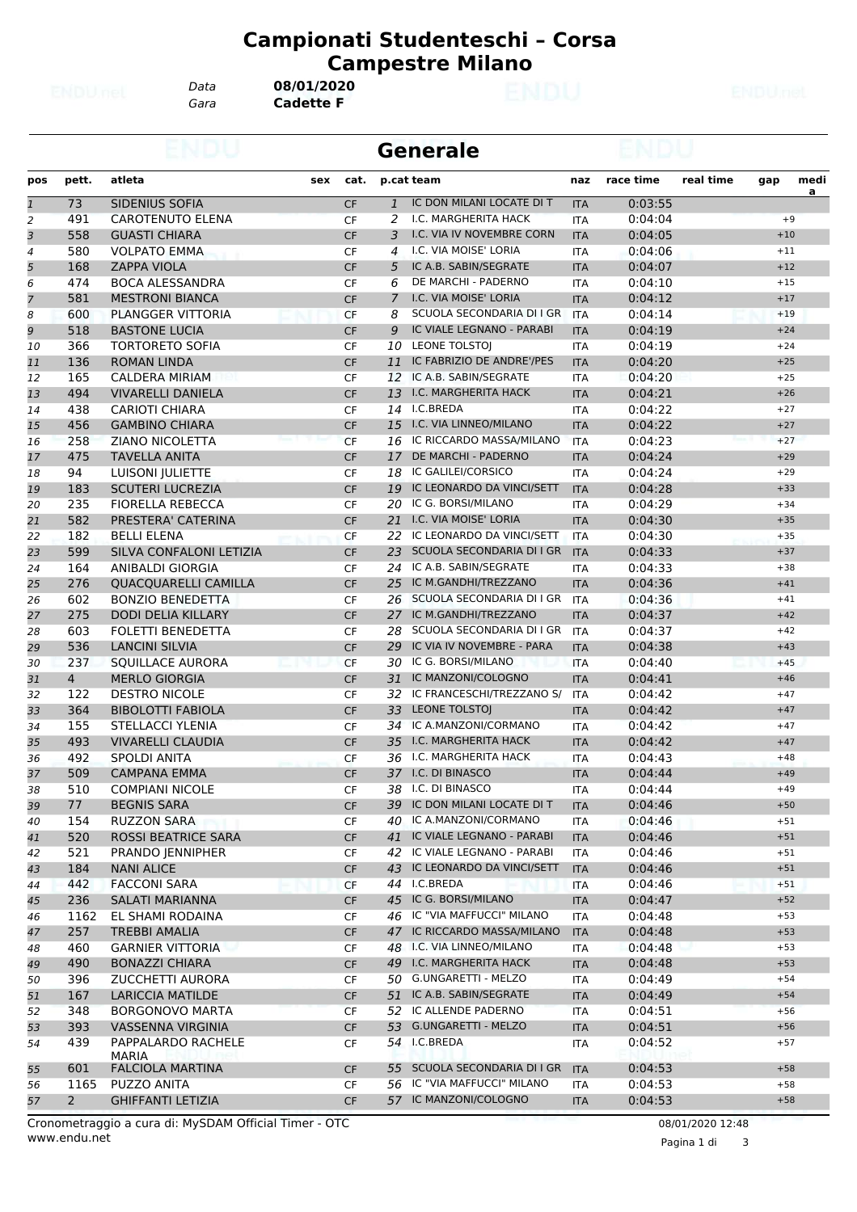*Gara* **Cadette F** *Data* **08/01/2020**

|              |                |                             |     |           |                | <b>Generale</b>              |            |           |           |       |           |
|--------------|----------------|-----------------------------|-----|-----------|----------------|------------------------------|------------|-----------|-----------|-------|-----------|
| pos          | pett.          | atleta                      | sex | cat.      |                | p.cat team                   | naz        | race time | real time | gap   | medi      |
| $\mathbf{1}$ | 73             | SIDENIUS SOFIA              |     | <b>CF</b> | $\mathbf{1}$   | IC DON MILANI LOCATE DI T    | <b>ITA</b> | 0:03:55   |           |       | <u>a </u> |
| 2            | 491            | <b>CAROTENUTO ELENA</b>     |     | <b>CF</b> | 2              | I.C. MARGHERITA HACK         | <b>ITA</b> | 0:04:04   |           | $+9$  |           |
| 3            | 558            | <b>GUASTI CHIARA</b>        |     | <b>CF</b> | 3              | I.C. VIA IV NOVEMBRE CORN    | <b>ITA</b> | 0:04:05   |           | $+10$ |           |
| 4            | 580            | <b>VOLPATO EMMA</b>         |     | CF        | 4              | I.C. VIA MOISE' LORIA        | <b>ITA</b> | 0:04:06   |           | $+11$ |           |
| 5            | 168            | <b>ZAPPA VIOLA</b>          |     | <b>CF</b> | 5              | IC A.B. SABIN/SEGRATE        | <b>ITA</b> | 0:04:07   |           | $+12$ |           |
| 6            | 474            | <b>BOCA ALESSANDRA</b>      |     | <b>CF</b> | 6              | DE MARCHI - PADERNO          | <b>ITA</b> | 0:04:10   |           | $+15$ |           |
| 7            | 581            | <b>MESTRONI BIANCA</b>      |     | CF        | $\overline{7}$ | I.C. VIA MOISE' LORIA        | <b>ITA</b> | 0:04:12   |           | $+17$ |           |
| 8            | 600            | PLANGGER VITTORIA           |     | CF        | 8              | SCUOLA SECONDARIA DI I GR    | <b>ITA</b> | 0:04:14   |           | $+19$ |           |
| 9            | 518            | <b>BASTONE LUCIA</b>        |     | <b>CF</b> | 9              | IC VIALE LEGNANO - PARABI    | <b>ITA</b> | 0:04:19   |           | $+24$ |           |
| 10           | 366            | <b>TORTORETO SOFIA</b>      |     | CF        |                | 10 LEONE TOLSTOI             | <b>ITA</b> | 0:04:19   |           | $+24$ |           |
| 11           | 136            | <b>ROMAN LINDA</b>          |     | <b>CF</b> | 11             | IC FABRIZIO DE ANDRE'/PES    | <b>ITA</b> | 0:04:20   |           | $+25$ |           |
| 12           | 165            | <b>CALDERA MIRIAM</b>       |     | <b>CF</b> | 12             | IC A.B. SABIN/SEGRATE        | <b>ITA</b> | 0:04:20   |           | $+25$ |           |
| 13           | 494            | <b>VIVARELLI DANIELA</b>    |     | <b>CF</b> | 13             | I.C. MARGHERITA HACK         | <b>ITA</b> | 0:04:21   |           | $+26$ |           |
| 14           | 438            | <b>CARIOTI CHIARA</b>       |     | <b>CF</b> | 14             | I.C.BREDA                    | <b>ITA</b> | 0:04:22   |           | $+27$ |           |
| 15           | 456            | <b>GAMBINO CHIARA</b>       |     | CF        | 15             | I.C. VIA LINNEO/MILANO       | <b>ITA</b> | 0:04:22   |           | $+27$ |           |
| 16           | 258            | ZIANO NICOLETTA             |     | <b>CF</b> |                | 16 IC RICCARDO MASSA/MILANO  | <b>ITA</b> | 0:04:23   |           | $+27$ |           |
| 17           | 475            | TAVELLA ANITA               |     | <b>CF</b> | 17             | DE MARCHI - PADERNO          | <b>ITA</b> | 0:04:24   |           | $+29$ |           |
| 18           | 94             | LUISONI JULIETTE            |     | <b>CF</b> | 18             | IC GALILEI/CORSICO           | <b>ITA</b> | 0:04:24   |           | $+29$ |           |
| 19           | 183            | <b>SCUTERI LUCREZIA</b>     |     | <b>CF</b> | 19             | IC LEONARDO DA VINCI/SETT    | <b>ITA</b> | 0:04:28   |           | $+33$ |           |
| 20           | 235            | <b>FIORELLA REBECCA</b>     |     | CF        | 20             | IC G. BORSI/MILANO           | ITA        | 0:04:29   |           | $+34$ |           |
| 21           | 582            | PRESTERA' CATERINA          |     | <b>CF</b> | 21             | I.C. VIA MOISE' LORIA        | <b>ITA</b> | 0:04:30   |           | $+35$ |           |
|              | 182            | <b>BELLI ELENA</b>          |     |           |                | 22 IC LEONARDO DA VINCI/SETT |            | 0:04:30   |           | $+35$ |           |
| 22<br>23     |                |                             |     | <b>CF</b> |                | 23 SCUOLA SECONDARIA DI I GR | <b>ITA</b> |           |           |       |           |
|              | 599            | SILVA CONFALONI LETIZIA     |     | <b>CF</b> |                |                              | <b>ITA</b> | 0:04:33   |           | $+37$ |           |
| 24           | 164            | <b>ANIBALDI GIORGIA</b>     |     | <b>CF</b> |                | 24 IC A.B. SABIN/SEGRATE     | <b>ITA</b> | 0:04:33   |           | $+38$ |           |
| 25           | 276            | <b>QUACQUARELLI CAMILLA</b> |     | <b>CF</b> | 25             | IC M.GANDHI/TREZZANO         | <b>ITA</b> | 0:04:36   |           | $+41$ |           |
| 26           | 602            | <b>BONZIO BENEDETTA</b>     |     | <b>CF</b> |                | 26 SCUOLA SECONDARIA DI I GR | <b>ITA</b> | 0:04:36   |           | $+41$ |           |
| 27           | 275            | <b>DODI DELIA KILLARY</b>   |     | CF        | 27             | IC M.GANDHI/TREZZANO         | <b>ITA</b> | 0:04:37   |           | $+42$ |           |
| 28           | 603            | FOLETTI BENEDETTA           |     | CF        |                | 28 SCUOLA SECONDARIA DI I GR | <b>ITA</b> | 0:04:37   |           | $+42$ |           |
| 29           | 536            | <b>LANCINI SILVIA</b>       |     | <b>CF</b> | 29             | IC VIA IV NOVEMBRE - PARA    | <b>ITA</b> | 0:04:38   |           | $+43$ |           |
| 30           | 237            | <b>SQUILLACE AURORA</b>     |     | <b>CF</b> | 30             | IC G. BORSI/MILANO           | <b>ITA</b> | 0:04:40   |           | $+45$ |           |
| 31           | $\overline{4}$ | <b>MERLO GIORGIA</b>        |     | CF        | 31             | IC MANZONI/COLOGNO           | <b>ITA</b> | 0:04:41   |           | $+46$ |           |
| 32           | 122            | <b>DESTRO NICOLE</b>        |     | CF        |                | 32 IC FRANCESCHI/TREZZANO S/ | <b>ITA</b> | 0:04:42   |           | $+47$ |           |
| 33           | 364            | <b>BIBOLOTTI FABIOLA</b>    |     | <b>CF</b> | 33             | <b>LEONE TOLSTOJ</b>         | <b>ITA</b> | 0:04:42   |           | $+47$ |           |
| 34           | 155            | STELLACCI YLENIA            |     | CF        |                | 34 IC A.MANZONI/CORMANO      | <b>ITA</b> | 0:04:42   |           | $+47$ |           |
| 35           | 493            | VIVARELLI CLAUDIA           |     | <b>CF</b> | 35             | I.C. MARGHERITA HACK         | <b>ITA</b> | 0:04:42   |           | $+47$ |           |
| 36           | 492            | <b>SPOLDI ANITA</b>         |     | CF        |                | 36 I.C. MARGHERITA HACK      | <b>ITA</b> | 0:04:43   |           | $+48$ |           |
| 37           | 509            | <b>CAMPANA EMMA</b>         |     | CF        |                | 37 I.C. DI BINASCO           | <b>ITA</b> | 0:04:44   |           | $+49$ |           |
| 38           | 510            | <b>COMPIANI NICOLE</b>      |     | CF        |                | 38 I.C. DI BINASCO           | <b>ITA</b> | 0:04:44   |           | $+49$ |           |
| 39           | 77             | <b>BEGNIS SARA</b>          |     | <b>CF</b> |                | 39 IC DON MILANI LOCATE DI T | <b>ITA</b> | 0:04:46   |           | $+50$ |           |
| 40           | 154            | RUZZON SARA                 |     | CF        |                | 40 IC A.MANZONI/CORMANO      | ITA        | 0:04:46   |           | $+51$ |           |
| 41           | 520            | <b>ROSSI BEATRICE SARA</b>  |     | <b>CF</b> |                | 41 IC VIALE LEGNANO - PARABI | <b>ITA</b> | 0:04:46   |           | $+51$ |           |
| 42           | 521            | PRANDO JENNIPHER            |     | CF        |                | 42 IC VIALE LEGNANO - PARABI | ITA        | 0:04:46   |           | $+51$ |           |
| 43           | 184            | <b>NANI ALICE</b>           |     | <b>CF</b> |                | 43 IC LEONARDO DA VINCI/SETT | <b>ITA</b> | 0:04:46   |           | $+51$ |           |
| 44           | 442            | <b>FACCONI SARA</b>         |     | <b>CF</b> |                | 44 I.C.BREDA                 | ITA        | 0:04:46   |           | $+51$ |           |
| 45           | 236            | SALATI MARIANNA             |     | CF        |                | 45 IC G. BORSI/MILANO        | <b>ITA</b> | 0:04:47   |           | $+52$ |           |
| 46           | 1162           | EL SHAMI RODAINA            |     | CF        |                | 46 IC "VIA MAFFUCCI" MILANO  | ITA        | 0:04:48   |           | $+53$ |           |
| 47           | 257            | <b>TREBBI AMALIA</b>        |     | CF        |                | 47 IC RICCARDO MASSA/MILANO  | <b>ITA</b> | 0:04:48   |           | $+53$ |           |
| 48           | 460            | <b>GARNIER VITTORIA</b>     |     | CF        |                | 48 I.C. VIA LINNEO/MILANO    | ITA        | 0:04:48   |           | $+53$ |           |
| 49           | 490            | <b>BONAZZI CHIARA</b>       |     | <b>CF</b> |                | 49 I.C. MARGHERITA HACK      | <b>ITA</b> | 0:04:48   |           | $+53$ |           |
| 50           | 396            | ZUCCHETTI AURORA            |     | CF        |                | 50 G.UNGARETTI - MELZO       | ITA        | 0:04:49   |           | $+54$ |           |
| 51           | 167            | <b>LARICCIA MATILDE</b>     |     | <b>CF</b> |                | 51 IC A.B. SABIN/SEGRATE     | <b>ITA</b> | 0:04:49   |           | $+54$ |           |
| 52           | 348            | <b>BORGONOVO MARTA</b>      |     | CF        |                | 52 IC ALLENDE PADERNO        | ITA        | 0:04:51   |           | $+56$ |           |
| 53           | 393            | VASSENNA VIRGINIA           |     | <b>CF</b> |                | 53 G.UNGARETTI - MELZO       | <b>ITA</b> | 0:04:51   |           | $+56$ |           |
| 54           | 439            | PAPPALARDO RACHELE          |     | CF        |                | 54 I.C.BREDA                 | ITA        | 0:04:52   |           | $+57$ |           |
|              |                | MARIA                       |     |           |                |                              |            |           |           |       |           |
| 55           | 601            | <b>FALCIOLA MARTINA</b>     |     | <b>CF</b> |                | 55 SCUOLA SECONDARIA DI I GR | <b>ITA</b> | 0:04:53   |           | $+58$ |           |
| 56           | 1165           | PUZZO ANITA                 |     | CF        |                | 56 IC "VIA MAFFUCCI" MILANO  | ITA        | 0:04:53   |           | $+58$ |           |
| 57           | $\mathbf{2}$   | <b>GHIFFANTI LETIZIA</b>    |     | <b>CF</b> |                | 57 IC MANZONI/COLOGNO        | <b>ITA</b> | 0:04:53   |           | $+58$ |           |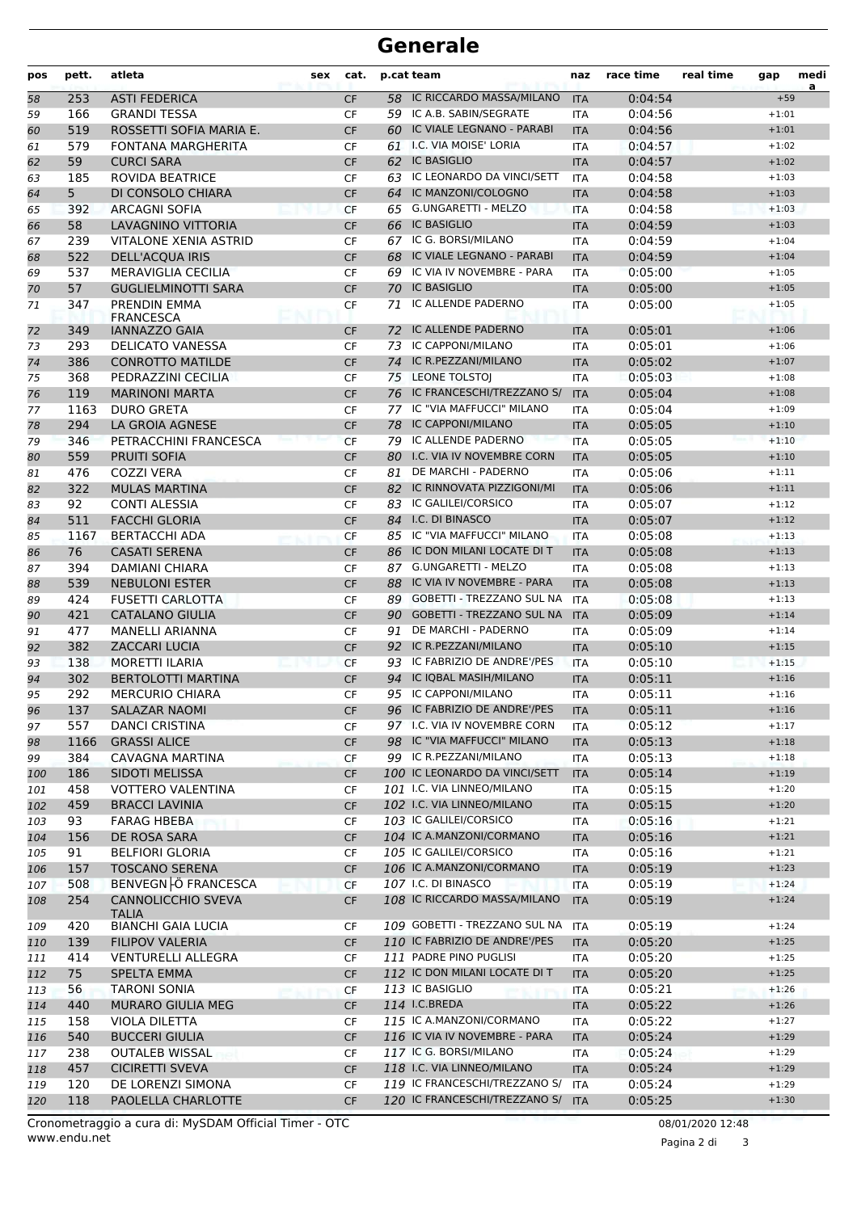| pos | pett.          | atleta                                          | <b>sex</b> | cat.      |    | p.cat team                                              | naz        | race time | real time | gap                | medi<br>a |
|-----|----------------|-------------------------------------------------|------------|-----------|----|---------------------------------------------------------|------------|-----------|-----------|--------------------|-----------|
| 58  | 253            | <b>ASTI FEDERICA</b>                            |            | <b>CF</b> |    | 58 IC RICCARDO MASSA/MILANO                             | <b>ITA</b> | 0:04:54   |           | $+59$              |           |
| 59  | 166            | <b>GRANDI TESSA</b>                             |            | CF        |    | 59 IC A.B. SABIN/SEGRATE                                | ITA        | 0:04:56   |           | $+1:01$            |           |
| 60  | 519            | ROSSETTI SOFIA MARIA E.                         |            | <b>CF</b> |    | 60 IC VIALE LEGNANO - PARABI                            | <b>ITA</b> | 0:04:56   |           | $+1:01$            |           |
| 61  | 579            | <b>FONTANA MARGHERITA</b>                       |            | CF        |    | 61 I.C. VIA MOISE' LORIA                                | <b>ITA</b> | 0:04:57   |           | $+1:02$            |           |
| 62  | 59             | <b>CURCI SARA</b>                               |            | <b>CF</b> | 62 | <b>IC BASIGLIO</b>                                      | <b>ITA</b> | 0:04:57   |           | $+1:02$            |           |
| 63  | 185            | ROVIDA BEATRICE                                 |            | <b>CF</b> |    | 63 IC LEONARDO DA VINCI/SETT                            | <b>ITA</b> | 0:04:58   |           | $+1:03$            |           |
| 64  | 5 <sup>5</sup> | DI CONSOLO CHIARA                               |            | <b>CF</b> | 64 | IC MANZONI/COLOGNO                                      | <b>ITA</b> | 0:04:58   |           | $+1:03$            |           |
| 65  | 392            | <b>ARCAGNI SOFIA</b>                            |            | <b>CF</b> |    | 65 G.UNGARETTI - MELZO                                  | <b>ITA</b> | 0:04:58   |           | $+1:03$            |           |
| 66  | 58             | LAVAGNINO VITTORIA                              |            | <b>CF</b> |    | 66 IC BASIGLIO                                          | <b>ITA</b> | 0:04:59   |           | $+1:03$            |           |
| 67  | 239            | <b>VITALONE XENIA ASTRID</b>                    |            | CF        | 67 | IC G. BORSI/MILANO                                      | <b>ITA</b> | 0:04:59   |           | $+1:04$            |           |
| 68  | 522            | <b>DELL'ACQUA IRIS</b>                          |            | <b>CF</b> | 68 | IC VIALE LEGNANO - PARABI                               | <b>ITA</b> | 0:04:59   |           | $+1:04$            |           |
| 69  | 537            | MERAVIGLIA CECILIA                              |            | CF        | 69 | IC VIA IV NOVEMBRE - PARA                               | <b>ITA</b> | 0:05:00   |           | $+1:05$            |           |
| 70  | 57             | <b>GUGLIELMINOTTI SARA</b>                      |            | <b>CF</b> | 70 | <b>IC BASIGLIO</b>                                      | <b>ITA</b> | 0:05:00   |           | $+1:05$            |           |
| 71  | 347            | PRENDIN EMMA                                    |            | CF        | 71 | IC ALLENDE PADERNO                                      | ITA        | 0:05:00   |           | $+1:05$            |           |
|     |                | <b>FRANCESCA</b>                                |            |           |    |                                                         |            |           |           |                    |           |
| 72  | 349            | <b>IANNAZZO GAIA</b>                            |            | <b>CF</b> | 72 | IC ALLENDE PADERNO                                      | <b>ITA</b> | 0:05:01   |           | $+1:06$            |           |
| 73  | 293            | <b>DELICATO VANESSA</b>                         |            | <b>CF</b> |    | 73 IC CAPPONI/MILANO                                    | <b>ITA</b> | 0:05:01   |           | $+1:06$            |           |
| 74  | 386            | <b>CONROTTO MATILDE</b>                         |            | <b>CF</b> | 74 | IC R.PEZZANI/MILANO                                     | <b>ITA</b> | 0:05:02   |           | $+1:07$            |           |
| 75  | 368            | PEDRAZZINI CECILIA                              |            | CF        | 75 | <b>LEONE TOLSTOI</b>                                    | ITA        | 0:05:03   |           | $+1:08$            |           |
| 76  | 119            | <b>MARINONI MARTA</b>                           |            | <b>CF</b> |    | 76 IC FRANCESCHI/TREZZANO S/                            | <b>ITA</b> | 0:05:04   |           | $+1:08$            |           |
| 77  | 1163           | <b>DURO GRETA</b>                               |            | <b>CF</b> | 77 | IC "VIA MAFFUCCI" MILANO                                | <b>ITA</b> | 0:05:04   |           | $+1:09$            |           |
| 78  | 294            | LA GROIA AGNESE                                 |            | CF        | 78 | <b>IC CAPPONI/MILANO</b>                                | <b>ITA</b> | 0:05:05   |           | $+1:10$            |           |
| 79  | 346            | PETRACCHINI FRANCESCA                           |            | <b>CF</b> |    | 79 IC ALLENDE PADERNO                                   | <b>ITA</b> | 0:05:05   |           | $+1:10$            |           |
| 80  | 559            | <b>PRUITI SOFIA</b>                             |            | <b>CF</b> | 80 | I.C. VIA IV NOVEMBRE CORN                               | <b>ITA</b> | 0:05:05   |           | $+1:10$            |           |
| 81  | 476            | <b>COZZI VERA</b>                               |            | CF        | 81 | DE MARCHI - PADERNO                                     | <b>ITA</b> | 0:05:06   |           | $+1:11$            |           |
| 82  | 322            | <b>MULAS MARTINA</b>                            |            | <b>CF</b> | 82 | IC RINNOVATA PIZZIGONI/MI                               | <b>ITA</b> | 0:05:06   |           | $+1:11$            |           |
| 83  | 92             | <b>CONTI ALESSIA</b>                            |            | <b>CF</b> | 83 | IC GALILEI/CORSICO                                      | <b>ITA</b> | 0:05:07   |           | $+1:12$            |           |
| 84  | 511            | <b>FACCHI GLORIA</b>                            |            | <b>CF</b> |    | 84 I.C. DI BINASCO                                      | <b>ITA</b> | 0:05:07   |           | $+1:12$            |           |
| 85  | 1167           | <b>BERTACCHI ADA</b>                            |            | <b>CF</b> |    | 85 IC "VIA MAFFUCCI" MILANO                             | <b>ITA</b> | 0:05:08   |           | $+1:13$            |           |
| 86  | 76             | <b>CASATI SERENA</b>                            |            | <b>CF</b> |    | 86 IC DON MILANI LOCATE DI T                            | <b>ITA</b> | 0:05:08   |           | $+1:13$            |           |
| 87  | 394            | <b>DAMIANI CHIARA</b>                           |            | CF        | 87 | <b>G.UNGARETTI - MELZO</b>                              | ITA        | 0:05:08   |           | $+1:13$            |           |
| 88  | 539            | <b>NEBULONI ESTER</b>                           |            | <b>CF</b> | 88 | IC VIA IV NOVEMBRE - PARA                               | <b>ITA</b> | 0:05:08   |           | $+1:13$            |           |
| 89  | 424            | <b>FUSETTI CARLOTTA</b>                         |            | <b>CF</b> | 89 | <b>GOBETTI - TREZZANO SUL NA</b>                        | <b>ITA</b> | 0:05:08   |           | $+1:13$            |           |
| 90  | 421            | <b>CATALANO GIULIA</b>                          |            | <b>CF</b> | 90 | <b>GOBETTI - TREZZANO SUL NA</b>                        | <b>ITA</b> | 0:05:09   |           | $+1:14$            |           |
| 91  | 477            | <b>MANELLI ARIANNA</b>                          |            | <b>CF</b> | 91 | DE MARCHI - PADERNO                                     | <b>ITA</b> | 0:05:09   |           | $+1:14$            |           |
| 92  | 382            | <b>ZACCARI LUCIA</b>                            |            | <b>CF</b> |    | 92 IC R.PEZZANI/MILANO                                  | <b>ITA</b> | 0:05:10   |           | $+1:15$            |           |
| 93  | 138            | <b>MORETTI ILARIA</b>                           |            | CF        | 93 | IC FABRIZIO DE ANDRE'/PES                               | <b>ITA</b> | 0:05:10   |           | $+1:15$            |           |
| 94  | 302            | <b>BERTOLOTTI MARTINA</b>                       |            | <b>CF</b> | 94 | IC IQBAL MASIH/MILANO                                   | <b>ITA</b> | 0:05:11   |           | $+1:16$            |           |
| 95  | 292            | <b>MERCURIO CHIARA</b>                          |            | CF        |    | 95 IC CAPPONI/MILANO                                    | <b>ITA</b> | 0:05:11   |           | $+1:16$            |           |
| 96  | 137            | SALAZAR NAOMI                                   |            | CF        |    | 96 IC FABRIZIO DE ANDRE'/PES                            | <b>ITA</b> | 0:05:11   |           | $+1:16$            |           |
| 97  | 557            | <b>DANCI CRISTINA</b>                           |            | CF        |    | 97 I.C. VIA IV NOVEMBRE CORN                            | ITA        | 0:05:12   |           | $+1:17$            |           |
| 98  | 1166           | <b>GRASSI ALICE</b>                             |            | <b>CF</b> |    | 98 IC "VIA MAFFUCCI" MILANO                             | <b>ITA</b> | 0:05:13   |           | $+1:18$            |           |
| 99  | 384            | CAVAGNA MARTINA                                 |            | CF        |    | 99 IC R.PEZZANI/MILANO                                  | ITA        | 0:05:13   |           | $+1:18$            |           |
| 100 | 186            | <b>SIDOTI MELISSA</b>                           |            | <b>CF</b> |    | 100 IC LEONARDO DA VINCI/SETT                           | <b>ITA</b> | 0:05:14   |           | $+1:19$            |           |
| 101 | 458            | <b>VOTTERO VALENTINA</b>                        |            | CF        |    | 101 I.C. VIA LINNEO/MILANO                              | ITA        | 0:05:15   |           | $+1:20$            |           |
| 102 | 459            | <b>BRACCI LAVINIA</b>                           |            | CF        |    | 102 I.C. VIA LINNEO/MILANO                              | <b>ITA</b> | 0:05:15   |           | $+1:20$            |           |
| 103 | 93             | <b>FARAG HBEBA</b>                              |            | CF        |    | 103 IC GALILEI/CORSICO                                  | <b>ITA</b> | 0:05:16   |           | $+1:21$            |           |
| 104 | 156            | DE ROSA SARA                                    |            | <b>CF</b> |    | 104 IC A.MANZONI/CORMANO                                | <b>ITA</b> | 0:05:16   |           | $+1:21$            |           |
| 105 | 91             | <b>BELFIORI GLORIA</b>                          |            | CF        |    | 105 IC GALILEI/CORSICO                                  | ITA        | 0:05:16   |           | $+1:21$            |           |
| 106 | 157            | <b>TOSCANO SERENA</b>                           |            | <b>CF</b> |    | 106 IC A.MANZONI/CORMANO                                | <b>ITA</b> | 0:05:19   |           | $+1:23$            |           |
| 107 | 508            | BENVEGN Ö FRANCESCA                             |            | <b>CF</b> |    | 107 I.C. DI BINASCO                                     | ITA        | 0:05:19   |           | $+1:24$            |           |
| 108 | 254            | <b>CANNOLICCHIO SVEVA</b>                       |            | CF        |    | 108 IC RICCARDO MASSA/MILANO                            | <b>ITA</b> | 0:05:19   |           | $+1:24$            |           |
|     | 420            | <b>TALIA</b><br><b>BIANCHI GAIA LUCIA</b>       |            |           |    | 109 GOBETTI - TREZZANO SUL NA                           |            | 0:05:19   |           |                    |           |
| 109 |                |                                                 |            | CF        |    | 110 IC FABRIZIO DE ANDRE'/PES                           | ITA        |           |           | $+1:24$            |           |
| 110 | 139            | <b>FILIPOV VALERIA</b>                          |            | CF        |    |                                                         | <b>ITA</b> | 0:05:20   |           | $+1:25$            |           |
| 111 | 414<br>75      | <b>VENTURELLI ALLEGRA</b><br><b>SPELTA EMMA</b> |            | CF        |    | 111 PADRE PINO PUGLISI<br>112 IC DON MILANI LOCATE DI T | ITA        | 0:05:20   |           | $+1:25$<br>$+1:25$ |           |
| 112 |                |                                                 |            | <b>CF</b> |    |                                                         | <b>ITA</b> | 0:05:20   |           |                    |           |
| 113 | 56             | TARONI SONIA                                    |            | CF        |    | 113 IC BASIGLIO                                         | <b>ITA</b> | 0:05:21   |           | $+1:26$            |           |
| 114 | 440            | MURARO GIULIA MEG                               |            | CF        |    | 114 I.C.BREDA                                           | <b>ITA</b> | 0:05:22   |           | $+1:26$            |           |
| 115 | 158            | <b>VIOLA DILETTA</b>                            |            | CF        |    | 115 IC A.MANZONI/CORMANO                                | <b>ITA</b> | 0:05:22   |           | $+1:27$            |           |
| 116 | 540            | <b>BUCCERI GIULIA</b>                           |            | <b>CF</b> |    | 116 IC VIA IV NOVEMBRE - PARA                           | <b>ITA</b> | 0:05:24   |           | $+1:29$            |           |
| 117 | 238            | <b>OUTALEB WISSAL</b>                           |            | CF        |    | 117 IC G. BORSI/MILANO                                  | ITA        | 0:05:24   |           | $+1:29$            |           |
| 118 | 457            | <b>CICIRETTI SVEVA</b>                          |            | <b>CF</b> |    | 118 I.C. VIA LINNEO/MILANO                              | <b>ITA</b> | 0:05:24   |           | $+1:29$            |           |
| 119 | 120            | DE LORENZI SIMONA                               |            | CF        |    | 119 IC FRANCESCHI/TREZZANO S/                           | <b>ITA</b> | 0:05:24   |           | $+1:29$            |           |
| 120 | 118            | PAOLELLA CHARLOTTE                              |            | CF        |    | 120 IC FRANCESCHI/TREZZANO S/                           | <b>ITA</b> | 0:05:25   |           | $+1:30$            |           |

www.endu.net Cronometraggio a cura di: MySDAM Official Timer - OTC 08/01/2020 12:48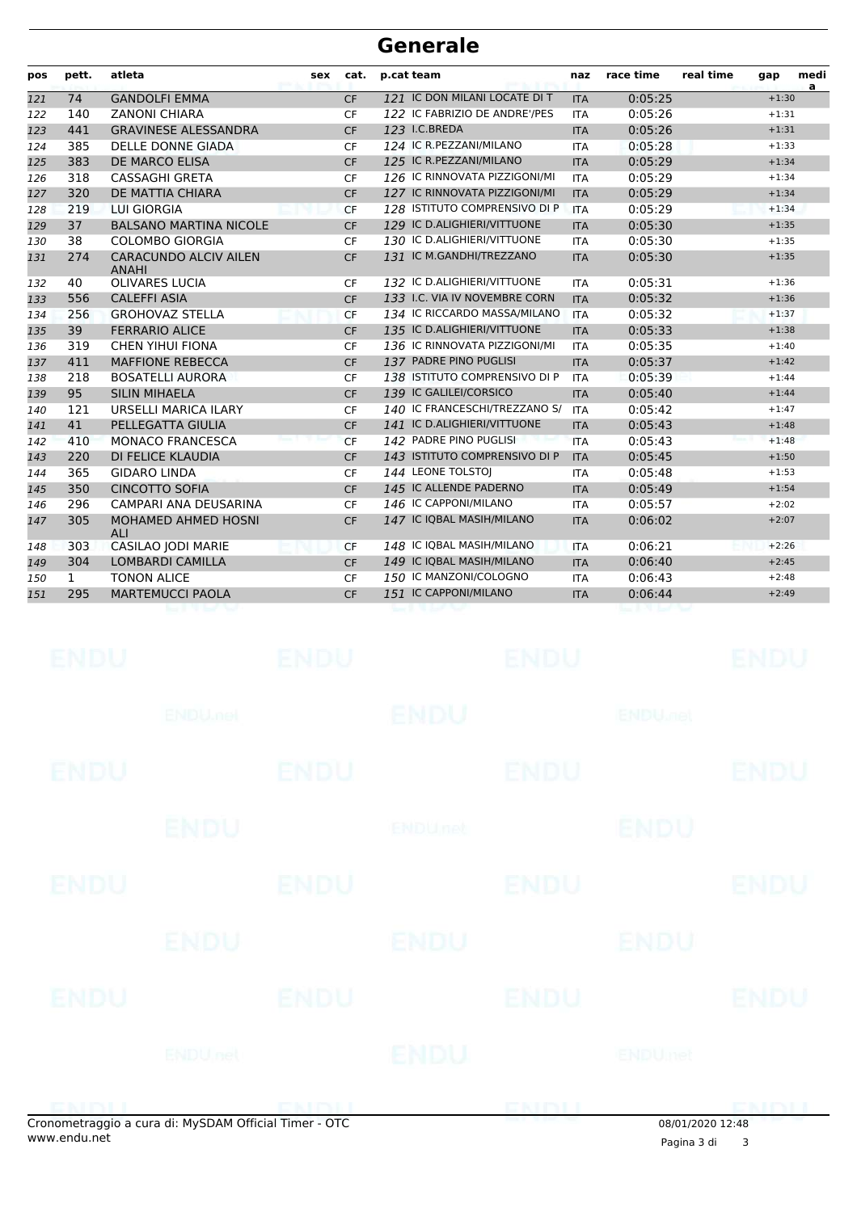| pos | pett.        | atleta                                | sex | cat.      | p.cat team                    | naz        | race time | real time | gap     | medi<br>a |
|-----|--------------|---------------------------------------|-----|-----------|-------------------------------|------------|-----------|-----------|---------|-----------|
| 121 | 74           | <b>GANDOLFI EMMA</b>                  |     | <b>CF</b> | 121 IC DON MILANI LOCATE DI T | <b>ITA</b> | 0:05:25   |           | $+1:30$ |           |
| 122 | 140          | <b>ZANONI CHIARA</b>                  |     | <b>CF</b> | 122 IC FABRIZIO DE ANDRE'/PES | <b>ITA</b> | 0:05:26   |           | $+1:31$ |           |
| 123 | 441          | <b>GRAVINESE ALESSANDRA</b>           |     | <b>CF</b> | 123 I.C.BREDA                 | <b>ITA</b> | 0:05:26   |           | $+1:31$ |           |
| 124 | 385          | <b>DELLE DONNE GIADA</b>              |     | CF        | 124 IC R.PEZZANI/MILANO       | <b>ITA</b> | 0:05:28   |           | $+1:33$ |           |
| 125 | 383          | <b>DE MARCO ELISA</b>                 |     | <b>CF</b> | 125 IC R.PEZZANI/MILANO       | <b>ITA</b> | 0:05:29   |           | $+1:34$ |           |
| 126 | 318          | <b>CASSAGHI GRETA</b>                 |     | <b>CF</b> | 126 IC RINNOVATA PIZZIGONI/MI | <b>ITA</b> | 0:05:29   |           | $+1:34$ |           |
| 127 | 320          | DE MATTIA CHIARA                      |     | <b>CF</b> | 127 IC RINNOVATA PIZZIGONI/MI | <b>ITA</b> | 0:05:29   |           | $+1:34$ |           |
| 128 | 219          | <b>LUI GIORGIA</b>                    |     | <b>CF</b> | 128 ISTITUTO COMPRENSIVO DI P | <b>ITA</b> | 0:05:29   |           | $+1:34$ |           |
| 129 | 37           | <b>BALSANO MARTINA NICOLE</b>         |     | <b>CF</b> | 129 IC D.ALIGHIERI/VITTUONE   | <b>ITA</b> | 0:05:30   |           | $+1:35$ |           |
| 130 | 38           | <b>COLOMBO GIORGIA</b>                |     | <b>CF</b> | 130 IC D.ALIGHIERI/VITTUONE   | <b>ITA</b> | 0:05:30   |           | $+1:35$ |           |
| 131 | 274          | CARACUNDO ALCIV AILEN<br><b>ANAHI</b> |     | <b>CF</b> | 131 IC M.GANDHI/TREZZANO      | <b>ITA</b> | 0:05:30   |           | $+1:35$ |           |
| 132 | 40           | <b>OLIVARES LUCIA</b>                 |     | <b>CF</b> | 132 IC D.ALIGHIERI/VITTUONE   | <b>ITA</b> | 0:05:31   |           | $+1:36$ |           |
| 133 | 556          | <b>CALEFFI ASIA</b>                   |     | <b>CF</b> | 133 I.C. VIA IV NOVEMBRE CORN | <b>ITA</b> | 0:05:32   |           | $+1:36$ |           |
| 134 | 256          | <b>GROHOVAZ STELLA</b>                |     | <b>CF</b> | 134 IC RICCARDO MASSA/MILANO  | <b>ITA</b> | 0:05:32   |           | $+1:37$ |           |
| 135 | 39           | <b>FERRARIO ALICE</b>                 |     | <b>CF</b> | 135 IC D.ALIGHIERI/VITTUONE   | <b>ITA</b> | 0:05:33   |           | $+1:38$ |           |
| 136 | 319          | <b>CHEN YIHUI FIONA</b>               |     | <b>CF</b> | 136 IC RINNOVATA PIZZIGONI/MI | <b>ITA</b> | 0:05:35   |           | $+1:40$ |           |
| 137 | 411          | <b>MAFFIONE REBECCA</b>               |     | <b>CF</b> | 137 PADRE PINO PUGLISI        | <b>ITA</b> | 0:05:37   |           | $+1:42$ |           |
| 138 | 218          | <b>BOSATELLI AURORA</b>               |     | <b>CF</b> | 138 ISTITUTO COMPRENSIVO DI P | <b>ITA</b> | 0:05:39   |           | $+1:44$ |           |
| 139 | 95           | <b>SILIN MIHAELA</b>                  |     | <b>CF</b> | 139 IC GALILEI/CORSICO        | <b>ITA</b> | 0:05:40   |           | $+1:44$ |           |
| 140 | 121          | URSELLI MARICA ILARY                  |     | CF        | 140 IC FRANCESCHI/TREZZANO S/ | <b>ITA</b> | 0:05:42   |           | $+1:47$ |           |
| 141 | 41           | PELLEGATTA GIULIA                     |     | <b>CF</b> | 141 IC D.ALIGHIERI/VITTUONE   | <b>ITA</b> | 0:05:43   |           | $+1:48$ |           |
| 142 | 410          | <b>MONACO FRANCESCA</b>               |     | <b>CF</b> | 142 PADRE PINO PUGLISI        | <b>ITA</b> | 0:05:43   |           | $+1:48$ |           |
| 143 | 220          | DI FELICE KLAUDIA                     |     | <b>CF</b> | 143 ISTITUTO COMPRENSIVO DI P | <b>ITA</b> | 0:05:45   |           | $+1:50$ |           |
| 144 | 365          | <b>GIDARO LINDA</b>                   |     | <b>CF</b> | 144 LEONE TOLSTOI             | <b>ITA</b> | 0:05:48   |           | $+1:53$ |           |
| 145 | 350          | <b>CINCOTTO SOFIA</b>                 |     | <b>CF</b> | 145 IC ALLENDE PADERNO        | <b>ITA</b> | 0:05:49   |           | $+1:54$ |           |
| 146 | 296          | CAMPARI ANA DEUSARINA                 |     | <b>CF</b> | 146 IC CAPPONI/MILANO         | <b>ITA</b> | 0:05:57   |           | $+2:02$ |           |
| 147 | 305          | MOHAMED AHMED HOSNI<br>AI             |     | <b>CF</b> | 147 IC IQBAL MASIH/MILANO     | <b>ITA</b> | 0:06:02   |           | $+2:07$ |           |
| 148 | 303          | CASILAO JODI MARIE                    |     | <b>CF</b> | 148 IC IQBAL MASIH/MILANO     | <b>ITA</b> | 0:06:21   |           | $+2:26$ |           |
| 149 | 304          | <b>LOMBARDI CAMILLA</b>               |     | <b>CF</b> | 149 IC IQBAL MASIH/MILANO     | <b>ITA</b> | 0:06:40   |           | $+2:45$ |           |
| 150 | $\mathbf{1}$ | <b>TONON ALICE</b>                    |     | <b>CF</b> | 150 IC MANZONI/COLOGNO        | <b>ITA</b> | 0:06:43   |           | $+2:48$ |           |
| 151 | 295          | <b>MARTEMUCCI PAOLA</b>               |     | <b>CF</b> | 151 IC CAPPONI/MILANO         | <b>ITA</b> | 0:06:44   |           | $+2:49$ |           |
|     |              |                                       |     |           |                               |            |           |           |         |           |

|             | onometraggio a cura di: MySDAM Official Timer - OTC |             |             |             | 08/01/2020 12:48          |              |
|-------------|-----------------------------------------------------|-------------|-------------|-------------|---------------------------|--------------|
|             | <b>ENDUnet</b>                                      |             | ENDU        | ENDU        | <b>ENDUmet</b>            | <b>EMALI</b> |
| <b>ENDU</b> |                                                     | <b>ENDU</b> |             | <b>ENDU</b> |                           | <b>ENDU</b>  |
|             | <b>ENDU</b>                                         |             | <b>ENDU</b> |             | ENDU                      |              |
| ENDU        |                                                     | <b>ENDU</b> |             | <b>ENDU</b> |                           | <b>ENDU</b>  |
|             | <b>ENDU</b>                                         |             | ENDUnet     |             | <b>ENDU</b>               |              |
| <b>ENDU</b> |                                                     | <b>ENDU</b> |             | <b>ENDU</b> |                           | <b>ENDU</b>  |
|             | <b>ENDU<sub>met</sub></b>                           |             | <b>ENDU</b> |             | <b>ENDU<sub>DEL</sub></b> |              |
| <b>ENDU</b> |                                                     | <b>ENDU</b> |             | <b>ENDU</b> |                           | <b>ENDU</b>  |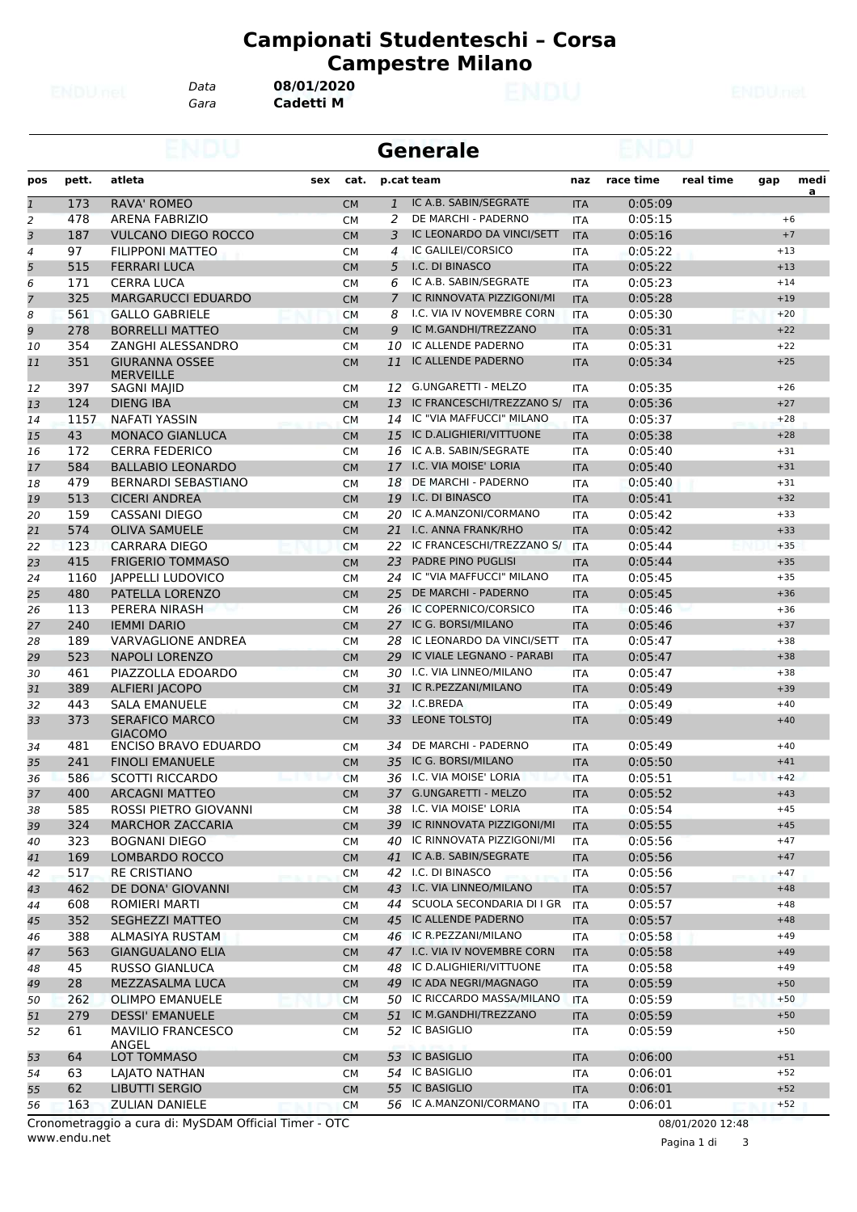*Gara* **Cadetti M** *Data* **08/01/2020**

|                |            |                                                 | <b>Generale</b> |                        |                |                                                    |                          |                    |           |                |          |
|----------------|------------|-------------------------------------------------|-----------------|------------------------|----------------|----------------------------------------------------|--------------------------|--------------------|-----------|----------------|----------|
| pos            | pett.      | atleta                                          | sex             | cat.                   |                | p.cat team                                         | naz                      | race time          | real time | gap            | medi     |
| $\overline{1}$ | 173        | <b>RAVA' ROMEO</b>                              |                 | <b>CM</b>              | $\mathbf{1}$   | IC A.B. SABIN/SEGRATE                              | <b>ITA</b>               | 0:05:09            |           |                | <u>a</u> |
| 2              | 478        | <b>ARENA FABRIZIO</b>                           |                 | <b>CM</b>              | 2              | DE MARCHI - PADERNO                                | <b>ITA</b>               | 0:05:15            |           | $+6$           |          |
| 3              | 187        | <b>VULCANO DIEGO ROCCO</b>                      |                 | <b>CM</b>              | 3              | IC LEONARDO DA VINCI/SETT                          | <b>ITA</b>               | 0:05:16            |           | $+7$           |          |
| 4              | 97         | <b>FILIPPONI MATTEO</b>                         |                 | <b>CM</b>              | 4              | <b>IC GALILEI/CORSICO</b>                          | <b>ITA</b>               | 0:05:22            |           | $+13$          |          |
| 5              | 515        | <b>FERRARI LUCA</b>                             |                 | <b>CM</b>              | 5              | I.C. DI BINASCO                                    | <b>ITA</b>               | 0:05:22            |           | $+13$          |          |
| 6              | 171        | <b>CERRA LUCA</b>                               |                 | <b>CM</b>              | 6              | IC A.B. SABIN/SEGRATE                              | <b>ITA</b>               | 0:05:23            |           | $+14$          |          |
| $\overline{7}$ | 325        | <b>MARGARUCCI EDUARDO</b>                       |                 | <b>CM</b>              | $\overline{7}$ | IC RINNOVATA PIZZIGONI/MI                          | <b>ITA</b>               | 0:05:28            |           | $+19$          |          |
| 8              | 561        | <b>GALLO GABRIELE</b>                           |                 | <b>CM</b>              | 8              | I.C. VIA IV NOVEMBRE CORN                          | <b>ITA</b>               | 0:05:30            |           | $+20$          |          |
| 9              | 278        | <b>BORRELLI MATTEO</b>                          |                 | <b>CM</b>              | 9              | IC M.GANDHI/TREZZANO                               | <b>ITA</b>               | 0:05:31            |           | $+22$          |          |
| 10             | 354        | ZANGHI ALESSANDRO                               |                 | <b>CM</b>              | 10             | IC ALLENDE PADERNO                                 | <b>ITA</b>               | 0:05:31            |           | $+22$          |          |
| 11             | 351        | <b>GIURANNA OSSEE</b><br><b>MERVEILLE</b>       |                 | <b>CM</b>              | 11             | IC ALLENDE PADERNO                                 | <b>ITA</b>               | 0:05:34            |           | $+25$          |          |
| 12             | 397        | <b>SAGNI MAJID</b>                              |                 | <b>CM</b>              | 12             | G.UNGARETTI - MELZO                                | <b>ITA</b>               | 0:05:35            |           | $+26$          |          |
| 13             | 124        | DIENG IBA                                       |                 | <b>CM</b>              | 13             | IC FRANCESCHI/TREZZANO S/                          | <b>ITA</b>               | 0:05:36            |           | $+27$          |          |
| 14             | 1157       | NAFATI YASSIN                                   |                 | <b>CM</b>              |                | 14 IC "VIA MAFFUCCI" MILANO                        | <b>ITA</b>               | 0:05:37            |           | $+28$          |          |
| 15             | 43         | <b>MONACO GIANLUCA</b>                          |                 | <b>CM</b>              | 15             | IC D.ALIGHIERI/VITTUONE                            | <b>ITA</b>               | 0:05:38            |           | $+28$          |          |
| 16             | 172        | <b>CERRA FEDERICO</b>                           |                 | <b>CM</b>              | 16             | IC A.B. SABIN/SEGRATE                              | <b>ITA</b>               | 0:05:40            |           | $+31$          |          |
| 17             | 584        | <b>BALLABIO LEONARDO</b>                        |                 | <b>CM</b>              |                | 17 I.C. VIA MOISE' LORIA                           | <b>ITA</b>               | 0:05:40            |           | $+31$          |          |
| 18             | 479        | <b>BERNARDI SEBASTIANO</b>                      |                 | <b>CM</b>              | 18             | DE MARCHI - PADERNO                                | <b>ITA</b>               | 0:05:40            |           | $+31$          |          |
| 19             | 513        | <b>CICERI ANDREA</b>                            |                 | <b>CM</b>              | 19             | I.C. DI BINASCO                                    | <b>ITA</b>               | 0:05:41            |           | $+32$          |          |
| 20             | 159        | <b>CASSANI DIEGO</b>                            |                 | <b>CM</b>              | 20             | IC A.MANZONI/CORMANO                               | <b>ITA</b>               | 0:05:42            |           | $+33$          |          |
| 21             | 574        | <b>OLIVA SAMUELE</b>                            |                 | <b>CM</b>              | 21             | I.C. ANNA FRANK/RHO                                | <b>ITA</b>               | 0:05:42            |           | $+33$          |          |
| 22             | 123        | <b>CARRARA DIEGO</b>                            |                 | <b>CM</b>              | 22             | IC FRANCESCHI/TREZZANO S/                          | <b>ITA</b>               | 0:05:44            |           | $+35$          |          |
| 23             | 415        | <b>FRIGERIO TOMMASO</b>                         |                 | <b>CM</b>              | 23             | PADRE PINO PUGLISI                                 | <b>ITA</b>               | 0:05:44            |           | $+35$          |          |
| 24             | 1160       | <b>JAPPELLI LUDOVICO</b>                        |                 | <b>CM</b>              | 24             | IC "VIA MAFFUCCI" MILANO                           | <b>ITA</b>               | 0:05:45            |           | $+35$          |          |
| 25             | 480        | PATELLA LORENZO                                 |                 | <b>CM</b>              | 25             | DE MARCHI - PADERNO                                | <b>ITA</b>               | 0:05:45            |           | $+36$          |          |
| 26             | 113        | PERERA NIRASH                                   |                 | <b>CM</b>              | 26             | IC COPERNICO/CORSICO                               | <b>ITA</b>               | 0:05:46            |           | $+36$          |          |
| 27             | 240        | <b>IEMMI DARIO</b>                              |                 | <b>CM</b>              | 27             | IC G. BORSI/MILANO                                 | <b>ITA</b>               | 0:05:46            |           | $+37$          |          |
| 28             | 189        | <b>VARVAGLIONE ANDREA</b>                       |                 | <b>CM</b>              | 28             | IC LEONARDO DA VINCI/SETT                          | <b>ITA</b>               | 0:05:47            |           | $+38$          |          |
| 29             | 523        | <b>NAPOLI LORENZO</b>                           |                 | <b>CM</b>              | 29             | IC VIALE LEGNANO - PARABI                          | <b>ITA</b>               | 0:05:47            |           | $+38$          |          |
| 30             | 461        | PIAZZOLLA EDOARDO                               |                 | <b>CM</b>              | 30             | I.C. VIA LINNEO/MILANO                             | <b>ITA</b>               | 0:05:47            |           | $+38$          |          |
| 31             | 389        | <b>ALFIERI JACOPO</b>                           |                 | <b>CM</b>              | 31             | IC R.PEZZANI/MILANO                                | <b>ITA</b>               | 0:05:49            |           | $+39$          |          |
| 32             | 443        | <b>SALA EMANUELE</b>                            |                 | <b>CM</b>              |                | 32 I.C.BREDA                                       | <b>ITA</b>               | 0:05:49            |           | $+40$          |          |
| 33             | 373        | <b>SERAFICO MARCO</b><br><b>GIACOMO</b>         |                 | <b>CM</b>              | 33             | <b>LEONE TOLSTOJ</b><br>DE MARCHI - PADERNO        | <b>ITA</b>               | 0:05:49<br>0:05:49 |           | $+40$          |          |
| 34             | 481        | <b>ENCISO BRAVO EDUARDO</b>                     |                 | <b>CM</b>              | 34             |                                                    | ITA                      |                    |           | $+40$          |          |
| 35             | 241        | <b>FINOLI EMANUELE</b>                          |                 | <b>CM</b>              | 35             | IC G. BORSI/MILANO<br>36 I.C. VIA MOISE' LORIA     | <b>ITA</b>               | 0:05:50            |           | $+41$          |          |
| 36             | 586        | <b>SCOTTI RICCARDO</b>                          |                 | <b>CM</b>              |                |                                                    | <b>ITA</b>               | 0:05:51            |           | $+42$          |          |
| 37             | 400        | <b>ARCAGNI MATTEO</b><br>ROSSI PIETRO GIOVANNI  |                 | <b>CM</b>              |                | 37 G.UNGARETTI - MELZO<br>38 I.C. VIA MOISE' LORIA | <b>ITA</b>               | 0:05:52            |           | $+43$          |          |
| 38             | 585<br>324 |                                                 |                 | <b>CM</b>              |                | 39 IC RINNOVATA PIZZIGONI/MI                       | ITA                      | 0:05:54            |           | $+45$<br>$+45$ |          |
| 39<br>40       | 323        | <b>MARCHOR ZACCARIA</b><br><b>BOGNANI DIEGO</b> |                 | <b>CM</b>              | 40             | IC RINNOVATA PIZZIGONI/MI                          | <b>ITA</b><br>ITA        | 0:05:55<br>0:05:56 |           | $+47$          |          |
| 41             | 169        | LOMBARDO ROCCO                                  |                 | <b>CM</b><br><b>CM</b> |                | 41 IC A.B. SABIN/SEGRATE                           |                          | 0:05:56            |           | $+47$          |          |
| 42             | 517        | <b>RE CRISTIANO</b>                             |                 | <b>CM</b>              |                | 42 I.C. DI BINASCO                                 | <b>ITA</b><br>ITA        | 0:05:56            |           | $+47$          |          |
| 43             | 462        | DE DONA' GIOVANNI                               |                 | <b>CM</b>              |                | 43 I.C. VIA LINNEO/MILANO                          | <b>ITA</b>               | 0:05:57            |           | $+48$          |          |
|                | 608        | ROMIERI MARTI                                   |                 |                        |                | 44 SCUOLA SECONDARIA DI I GR                       |                          | 0:05:57            |           | $+48$          |          |
| 44<br>45       | 352        | <b>SEGHEZZI MATTEO</b>                          |                 | <b>CM</b>              |                | 45 IC ALLENDE PADERNO                              | <b>ITA</b><br><b>ITA</b> | 0:05:57            |           | $+48$          |          |
| 46             | 388        | <b>ALMASIYA RUSTAM</b>                          |                 | <b>CM</b><br><b>CM</b> |                | 46 IC R.PEZZANI/MILANO                             | ITA                      | 0:05:58            |           | $+49$          |          |
| 47             | 563        | <b>GIANGUALANO ELIA</b>                         |                 |                        |                | 47 I.C. VIA IV NOVEMBRE CORN                       |                          | 0:05:58            |           | $+49$          |          |
|                | 45         |                                                 |                 | <b>CM</b>              | 48             | IC D.ALIGHIERI/VITTUONE                            | <b>ITA</b>               |                    |           | $+49$          |          |
| 48<br>49       | 28         | <b>RUSSO GIANLUCA</b><br>MEZZASALMA LUCA        |                 | <b>CM</b><br><b>CM</b> | 49             | IC ADA NEGRI/MAGNAGO                               | <b>ITA</b><br><b>ITA</b> | 0:05:58<br>0:05:59 |           | $+50$          |          |
| 50             | 262        | <b>OLIMPO EMANUELE</b>                          |                 | <b>CM</b>              |                | 50 IC RICCARDO MASSA/MILANO                        | <b>ITA</b>               | 0:05:59            |           | $+50$          |          |
| 51             | 279        | <b>DESSI' EMANUELE</b>                          |                 | <b>CM</b>              |                | 51 IC M.GANDHI/TREZZANO                            | <b>ITA</b>               | 0:05:59            |           | $+50$          |          |
| 52             | 61         | <b>MAVILIO FRANCESCO</b>                        |                 | <b>CM</b>              | 52             | IC BASIGLIO                                        | ITA                      | 0:05:59            |           | $+50$          |          |
|                |            | ANGEL                                           |                 |                        |                |                                                    |                          |                    |           |                |          |
| 53             | 64         | LOT TOMMASO                                     |                 | <b>CM</b>              | 53             | <b>IC BASIGLIO</b>                                 | <b>ITA</b>               | 0:06:00            |           | $+51$          |          |
| 54             | 63         | LAJATO NATHAN                                   |                 | <b>CM</b>              | 54             | <b>IC BASIGLIO</b>                                 | ITA                      | 0:06:01            |           | $+52$          |          |
| 55             | 62         | LIBUTTI SERGIO                                  |                 | CM                     |                | 55 IC BASIGLIO                                     | <b>ITA</b>               | 0:06:01            |           | $+52$          |          |
| 56             | 163        | <b>ZULIAN DANIELE</b>                           |                 | <b>CM</b>              |                | 56 IC A.MANZONI/CORMANO                            | ITA                      | 0:06:01            |           | $+52$          |          |

www.endu.net Cronometraggio a cura di: MySDAM Official Timer - OTC 08/01/2020 12:48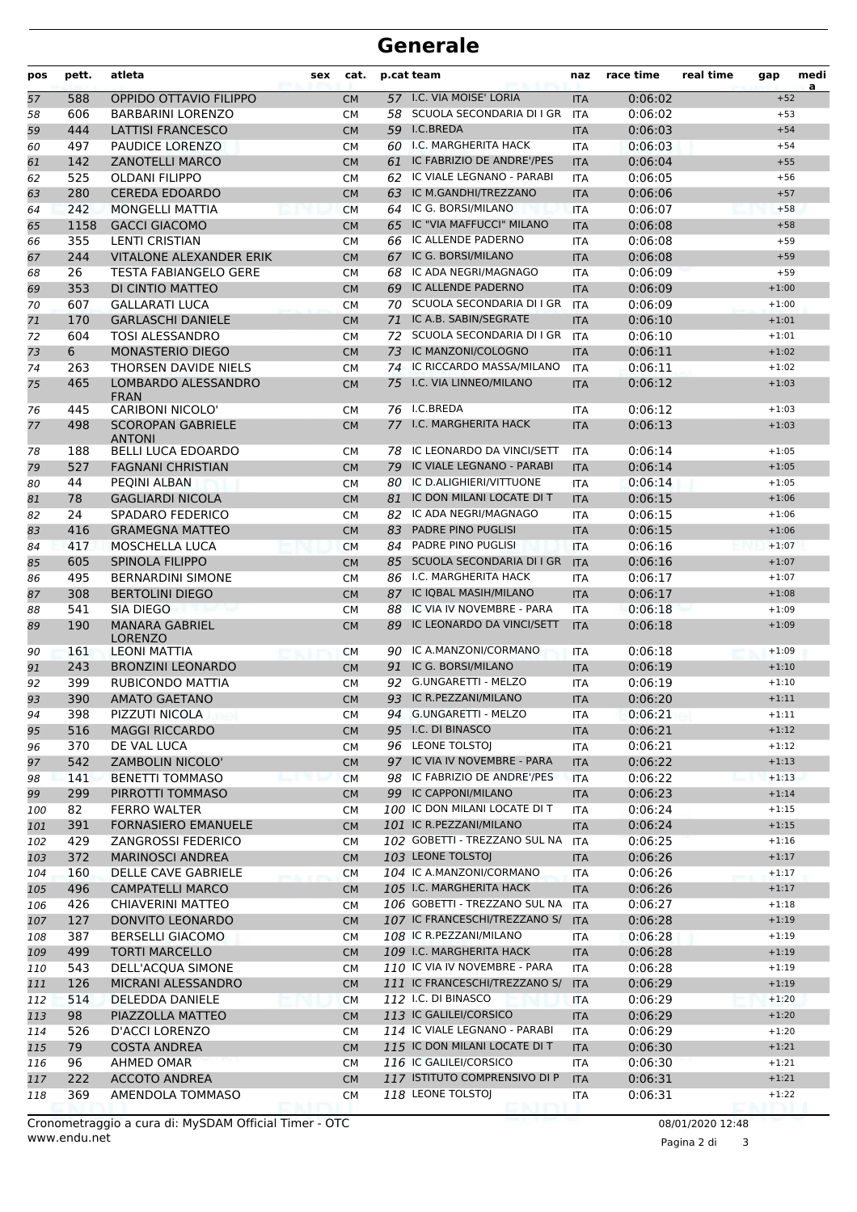| pos | atleta<br>pett.<br>sex<br>cat.<br>p.cat team |                                           | naz       | race time | real time                     | gap        | medi<br>a |  |         |  |
|-----|----------------------------------------------|-------------------------------------------|-----------|-----------|-------------------------------|------------|-----------|--|---------|--|
| 57  | 588                                          | OPPIDO OTTAVIO FILIPPO                    | <b>CM</b> |           | 57 I.C. VIA MOISE' LORIA      | <b>ITA</b> | 0:06:02   |  | $+52$   |  |
| 58  | 606                                          | <b>BARBARINI LORENZO</b>                  | <b>CM</b> |           | 58 SCUOLA SECONDARIA DI I GR  | <b>ITA</b> | 0:06:02   |  | $+53$   |  |
| 59  | 444                                          | LATTISI FRANCESCO                         | <b>CM</b> |           | 59 I.C.BREDA                  | <b>ITA</b> | 0:06:03   |  | $+54$   |  |
| 60  | 497                                          | PAUDICE LORENZO                           | <b>CM</b> | 60        | <b>I.C. MARGHERITA HACK</b>   | <b>ITA</b> | 0:06:03   |  | $+54$   |  |
| 61  | 142                                          | <b>ZANOTELLI MARCO</b>                    | <b>CM</b> | 61        | IC FABRIZIO DE ANDRE'/PES     | <b>ITA</b> | 0:06:04   |  | $+55$   |  |
| 62  | 525                                          | <b>OLDANI FILIPPO</b>                     | <b>CM</b> |           | 62 IC VIALE LEGNANO - PARABI  | <b>ITA</b> | 0:06:05   |  | $+56$   |  |
| 63  | 280                                          | <b>CEREDA EDOARDO</b>                     | <b>CM</b> | 63        | IC M.GANDHI/TREZZANO          | <b>ITA</b> | 0:06:06   |  | $+57$   |  |
| 64  | 242                                          | <b>MONGELLI MATTIA</b>                    | <b>CM</b> |           | 64 IC G. BORSI/MILANO         | <b>ITA</b> | 0:06:07   |  | $+58$   |  |
| 65  | 1158                                         | <b>GACCI GIACOMO</b>                      | <b>CM</b> | 65        | IC "VIA MAFFUCCI" MILANO      | <b>ITA</b> | 0:06:08   |  | $+58$   |  |
| 66  | 355                                          | <b>LENTI CRISTIAN</b>                     | <b>CM</b> | 66        | IC ALLENDE PADERNO            | <b>ITA</b> | 0:06:08   |  | $+59$   |  |
| 67  | 244                                          | <b>VITALONE ALEXANDER ERIK</b>            | <b>CM</b> | 67        | IC G. BORSI/MILANO            | <b>ITA</b> | 0:06:08   |  | $+59$   |  |
| 68  | 26                                           | <b>TESTA FABIANGELO GERE</b>              | <b>CM</b> | 68        | IC ADA NEGRI/MAGNAGO          | <b>ITA</b> | 0:06:09   |  | $+59$   |  |
| 69  | 353                                          | DI CINTIO MATTEO                          | <b>CM</b> | 69        | IC ALLENDE PADERNO            | <b>ITA</b> | 0:06:09   |  | $+1:00$ |  |
| 70  | 607                                          | <b>GALLARATI LUCA</b>                     | <b>CM</b> |           | 70 SCUOLA SECONDARIA DI I GR  | <b>ITA</b> | 0:06:09   |  | $+1:00$ |  |
| 71  | 170                                          | <b>GARLASCHI DANIELE</b>                  | <b>CM</b> | 71        | IC A.B. SABIN/SEGRATE         | <b>ITA</b> | 0:06:10   |  | $+1:01$ |  |
| 72  | 604                                          | <b>TOSI ALESSANDRO</b>                    | <b>CM</b> | 72        | SCUOLA SECONDARIA DI I GR     | <b>ITA</b> | 0:06:10   |  | $+1:01$ |  |
| 73  | 6                                            | MONASTERIO DIEGO                          | <b>CM</b> | 73        | IC MANZONI/COLOGNO            | <b>ITA</b> | 0:06:11   |  | $+1:02$ |  |
| 74  | 263                                          | THORSEN DAVIDE NIELS                      | <b>CM</b> | 74        | IC RICCARDO MASSA/MILANO      | <b>ITA</b> | 0:06:11   |  | $+1:02$ |  |
| 75  | 465                                          | LOMBARDO ALESSANDRO                       | <b>CM</b> | 75        | I.C. VIA LINNEO/MILANO        | <b>ITA</b> | 0:06:12   |  | $+1:03$ |  |
|     |                                              | <b>FRAN</b>                               |           |           |                               |            |           |  |         |  |
| 76  | 445                                          | <b>CARIBONI NICOLO'</b>                   | <b>CM</b> |           | 76 I.C.BREDA                  | <b>ITA</b> | 0:06:12   |  | $+1:03$ |  |
| 77  | 498                                          | <b>SCOROPAN GABRIELE</b><br><b>ANTONI</b> | <b>CM</b> |           | 77 I.C. MARGHERITA HACK       | <b>ITA</b> | 0:06:13   |  | $+1:03$ |  |
| 78  | 188                                          | <b>BELLI LUCA EDOARDO</b>                 | <b>CM</b> |           | 78 IC LEONARDO DA VINCI/SETT  | <b>ITA</b> | 0:06:14   |  | $+1:05$ |  |
| 79  | 527                                          | <b>FAGNANI CHRISTIAN</b>                  | <b>CM</b> | 79        | IC VIALE LEGNANO - PARABI     | <b>ITA</b> | 0:06:14   |  | $+1:05$ |  |
| 80  | 44                                           | PEQINI ALBAN                              | <b>CM</b> | 80        | IC D.ALIGHIERI/VITTUONE       | <b>ITA</b> | 0:06:14   |  | $+1:05$ |  |
| 81  | 78                                           | <b>GAGLIARDI NICOLA</b>                   | <b>CM</b> | 81        | IC DON MILANI LOCATE DI T     | <b>ITA</b> | 0:06:15   |  | $+1:06$ |  |
| 82  | 24                                           | SPADARO FEDERICO                          | <b>CM</b> | 82        | IC ADA NEGRI/MAGNAGO          | <b>ITA</b> | 0:06:15   |  | $+1:06$ |  |
| 83  | 416                                          | <b>GRAMEGNA MATTEO</b>                    | <b>CM</b> | 83        | <b>PADRE PINO PUGLISI</b>     | <b>ITA</b> | 0:06:15   |  | $+1:06$ |  |
| 84  | 417                                          | <b>MOSCHELLA LUCA</b>                     | <b>CM</b> |           | 84 PADRE PINO PUGLISI         | <b>ITA</b> | 0:06:16   |  | $+1:07$ |  |
| 85  | 605                                          | <b>SPINOLA FILIPPO</b>                    | <b>CM</b> | 85        | SCUOLA SECONDARIA DI I GR     | <b>ITA</b> | 0:06:16   |  | $+1:07$ |  |
| 86  | 495                                          | <b>BERNARDINI SIMONE</b>                  | <b>CM</b> | 86        | I.C. MARGHERITA HACK          | <b>ITA</b> | 0:06:17   |  | $+1:07$ |  |
| 87  | 308                                          | <b>BERTOLINI DIEGO</b>                    | <b>CM</b> | 87        | IC IQBAL MASIH/MILANO         | <b>ITA</b> | 0:06:17   |  | $+1:08$ |  |
| 88  | 541                                          | SIA DIEGO                                 | <b>CM</b> | 88        | IC VIA IV NOVEMBRE - PARA     | <b>ITA</b> | 0:06:18   |  | $+1:09$ |  |
| 89  | 190                                          | <b>MANARA GABRIEL</b><br><b>LORENZO</b>   | <b>CM</b> | 89        | IC LEONARDO DA VINCI/SETT     | <b>ITA</b> | 0:06:18   |  | $+1:09$ |  |
| 90  | 161                                          | <b>LEONI MATTIA</b>                       | <b>CM</b> | 90        | IC A.MANZONI/CORMANO          | <b>ITA</b> | 0:06:18   |  | $+1:09$ |  |
| 91  | 243                                          | <b>BRONZINI LEONARDO</b>                  | <b>CM</b> | 91        | IC G. BORSI/MILANO            | <b>ITA</b> | 0:06:19   |  | $+1:10$ |  |
| 92  | 399                                          | RUBICONDO MATTIA                          | <b>CM</b> | 92        | G.UNGARETTI - MELZO           | <b>ITA</b> | 0:06:19   |  | $+1:10$ |  |
| 93  | 390                                          | <b>AMATO GAETANO</b>                      | <b>CM</b> |           | 93 IC R.PEZZANI/MILANO        | <b>ITA</b> | 0:06:20   |  | $+1:11$ |  |
| 94  | 398                                          | PIZZUTI NICOLA                            | <b>CM</b> |           | 94 G.UNGARETTI - MELZO        | ITA        | 0:06:21   |  | $+1:11$ |  |
| 95  | 516                                          | <b>MAGGI RICCARDO</b>                     | <b>CM</b> |           | 95 I.C. DI BINASCO            | <b>ITA</b> | 0:06:21   |  | $+1:12$ |  |
| 96  | 370                                          | DE VAL LUCA                               | <b>CM</b> |           | 96 LEONE TOLSTOJ              | ITA        | 0:06:21   |  | $+1:12$ |  |
| 97  | 542                                          | <b>ZAMBOLIN NICOLO'</b>                   | <b>CM</b> |           | 97 IC VIA IV NOVEMBRE - PARA  | <b>ITA</b> | 0:06:22   |  | $+1:13$ |  |
| 98  | 141                                          | <b>BENETTI TOMMASO</b>                    | <b>CM</b> |           | 98 IC FABRIZIO DE ANDRE'/PES  | ITA        | 0:06:22   |  | $+1:13$ |  |
| 99  | 299                                          | PIRROTTI TOMMASO                          | <b>CM</b> |           | 99 IC CAPPONI/MILANO          | <b>ITA</b> | 0:06:23   |  | $+1:14$ |  |
| 100 | 82                                           | <b>FERRO WALTER</b>                       | <b>CM</b> |           | 100 IC DON MILANI LOCATE DI T | ITA        | 0:06:24   |  | $+1:15$ |  |
|     | 391                                          | <b>FORNASIERO EMANUELE</b>                | <b>CM</b> |           | 101 IC R.PEZZANI/MILANO       | <b>ITA</b> | 0:06:24   |  | $+1:15$ |  |
| 101 | 429                                          | <b>ZANGROSSI FEDERICO</b>                 | <b>CM</b> |           | 102 GOBETTI - TREZZANO SUL NA | <b>ITA</b> | 0:06:25   |  | $+1:16$ |  |
| 102 | 372                                          | <b>MARINOSCI ANDREA</b>                   |           |           | 103 LEONE TOLSTOJ             |            | 0:06:26   |  | $+1:17$ |  |
| 103 |                                              |                                           | <b>CM</b> |           | 104 IC A.MANZONI/CORMANO      | <b>ITA</b> |           |  |         |  |
| 104 | 160                                          | <b>DELLE CAVE GABRIELE</b>                | <b>CM</b> |           |                               | ITA        | 0:06:26   |  | $+1:17$ |  |
| 105 | 496                                          | <b>CAMPATELLI MARCO</b>                   | <b>CM</b> |           | 105 I.C. MARGHERITA HACK      | <b>ITA</b> | 0:06:26   |  | $+1:17$ |  |
| 106 | 426                                          | CHIAVERINI MATTEO                         | <b>CM</b> |           | 106 GOBETTI - TREZZANO SUL NA | <b>ITA</b> | 0:06:27   |  | $+1:18$ |  |
| 107 | 127                                          | DONVITO LEONARDO                          | <b>CM</b> |           | 107 IC FRANCESCHI/TREZZANO S/ | <b>ITA</b> | 0:06:28   |  | $+1:19$ |  |
| 108 | 387                                          | <b>BERSELLI GIACOMO</b>                   | <b>CM</b> |           | 108 IC R.PEZZANI/MILANO       | ITA        | 0:06:28   |  | $+1:19$ |  |
| 109 | 499                                          | <b>TORTI MARCELLO</b>                     | <b>CM</b> |           | 109 I.C. MARGHERITA HACK      | <b>ITA</b> | 0:06:28   |  | $+1:19$ |  |
| 110 | 543                                          | DELL'ACQUA SIMONE                         | <b>CM</b> |           | 110 IC VIA IV NOVEMBRE - PARA | ITA        | 0:06:28   |  | $+1:19$ |  |
| 111 | 126                                          | MICRANI ALESSANDRO                        | <b>CM</b> |           | 111 IC FRANCESCHI/TREZZANO S/ | <b>ITA</b> | 0:06:29   |  | $+1:19$ |  |
| 112 | 514                                          | DELEDDA DANIELE                           | <b>CM</b> |           | 112 I.C. DI BINASCO           | ITA        | 0:06:29   |  | $+1:20$ |  |
| 113 | 98                                           | PIAZZOLLA MATTEO                          | <b>CM</b> |           | 113 IC GALILEI/CORSICO        | <b>ITA</b> | 0:06:29   |  | $+1:20$ |  |
| 114 | 526                                          | D'ACCI LORENZO                            | <b>CM</b> |           | 114 IC VIALE LEGNANO - PARABI | ITA        | 0:06:29   |  | $+1:20$ |  |
| 115 | 79                                           | <b>COSTA ANDREA</b>                       | <b>CM</b> |           | 115 IC DON MILANI LOCATE DI T | <b>ITA</b> | 0:06:30   |  | $+1:21$ |  |
| 116 | 96                                           | AHMED OMAR                                | <b>CM</b> |           | 116 IC GALILEI/CORSICO        | ITA        | 0:06:30   |  | $+1:21$ |  |
| 117 | 222                                          | ACCOTO ANDREA                             | <b>CM</b> |           | 117 ISTITUTO COMPRENSIVO DI P | <b>ITA</b> | 0:06:31   |  | $+1:21$ |  |
| 118 | 369                                          | AMENDOLA TOMMASO                          | <b>CM</b> |           | 118 LEONE TOLSTOJ             | ITA        | 0:06:31   |  | $+1:22$ |  |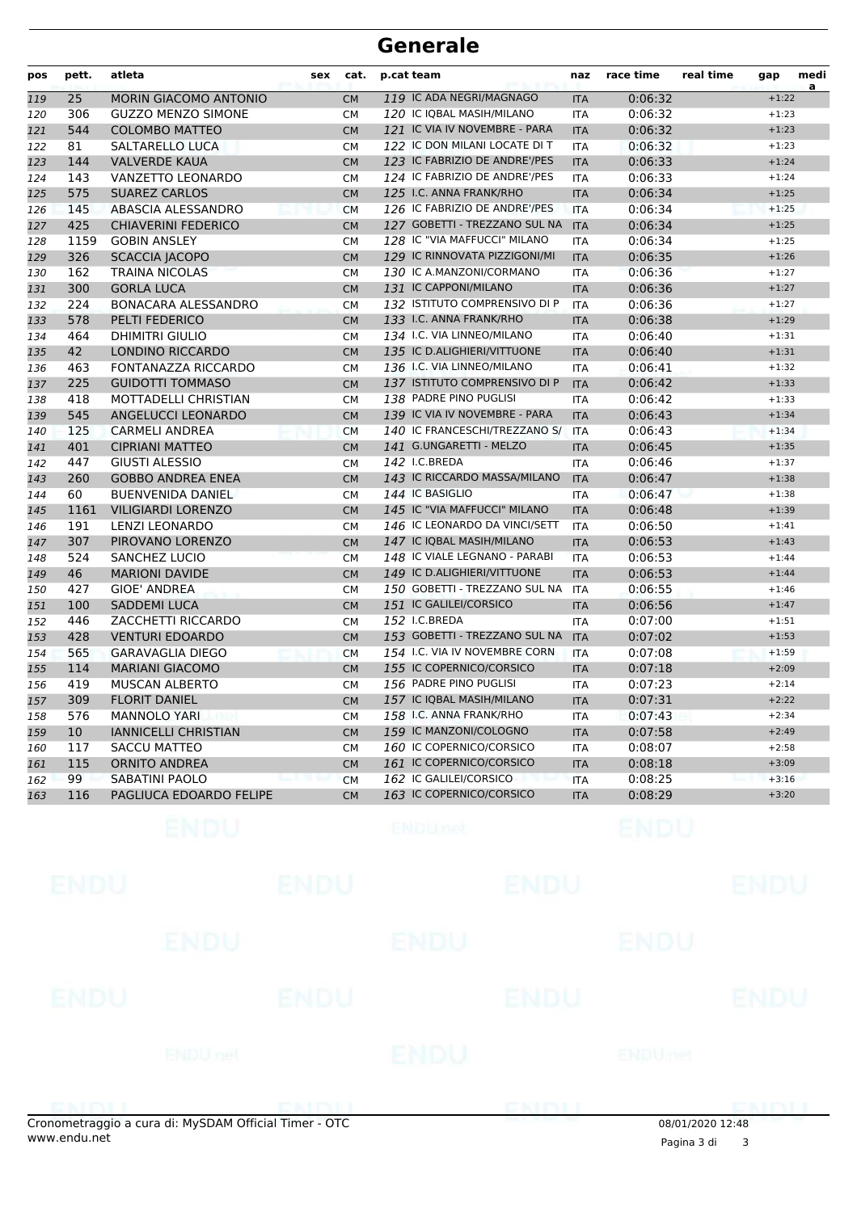| pos | pett.           | atleta                       | sex | cat.      | p.cat team                    | naz        | race time | real time | gap     | medi<br>a |
|-----|-----------------|------------------------------|-----|-----------|-------------------------------|------------|-----------|-----------|---------|-----------|
| 119 | 25              | <b>MORIN GIACOMO ANTONIO</b> |     | <b>CM</b> | 119 IC ADA NEGRI/MAGNAGO      | <b>ITA</b> | 0:06:32   |           | $+1:22$ |           |
| 120 | 306             | <b>GUZZO MENZO SIMONE</b>    |     | <b>CM</b> | 120 IC IQBAL MASIH/MILANO     | <b>ITA</b> | 0:06:32   |           | $+1:23$ |           |
| 121 | 544             | <b>COLOMBO MATTEO</b>        |     | <b>CM</b> | 121 IC VIA IV NOVEMBRE - PARA | <b>ITA</b> | 0:06:32   |           | $+1:23$ |           |
| 122 | 81              | SALTARELLO LUCA              |     | <b>CM</b> | 122 IC DON MILANI LOCATE DI T | <b>ITA</b> | 0:06:32   |           | $+1:23$ |           |
| 123 | 144             | <b>VALVERDE KAUA</b>         |     | <b>CM</b> | 123 IC FABRIZIO DE ANDRE'/PES | <b>ITA</b> | 0:06:33   |           | $+1:24$ |           |
| 124 | 143             | VANZETTO LEONARDO            |     | <b>CM</b> | 124 IC FABRIZIO DE ANDRE'/PES | <b>ITA</b> | 0:06:33   |           | $+1:24$ |           |
| 125 | 575             | <b>SUAREZ CARLOS</b>         |     | <b>CM</b> | 125 I.C. ANNA FRANK/RHO       | <b>ITA</b> | 0:06:34   |           | $+1:25$ |           |
| 126 | 145             | ABASCIA ALESSANDRO           |     | <b>CM</b> | 126 IC FABRIZIO DE ANDRE'/PES | <b>ITA</b> | 0:06:34   |           | $+1:25$ |           |
| 127 | 425             | <b>CHIAVERINI FEDERICO</b>   |     | <b>CM</b> | 127 GOBETTI - TREZZANO SUL NA | <b>ITA</b> | 0:06:34   |           | $+1:25$ |           |
| 128 | 1159            | <b>GOBIN ANSLEY</b>          |     | <b>CM</b> | 128 IC "VIA MAFFUCCI" MILANO  | <b>ITA</b> | 0:06:34   |           | $+1:25$ |           |
| 129 | 326             | <b>SCACCIA JACOPO</b>        |     | <b>CM</b> | 129 IC RINNOVATA PIZZIGONI/MI | <b>ITA</b> | 0:06:35   |           | $+1:26$ |           |
| 130 | 162             | <b>TRAINA NICOLAS</b>        |     | <b>CM</b> | 130 IC A.MANZONI/CORMANO      | <b>ITA</b> | 0:06:36   |           | $+1:27$ |           |
| 131 | 300             | <b>GORLA LUCA</b>            |     | <b>CM</b> | 131 IC CAPPONI/MILANO         | <b>ITA</b> | 0:06:36   |           | $+1:27$ |           |
| 132 | 224             | <b>BONACARA ALESSANDRO</b>   |     | <b>CM</b> | 132 ISTITUTO COMPRENSIVO DI P | <b>ITA</b> | 0:06:36   |           | $+1:27$ |           |
| 133 | 578             | PELTI FEDERICO               |     | <b>CM</b> | 133 I.C. ANNA FRANK/RHO       | <b>ITA</b> | 0:06:38   |           | $+1:29$ |           |
| 134 | 464             | <b>DHIMITRI GIULIO</b>       |     | <b>CM</b> | 134 I.C. VIA LINNEO/MILANO    | <b>ITA</b> | 0:06:40   |           | $+1:31$ |           |
| 135 | 42              | <b>LONDINO RICCARDO</b>      |     | <b>CM</b> | 135 IC D.ALIGHIERI/VITTUONE   | <b>ITA</b> | 0:06:40   |           | $+1:31$ |           |
| 136 | 463             | FONTANAZZA RICCARDO          |     | <b>CM</b> | 136 I.C. VIA LINNEO/MILANO    | <b>ITA</b> | 0:06:41   |           | $+1:32$ |           |
| 137 | 225             | <b>GUIDOTTI TOMMASO</b>      |     | <b>CM</b> | 137 ISTITUTO COMPRENSIVO DI P | <b>ITA</b> | 0:06:42   |           | $+1:33$ |           |
| 138 | 418             | MOTTADELLI CHRISTIAN         |     | <b>CM</b> | 138 PADRE PINO PUGLISI        | <b>ITA</b> | 0:06:42   |           | $+1:33$ |           |
| 139 | 545             | ANGELUCCI LEONARDO           |     | <b>CM</b> | 139 IC VIA IV NOVEMBRE - PARA | <b>ITA</b> | 0:06:43   |           | $+1:34$ |           |
| 140 | 125             | <b>CARMELI ANDREA</b>        |     | <b>CM</b> | 140 IC FRANCESCHI/TREZZANO S/ | <b>ITA</b> | 0:06:43   |           | $+1:34$ |           |
| 141 | 401             | <b>CIPRIANI MATTEO</b>       |     | <b>CM</b> | 141 G.UNGARETTI - MELZO       | <b>ITA</b> | 0:06:45   |           | $+1:35$ |           |
| 142 | 447             | <b>GIUSTI ALESSIO</b>        |     | <b>CM</b> | 142 I.C.BREDA                 | <b>ITA</b> | 0:06:46   |           | $+1:37$ |           |
| 143 | 260             | <b>GOBBO ANDREA ENEA</b>     |     | <b>CM</b> | 143 IC RICCARDO MASSA/MILANO  | <b>ITA</b> | 0:06:47   |           | $+1:38$ |           |
| 144 | 60              | <b>BUENVENIDA DANIEL</b>     |     | <b>CM</b> | 144 IC BASIGLIO               | <b>ITA</b> | 0:06:47   |           | $+1:38$ |           |
| 145 | 1161            | <b>VILIGIARDI LORENZO</b>    |     | <b>CM</b> | 145 IC "VIA MAFFUCCI" MILANO  | <b>ITA</b> | 0:06:48   |           | $+1:39$ |           |
| 146 | 191             | <b>LENZI LEONARDO</b>        |     | <b>CM</b> | 146 IC LEONARDO DA VINCI/SETT | <b>ITA</b> | 0:06:50   |           | $+1:41$ |           |
| 147 | 307             | PIROVANO LORENZO             |     | <b>CM</b> | 147 IC IQBAL MASIH/MILANO     | <b>ITA</b> | 0:06:53   |           | $+1:43$ |           |
| 148 | 524             | <b>SANCHEZ LUCIO</b>         |     | <b>CM</b> | 148 IC VIALE LEGNANO - PARABI | <b>ITA</b> | 0:06:53   |           | $+1:44$ |           |
| 149 | 46              | <b>MARIONI DAVIDE</b>        |     | <b>CM</b> | 149 IC D.ALIGHIERI/VITTUONE   | <b>ITA</b> | 0:06:53   |           | $+1:44$ |           |
| 150 | 427             | GIOE' ANDREA                 |     | <b>CM</b> | 150 GOBETTI - TREZZANO SUL NA | <b>ITA</b> | 0:06:55   |           | $+1:46$ |           |
| 151 | 100             | <b>SADDEMI LUCA</b>          |     | <b>CM</b> | 151 IC GALILEI/CORSICO        | <b>ITA</b> | 0:06:56   |           | $+1:47$ |           |
| 152 | 446             | ZACCHETTI RICCARDO           |     | <b>CM</b> | 152 I.C.BREDA                 | <b>ITA</b> | 0:07:00   |           | $+1:51$ |           |
| 153 | 428             | <b>VENTURI EDOARDO</b>       |     | <b>CM</b> | 153 GOBETTI - TREZZANO SUL NA | <b>ITA</b> | 0:07:02   |           | $+1:53$ |           |
| 154 | 565             | <b>GARAVAGLIA DIEGO</b>      |     | <b>CM</b> | 154 I.C. VIA IV NOVEMBRE CORN | <b>ITA</b> | 0:07:08   |           | $+1:59$ |           |
| 155 | 114             | <b>MARIANI GIACOMO</b>       |     | <b>CM</b> | 155 IC COPERNICO/CORSICO      | <b>ITA</b> | 0:07:18   |           | $+2:09$ |           |
| 156 | 419             | <b>MUSCAN ALBERTO</b>        |     | <b>CM</b> | 156 PADRE PINO PUGLISI        | <b>ITA</b> | 0:07:23   |           | $+2:14$ |           |
| 157 | 309             | <b>FLORIT DANIEL</b>         |     | <b>CM</b> | 157 IC IQBAL MASIH/MILANO     | <b>ITA</b> | 0:07:31   |           | $+2:22$ |           |
| 158 | 576             | <b>MANNOLO YARI</b>          |     | <b>CM</b> | 158 I.C. ANNA FRANK/RHO       | <b>ITA</b> | 0:07:43   |           | $+2:34$ |           |
| 159 | 10 <sup>°</sup> | <b>IANNICELLI CHRISTIAN</b>  |     | <b>CM</b> | 159 IC MANZONI/COLOGNO        | <b>ITA</b> | 0:07:58   |           | $+2:49$ |           |
| 160 | 117             | <b>SACCU MATTEO</b>          |     | <b>CM</b> | 160 IC COPERNICO/CORSICO      | <b>ITA</b> | 0:08:07   |           | $+2:58$ |           |
| 161 | 115             | <b>ORNITO ANDREA</b>         |     | <b>CM</b> | 161 IC COPERNICO/CORSICO      | <b>ITA</b> | 0:08:18   |           | $+3:09$ |           |
| 162 | 99              | SABATINI PAOLO               |     | <b>CM</b> | 162 IC GALILEI/CORSICO        | <b>ITA</b> | 0:08:25   |           | $+3:16$ |           |
| 163 | 116             | PAGLIUCA EDOARDO FELIPE      |     | <b>CM</b> | 163 IC COPERNICO/CORSICO      | <b>ITA</b> | 0:08:29   |           | $+3:20$ |           |
|     |                 |                              |     |           |                               |            |           |           |         |           |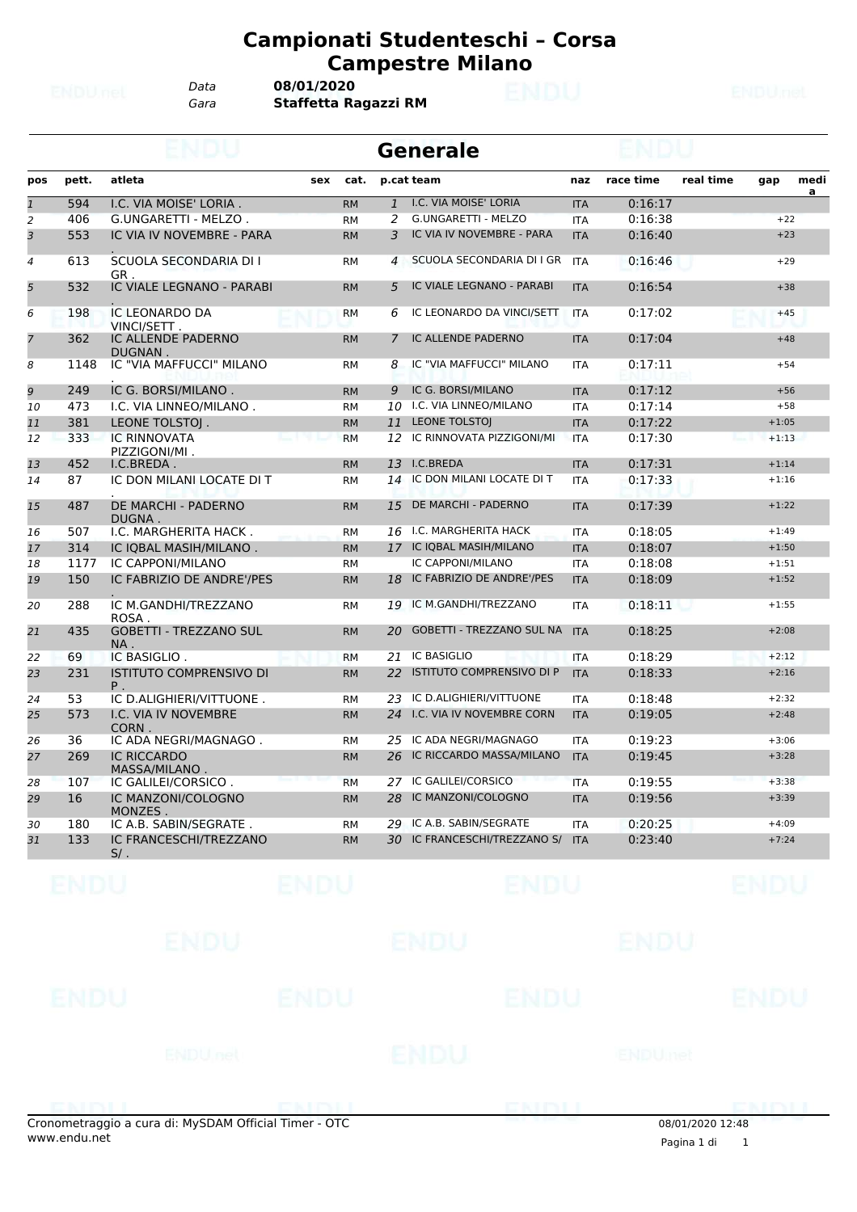*Data* **08/01/2020**

*Gara* **Staffetta Ragazzi RM**

|                          |       |                                      |     |           |                | <b>Generale</b>               |            |           |           |         |           |
|--------------------------|-------|--------------------------------------|-----|-----------|----------------|-------------------------------|------------|-----------|-----------|---------|-----------|
| pos                      | pett. | atleta                               | sex | cat.      |                | p.cat team                    | naz        | race time | real time | gap     | medi<br>a |
| $\overline{1}$           | 594   | I.C. VIA MOISE' LORIA.               |     | <b>RM</b> | $\mathbf{1}$   | I.C. VIA MOISE' LORIA         | <b>ITA</b> | 0:16:17   |           |         |           |
| $\overline{c}$           | 406   | G.UNGARETTI - MELZO.                 |     | <b>RM</b> | 2              | <b>G.UNGARETTI - MELZO</b>    | <b>ITA</b> | 0:16:38   |           | $+22$   |           |
| 3                        | 553   | IC VIA IV NOVEMBRE - PARA            |     | <b>RM</b> | 3              | IC VIA IV NOVEMBRE - PARA     | <b>ITA</b> | 0:16:40   |           | $+23$   |           |
| $\overline{\mathcal{A}}$ | 613   | SCUOLA SECONDARIA DI I<br>GR.        |     | <b>RM</b> | $\overline{4}$ | SCUOLA SECONDARIA DI I GR     | <b>ITA</b> | 0:16:46   |           | $+29$   |           |
| 5                        | 532   | IC VIALE LEGNANO - PARABI            |     | <b>RM</b> | 5              | IC VIALE LEGNANO - PARABI     | <b>ITA</b> | 0:16:54   |           | $+38$   |           |
| 6                        | 198   | IC LEONARDO DA<br>VINCI/SETT.        |     | <b>RM</b> | 6              | IC LEONARDO DA VINCI/SETT     | <b>ITA</b> | 0:17:02   |           | $+45$   |           |
| $\overline{7}$           | 362   | IC ALLENDE PADERNO<br>DUGNAN.        |     | <b>RM</b> | 7              | IC ALLENDE PADERNO            | <b>ITA</b> | 0:17:04   |           | $+48$   |           |
| 8                        | 1148  | IC "VIA MAFFUCCI" MILANO             |     | <b>RM</b> | 8              | IC "VIA MAFFUCCI" MILANO      | <b>ITA</b> | 0:17:11   |           | $+54$   |           |
| 9                        | 249   | IC G. BORSI/MILANO.                  |     | <b>RM</b> | 9              | IC G. BORSI/MILANO            | <b>ITA</b> | 0:17:12   |           | $+56$   |           |
| 10                       | 473   | I.C. VIA LINNEO/MILANO.              |     | <b>RM</b> | 10             | I.C. VIA LINNEO/MILANO        | <b>ITA</b> | 0:17:14   |           | $+58$   |           |
| 11                       | 381   | LEONE TOLSTOJ.                       |     | <b>RM</b> | 11             | <b>LEONE TOLSTOJ</b>          | <b>ITA</b> | 0:17:22   |           | $+1:05$ |           |
| 12                       | 333   | <b>IC RINNOVATA</b><br>PIZZIGONI/MI. |     | <b>RM</b> | 12             | IC RINNOVATA PIZZIGONI/MI     | <b>ITA</b> | 0:17:30   |           | $+1:13$ |           |
| 13                       | 452   | I.C.BREDA.                           |     | <b>RM</b> | 13             | I.C.BREDA                     | <b>ITA</b> | 0:17:31   |           | $+1:14$ |           |
| 14                       | 87    | IC DON MILANI LOCATE DI T            |     | <b>RM</b> | 14             | IC DON MILANI LOCATE DI T     | <b>ITA</b> | 0:17:33   |           | $+1:16$ |           |
| 15                       | 487   | DE MARCHI - PADERNO<br>DUGNA.        |     | <b>RM</b> | 15             | DE MARCHI - PADERNO           | <b>ITA</b> | 0:17:39   |           | $+1:22$ |           |
| 16                       | 507   | I.C. MARGHERITA HACK.                |     | <b>RM</b> | 16             | I.C. MARGHERITA HACK          | <b>ITA</b> | 0:18:05   |           | $+1:49$ |           |
| 17                       | 314   | IC IQBAL MASIH/MILANO.               |     | <b>RM</b> | 17             | IC IQBAL MASIH/MILANO         | <b>ITA</b> | 0:18:07   |           | $+1:50$ |           |
| 18                       | 1177  | IC CAPPONI/MILANO                    |     | <b>RM</b> |                | IC CAPPONI/MILANO             | <b>ITA</b> | 0:18:08   |           | $+1:51$ |           |
| 19                       | 150   | IC FABRIZIO DE ANDRE'/PES            |     | <b>RM</b> | 18             | IC FABRIZIO DE ANDRE'/PES     | <b>ITA</b> | 0:18:09   |           | $+1:52$ |           |
| 20                       | 288   | IC M.GANDHI/TREZZANO<br>ROSA.        |     | <b>RM</b> | 19             | IC M.GANDHI/TREZZANO          | <b>ITA</b> | 0:18:11   |           | $+1:55$ |           |
| 21                       | 435   | <b>GOBETTI - TREZZANO SUL</b><br>NA. |     | <b>RM</b> | 20             | GOBETTI - TREZZANO SUL NA ITA |            | 0:18:25   |           | $+2:08$ |           |
| 22                       | 69    | IC BASIGLIO.                         |     | <b>RM</b> | 21             | IC BASIGLIO                   | <b>ITA</b> | 0:18:29   |           | $+2:12$ |           |
| 23                       | 231   | <b>ISTITUTO COMPRENSIVO DI</b><br>Ρ. |     | <b>RM</b> | 22             | ISTITUTO COMPRENSIVO DI P     | <b>ITA</b> | 0:18:33   |           | $+2:16$ |           |
| 24                       | 53    | IC D.ALIGHIERI/VITTUONE.             |     | <b>RM</b> | 23             | IC D.ALIGHIERI/VITTUONE       | <b>ITA</b> | 0:18:48   |           | $+2:32$ |           |
| 25                       | 573   | I.C. VIA IV NOVEMBRE<br>CORN.        |     | <b>RM</b> | 24             | I.C. VIA IV NOVEMBRE CORN     | <b>ITA</b> | 0:19:05   |           | $+2:48$ |           |
| 26                       | 36    | IC ADA NEGRI/MAGNAGO.                |     | <b>RM</b> | 25             | IC ADA NEGRI/MAGNAGO          | <b>ITA</b> | 0:19:23   |           | $+3:06$ |           |
| 27                       | 269   | <b>IC RICCARDO</b><br>MASSA/MILANO.  |     | <b>RM</b> | 26             | IC RICCARDO MASSA/MILANO      | <b>ITA</b> | 0:19:45   |           | $+3:28$ |           |
| 28                       | 107   | IC GALILEI/CORSICO.                  |     | <b>RM</b> | 27             | IC GALILEI/CORSICO            | <b>ITA</b> | 0:19:55   |           | $+3:38$ |           |
| 29                       | 16    | IC MANZONI/COLOGNO<br>MONZES.        |     | <b>RM</b> | 28             | IC MANZONI/COLOGNO            | <b>ITA</b> | 0:19:56   |           | $+3:39$ |           |
| 30                       | 180   | IC A.B. SABIN/SEGRATE.               |     | <b>RM</b> | 29             | IC A.B. SABIN/SEGRATE         | <b>ITA</b> | 0:20:25   |           | $+4:09$ |           |
| 31                       | 133   | IC FRANCESCHI/TREZZANO<br>$5/$ .     |     | <b>RM</b> | 30.            | IC FRANCESCHI/TREZZANO S/     | <b>ITA</b> | 0:23:40   |           | $+7:24$ |           |

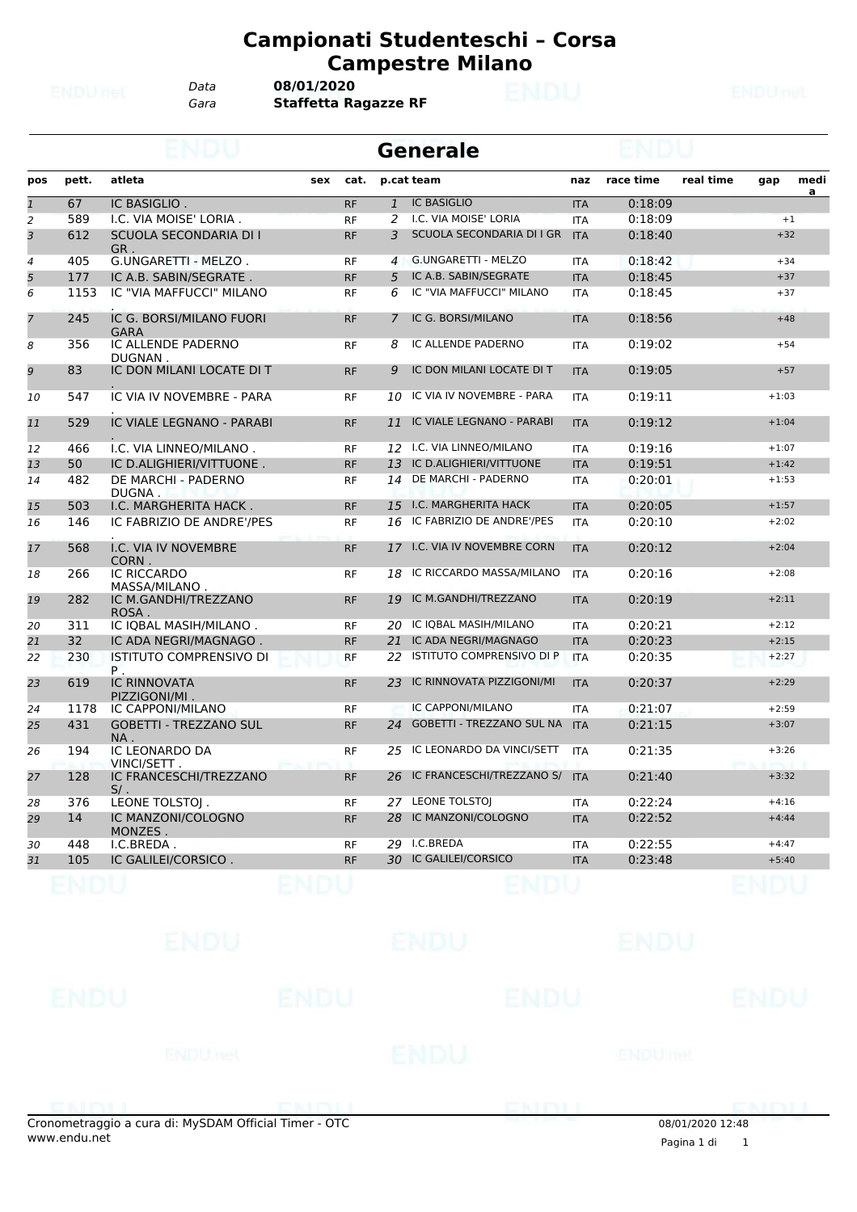*Data* **08/01/2020**

*Gara* **Staffetta Ragazze RF**

|                |       |                                         |             |                | <b>Generale</b>                  |            |           |           |         |                        |
|----------------|-------|-----------------------------------------|-------------|----------------|----------------------------------|------------|-----------|-----------|---------|------------------------|
| pos            | pett. | atleta                                  | cat.<br>sex |                | p.cat team                       | naz        | race time | real time | gap     | medi<br>$\overline{a}$ |
| $\overline{1}$ | 67    | IC BASIGLIO.                            | <b>RF</b>   | $\mathbf{1}$   | <b>IC BASIGLIO</b>               | <b>ITA</b> | 0:18:09   |           |         |                        |
| $\overline{a}$ | 589   | I.C. VIA MOISE' LORIA.                  | <b>RF</b>   | 2              | I.C. VIA MOISE' LORIA            | <b>ITA</b> | 0:18:09   |           |         | $+1$                   |
| 3              | 612   | SCUOLA SECONDARIA DI I<br>GR.           | <b>RF</b>   | 3              | SCUOLA SECONDARIA DI I GR        | <b>ITA</b> | 0:18:40   |           | $+32$   |                        |
| $\overline{4}$ | 405   | G.UNGARETTI - MELZO.                    | <b>RF</b>   | $\overline{4}$ | G.UNGARETTI - MELZO              | <b>ITA</b> | 0:18:42   |           | $+34$   |                        |
| 5              | 177   | IC A.B. SABIN/SEGRATE.                  | <b>RF</b>   | 5              | IC A.B. SABIN/SEGRATE            | <b>ITA</b> | 0:18:45   |           | $+37$   |                        |
| 6              | 1153  | IC "VIA MAFFUCCI" MILANO                | <b>RF</b>   | 6              | IC "VIA MAFFUCCI" MILANO         | <b>ITA</b> | 0:18:45   |           | $+37$   |                        |
| $\overline{7}$ | 245   | IC G. BORSI/MILANO FUORI<br><b>GARA</b> | <b>RF</b>   | 7              | IC G. BORSI/MILANO               | <b>ITA</b> | 0:18:56   |           | $+48$   |                        |
| 8              | 356   | IC ALLENDE PADERNO<br>DUGNAN.           | <b>RF</b>   | 8              | IC ALLENDE PADERNO               | <b>ITA</b> | 0:19:02   |           | $+54$   |                        |
| 9              | 83    | IC DON MILANI LOCATE DI T               | <b>RF</b>   | 9              | IC DON MILANI LOCATE DI T        | <b>ITA</b> | 0:19:05   |           | $+57$   |                        |
| 10             | 547   | IC VIA IV NOVEMBRE - PARA               | <b>RF</b>   | 10             | IC VIA IV NOVEMBRE - PARA        | <b>ITA</b> | 0:19:11   |           | $+1:03$ |                        |
| 11             | 529   | IC VIALE LEGNANO - PARABI               | <b>RF</b>   | 11             | IC VIALE LEGNANO - PARABI        | <b>ITA</b> | 0:19:12   |           | $+1:04$ |                        |
| 12             | 466   | I.C. VIA LINNEO/MILANO.                 | <b>RF</b>   | 12             | I.C. VIA LINNEO/MILANO           | <b>ITA</b> | 0:19:16   |           | $+1:07$ |                        |
| 13             | 50    | IC D.ALIGHIERI/VITTUONE.                | <b>RF</b>   | 13             | IC D.ALIGHIERI/VITTUONE          | <b>ITA</b> | 0:19:51   |           | $+1:42$ |                        |
| 14             | 482   | DE MARCHI - PADERNO<br>DUGNA.           | <b>RF</b>   | 14             | DE MARCHI - PADERNO              | <b>ITA</b> | 0:20:01   |           | $+1:53$ |                        |
| 15             | 503   | I.C. MARGHERITA HACK.                   | <b>RF</b>   | 15             | I.C. MARGHERITA HACK             | <b>ITA</b> | 0:20:05   |           | $+1:57$ |                        |
| 16             | 146   | IC FABRIZIO DE ANDRE'/PES               | <b>RF</b>   | 16             | IC FABRIZIO DE ANDRE'/PES        | <b>ITA</b> | 0:20:10   |           | $+2:02$ |                        |
| 17             | 568   | I.C. VIA IV NOVEMBRE<br>CORN.           | <b>RF</b>   | 17             | <b>I.C. VIA IV NOVEMBRE CORN</b> | <b>ITA</b> | 0:20:12   |           | $+2:04$ |                        |
| 18             | 266   | <b>IC RICCARDO</b><br>MASSA/MILANO.     | <b>RF</b>   | 18             | IC RICCARDO MASSA/MILANO         | <b>ITA</b> | 0:20:16   |           | $+2:08$ |                        |
| 19             | 282   | IC M.GANDHI/TREZZANO<br>ROSA.           | <b>RF</b>   | 19             | IC M.GANDHI/TREZZANO             | <b>ITA</b> | 0:20:19   |           | $+2:11$ |                        |
| 20             | 311   | IC IOBAL MASIH/MILANO.                  | <b>RF</b>   | 20             | IC IQBAL MASIH/MILANO            | <b>ITA</b> | 0:20:21   |           | $+2:12$ |                        |
| 21             | 32    | IC ADA NEGRI/MAGNAGO.                   | <b>RF</b>   | 21             | IC ADA NEGRI/MAGNAGO             | <b>ITA</b> | 0:20:23   |           | $+2:15$ |                        |
| 22             | 230   | <b>ISTITUTO COMPRENSIVO DI</b><br>Ρ.    | <b>RF</b>   | 22             | ISTITUTO COMPRENSIVO DI P        | <b>ITA</b> | 0:20:35   |           | $+2:27$ |                        |
| 23             | 619   | <b>IC RINNOVATA</b><br>PIZZIGONI/MI.    | <b>RF</b>   | 23             | IC RINNOVATA PIZZIGONI/MI        | <b>ITA</b> | 0:20:37   |           | $+2:29$ |                        |
| 24             | 1178  | IC CAPPONI/MILANO                       | <b>RF</b>   |                | IC CAPPONI/MILANO                | <b>ITA</b> | 0:21:07   |           | $+2:59$ |                        |
| 25             | 431   | <b>GOBETTI - TREZZANO SUL</b><br>NA.    | <b>RF</b>   | 24             | <b>GOBETTI - TREZZANO SUL NA</b> | <b>ITA</b> | 0:21:15   |           | $+3:07$ |                        |
| 26             | 194   | IC LEONARDO DA<br>VINCI/SETT.           | <b>RF</b>   | 25             | IC LEONARDO DA VINCI/SETT        | <b>ITA</b> | 0:21:35   |           | $+3:26$ |                        |
| 27             | 128   | IC FRANCESCHI/TREZZANO<br>S/L           | <b>RF</b>   | 26             | IC FRANCESCHI/TREZZANO S/        | <b>ITA</b> | 0:21:40   |           | $+3:32$ |                        |
| 28             | 376   | LEONE TOLSTOI.                          | <b>RF</b>   | 27             | <b>LEONE TOLSTOI</b>             | <b>ITA</b> | 0:22:24   |           | $+4:16$ |                        |
| 29             | 14    | IC MANZONI/COLOGNO<br>MONZES.           | <b>RF</b>   | 28             | IC MANZONI/COLOGNO               | <b>ITA</b> | 0:22:52   |           | $+4:44$ |                        |
| 30             | 448   | I.C.BREDA.                              | <b>RF</b>   | 29             | I.C.BREDA                        | <b>ITA</b> | 0:22:55   |           | $+4:47$ |                        |
| 31             | 105   | IC GALILEI/CORSICO.                     | <b>RF</b>   |                | 30 IC GALILEI/CORSICO            | <b>ITA</b> | 0:23:48   |           | $+5:40$ |                        |
|                |       |                                         |             |                |                                  |            |           |           |         |                        |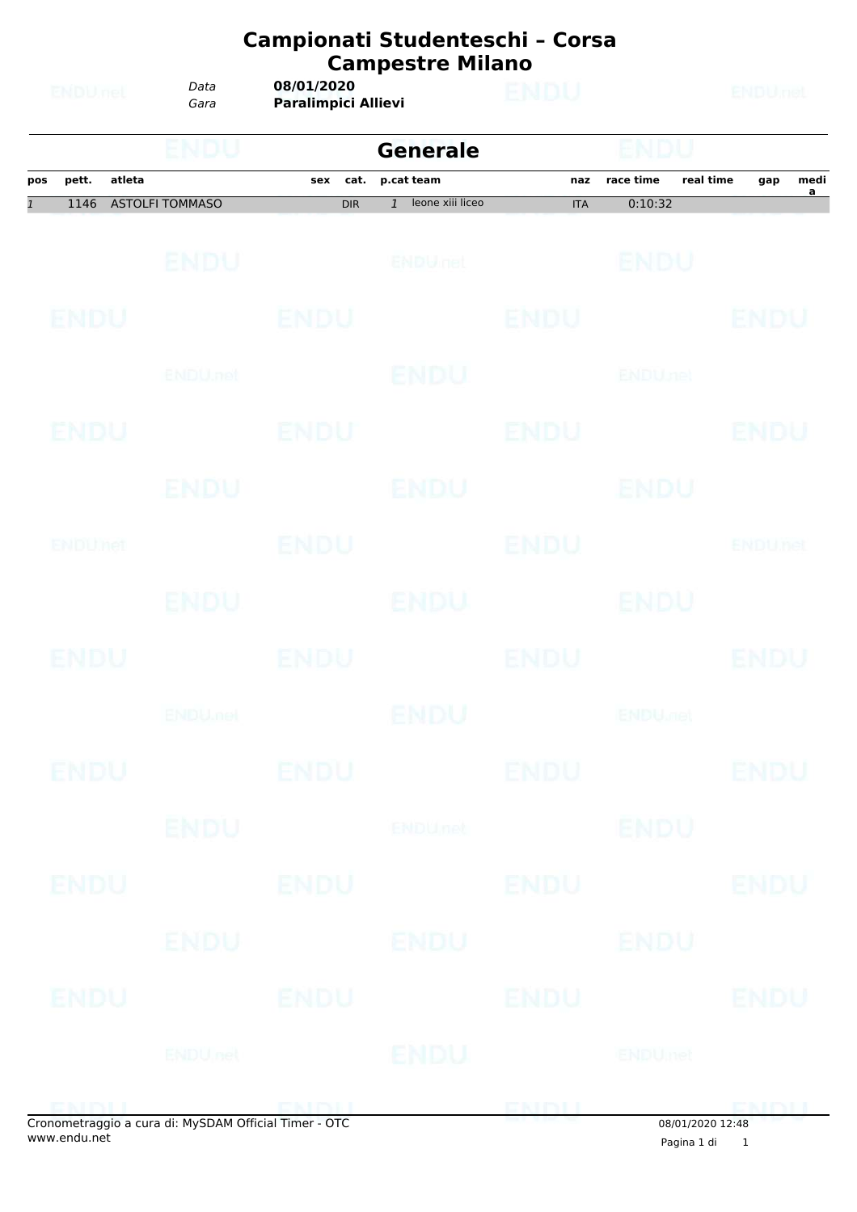|                |             |        | Data                   | 08/01/2020                 | Campionati Studenteschi - Corsa<br><b>Campestre Milano</b> | ENDU        |                           | <b>ENDU<sub>nel</sub></b> |               |           |  |  |
|----------------|-------------|--------|------------------------|----------------------------|------------------------------------------------------------|-------------|---------------------------|---------------------------|---------------|-----------|--|--|
|                | ENDUnet     |        | Gara                   | <b>Paralimpici Allievi</b> |                                                            |             |                           |                           |               |           |  |  |
|                |             |        | ENDU                   |                            | <b>Generale</b>                                            |             | nuu                       |                           |               |           |  |  |
| pos            | pett.       | atleta | <b>ASTOLFI TOMMASO</b> | cat.<br>sex                | p.cat team<br>leone xiii liceo                             | naz         | race time                 | real time                 | gap           | medi<br>a |  |  |
| $\overline{1}$ | 1146        |        |                        | <b>DIR</b>                 | $\mathbf{1}$                                               | <b>ITA</b>  | 0:10:32                   |                           |               |           |  |  |
|                |             |        | <b>ENDU</b>            |                            | ENDULTEL                                                   |             | ENDU                      |                           |               |           |  |  |
|                | ENDU        |        |                        | <b>ENDU</b>                |                                                            | ENDU        |                           |                           | ENDU          |           |  |  |
|                |             |        | ENDU.net               |                            | ENDU                                                       |             | <b>ENDUnet</b>            |                           |               |           |  |  |
|                | ENDU        |        |                        | ENDU                       |                                                            | ENDU        |                           |                           | ENDU          |           |  |  |
|                |             |        | ENDU                   |                            | <b>ENDU</b>                                                |             | ENDU                      |                           |               |           |  |  |
|                | ENDUMet     |        |                        | ENDU                       |                                                            | ENDU        |                           |                           | ENDUMet       |           |  |  |
|                |             |        | ENDU.                  |                            | ENDU                                                       |             | ENDU                      |                           |               |           |  |  |
|                | ENDU        |        |                        | ENDU                       |                                                            | ENDU        |                           |                           | ENDU          |           |  |  |
|                |             |        | <b>ENDUmet</b>         |                            | <b>ENDU</b>                                                |             | <b>ENDU<sub>CIO</sub></b> |                           |               |           |  |  |
|                | <b>ENDU</b> |        |                        | <b>ENDU</b>                |                                                            | <b>ENDU</b> |                           |                           | <b>ENDU</b>   |           |  |  |
|                |             |        | ENDU                   |                            | ENDUnet                                                    |             | <b>ENDU</b>               |                           |               |           |  |  |
|                | ENDU        |        |                        | <b>ENDU</b>                |                                                            | <b>ENDU</b> |                           |                           | <b>ENDU</b>   |           |  |  |
|                |             |        | ENDU                   |                            | ENDU                                                       |             | ENDU                      |                           |               |           |  |  |
|                | ENDU        |        |                        | <b>ENDU</b>                |                                                            | <b>ENDU</b> |                           |                           | <b>ENDU</b>   |           |  |  |
|                |             |        | <b>ENDUnet</b>         |                            | <b>ENDU</b>                                                |             | <b>ENDUmet</b>            |                           |               |           |  |  |
|                | ENTINIT     |        |                        | ENDIL                      |                                                            | ENDL        |                           |                           | <b>CKINLI</b> |           |  |  |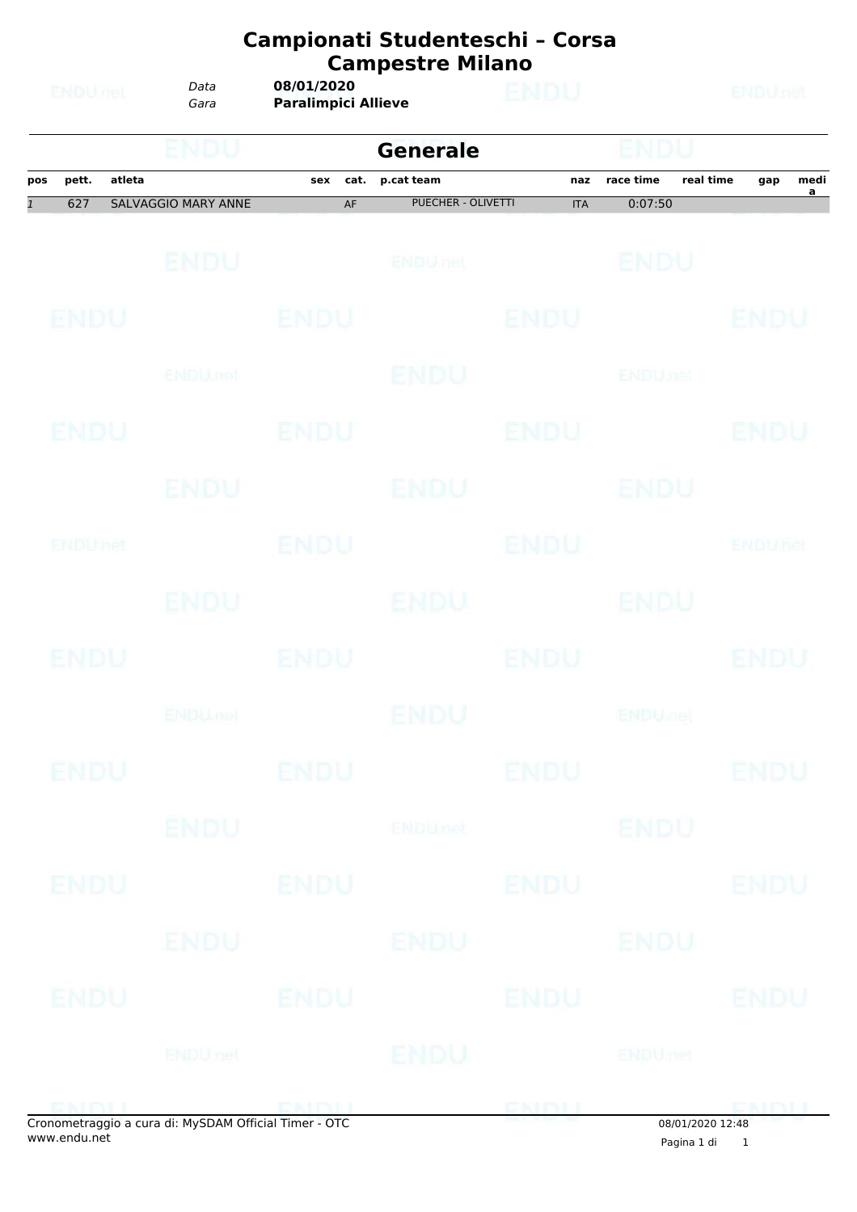|                       | ENDUnet      |        | Data                       | 08/01/2020                 | Campionati Studenteschi - Corsa<br><b>Campestre Milano</b> | <b>ENDU</b>       |                           |           | <b>ENDU<sub>nel</sub></b> |           |
|-----------------------|--------------|--------|----------------------------|----------------------------|------------------------------------------------------------|-------------------|---------------------------|-----------|---------------------------|-----------|
|                       |              |        | Gara                       | <b>Paralimpici Allieve</b> |                                                            |                   |                           |           |                           |           |
|                       |              |        | ENDU                       |                            | <b>Generale</b>                                            |                   | endu                      |           |                           |           |
| pos<br>$\overline{1}$ | pett.<br>627 | atleta | <b>SALVAGGIO MARY ANNE</b> | sex<br>cat.<br>AF          | p.cat team<br><b>PUECHER - OLIVETTI</b>                    | naz<br><b>ITA</b> | race time<br>0:07:50      | real time | gap                       | medi<br>a |
|                       |              |        | ENDU                       |                            | <b>ENDULIEL</b>                                            |                   | ENDU                      |           |                           |           |
|                       | ENDU         |        |                            | <b>ENDU</b>                |                                                            | ENDU              |                           |           | ENDU                      |           |
|                       |              |        | ENDU, nel                  |                            | ENDU                                                       |                   | <b>ENDUnet</b>            |           |                           |           |
|                       | ENDU         |        |                            | ENDU                       |                                                            | ENDU              |                           |           | ENDU                      |           |
|                       |              |        | ENDU                       |                            | ENDU                                                       |                   | ENDU                      |           |                           |           |
|                       | ENDUMet      |        |                            | ENDU                       |                                                            | ENDU              |                           |           | ENDUnet                   |           |
|                       |              |        | <b>ENDU</b>                |                            | ENDU                                                       |                   | ENDU                      |           |                           |           |
|                       | ENDU         |        |                            | ENDU                       |                                                            | ENDU              |                           |           | ENDU                      |           |
|                       |              |        | <b>ENDUmet</b>             |                            | ENDU                                                       |                   | <b>ENDU<sub>DER</sub></b> |           |                           |           |
|                       | <b>ENDU</b>  |        |                            | <b>ENDU</b>                |                                                            | <b>ENDU</b>       |                           |           | <b>ENDU</b>               |           |
|                       |              |        | <b>ENDU</b>                |                            | <b>ENDUnet</b>                                             |                   | <b>ENDU</b>               |           |                           |           |
|                       | ENDU         |        |                            | <b>ENDU</b>                |                                                            | <b>ENDU</b>       |                           |           | <b>ENDU</b>               |           |
|                       |              |        | ENDU                       |                            | ENDU                                                       |                   | ENDU                      |           |                           |           |
|                       | ENDU         |        |                            | <b>ENDU</b>                |                                                            | <b>ENDU</b>       |                           |           | <b>ENDU</b>               |           |
|                       |              |        | <b>ENDUnet</b>             |                            | ENDU                                                       |                   | <b>ENDUmet</b>            |           |                           |           |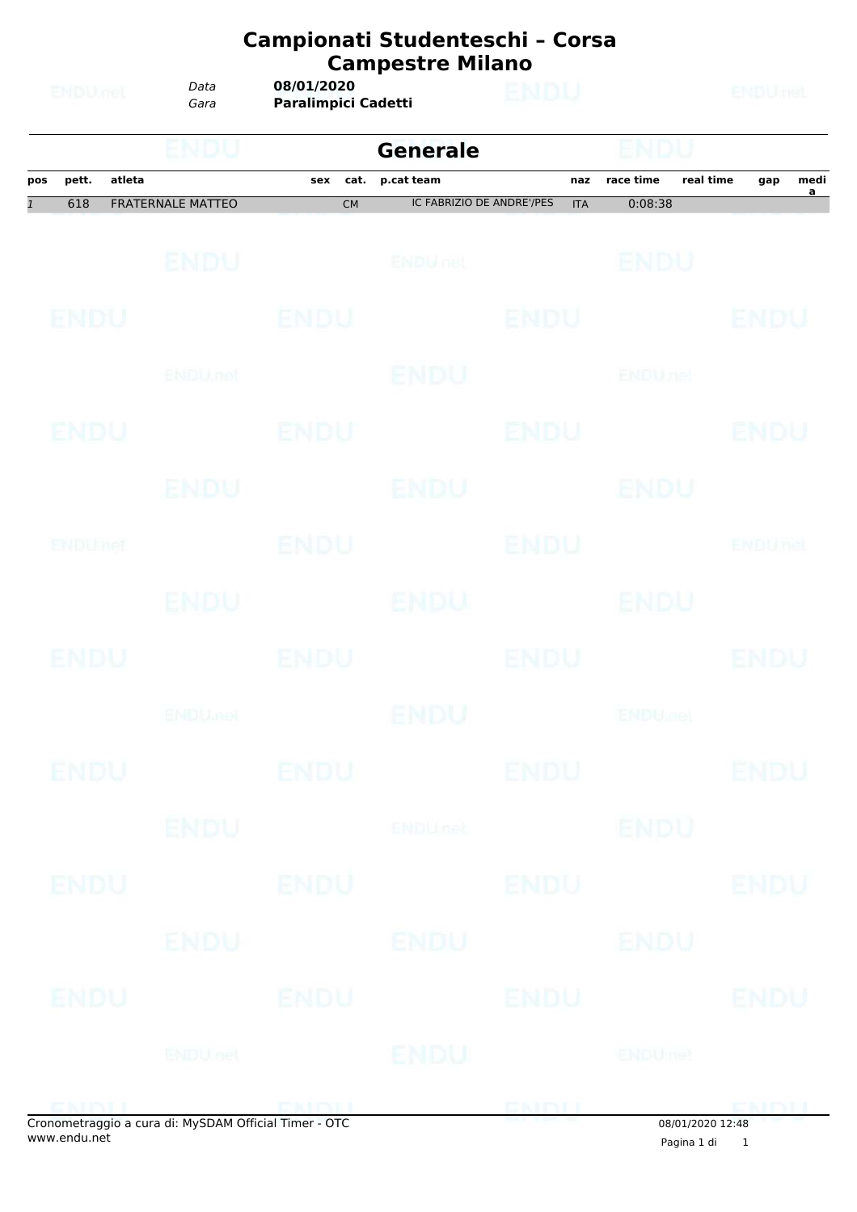|                |             |        |                          |             | Campionati Studenteschi - Corsa<br><b>Campestre Milano</b> |             |                           |           |                |                        |
|----------------|-------------|--------|--------------------------|-------------|------------------------------------------------------------|-------------|---------------------------|-----------|----------------|------------------------|
|                | ENDUnet     |        | Data<br>Gara             |             | <b>ENDU<sub>nel</sub></b>                                  |             |                           |           |                |                        |
|                |             |        | ENDU                     |             | <b>Generale</b>                                            |             | ENDU                      |           |                |                        |
| pos            | pett.       | atleta |                          | cat.<br>sex | p.cat team                                                 | naz         | race time                 | real time | gap            | medi<br>$\overline{a}$ |
| $\overline{1}$ | 618         |        | <b>FRATERNALE MATTEO</b> | <b>CM</b>   | <b>IC FABRIZIO DE ANDRE'/PES</b>                           | <b>ITA</b>  | 0:08:38                   |           |                |                        |
|                |             |        | ENDU                     |             | <b>ENDULIEL</b>                                            |             | ENDU                      |           |                |                        |
|                | ENDU        |        |                          | ENDU        |                                                            | ENDU        |                           |           | ENDU           |                        |
|                |             |        | ENDU.net                 |             | ENDU                                                       |             | <b>ENDUnet</b>            |           |                |                        |
|                | ENDU        |        |                          | ENDU        |                                                            | ENDU        |                           |           | ENDU           |                        |
|                |             |        | ENDU                     |             | ENDU                                                       |             | ENDU                      |           |                |                        |
|                | ENDUMet     |        |                          | ENDU        |                                                            | ENDU        |                           |           | <b>ENDUMet</b> |                        |
|                |             |        | <b>ENDU</b>              |             | ENDU                                                       |             | ENDU                      |           |                |                        |
|                | <b>ENDU</b> |        |                          | ENDU        |                                                            | ENDU        |                           |           | ENDU           |                        |
|                |             |        | <b>ENDUmet</b>           |             | ENDU                                                       |             | <b>ENDU<sub>DER</sub></b> |           |                |                        |
|                | <b>ENDU</b> |        |                          | <b>ENDU</b> |                                                            | <b>ENDU</b> |                           |           | <b>ENDU</b>    |                        |
|                |             |        | <b>ENDU</b>              |             | <b>ENDUnet</b>                                             |             | <b>ENDU</b>               |           |                |                        |
|                | ENDU        |        |                          | <b>ENDU</b> |                                                            | <b>ENDU</b> |                           |           | <b>ENDU</b>    |                        |
|                |             |        | ENDU                     |             | ENDU                                                       |             | ENDU                      |           |                |                        |
|                | ENDU        |        |                          | <b>ENDU</b> |                                                            | <b>ENDU</b> |                           |           | <b>ENDU</b>    |                        |
|                |             |        | <b>ENDUnet</b>           |             | <b>ENDU</b>                                                |             | <b>ENDUmet</b>            |           |                |                        |
|                |             |        |                          |             |                                                            |             |                           |           |                |                        |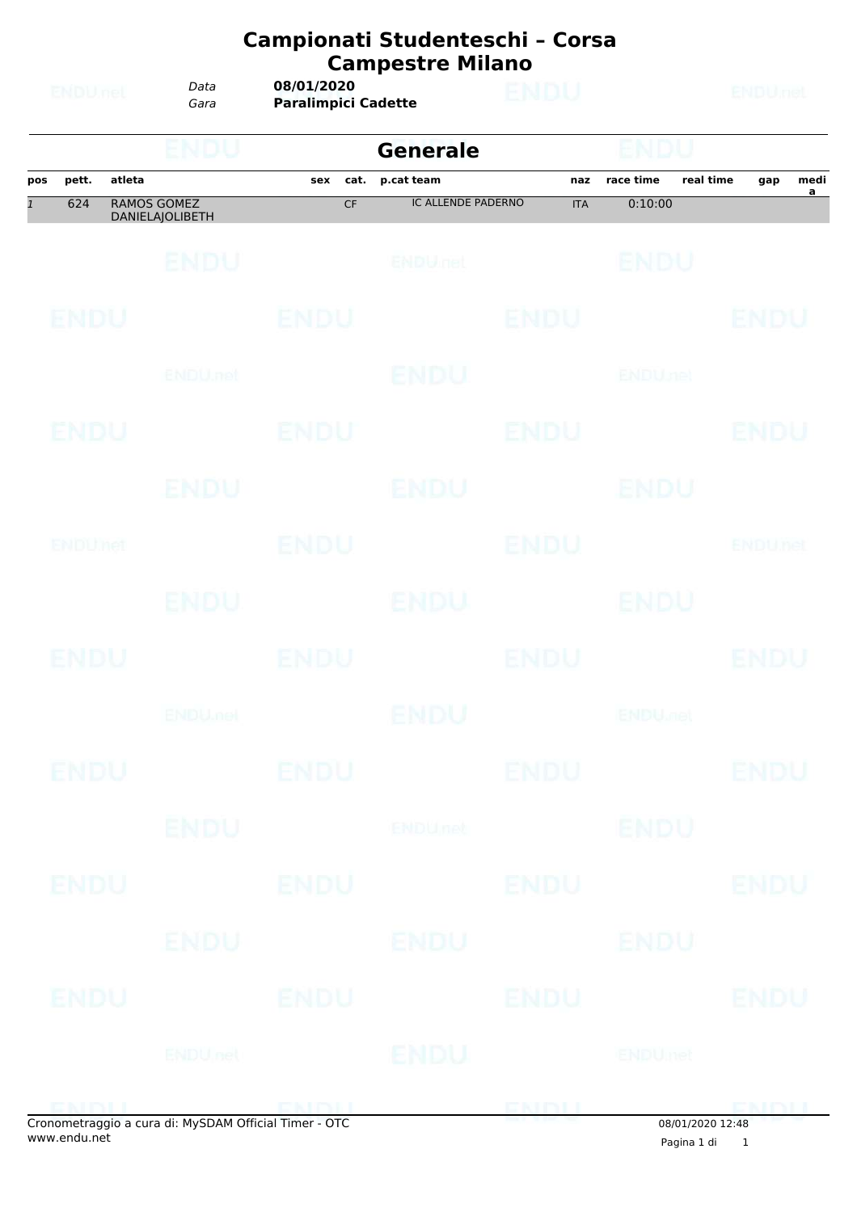|              |             |        | ENDU                                  |             | <b>Generale</b>           |             |                 |           |              |           |
|--------------|-------------|--------|---------------------------------------|-------------|---------------------------|-------------|-----------------|-----------|--------------|-----------|
| pos          | pett.       | atleta |                                       | cat.<br>sex | p.cat team                | naz         | race time       | real time | gap          | medi<br>a |
| $\mathbf{1}$ | 624         |        | <b>RAMOS GOMEZ</b><br>DANIELAJOLIBETH | CF          | <b>IC ALLENDE PADERNO</b> | <b>ITA</b>  | 0:10:00         |           |              |           |
|              |             |        | <b>ENDU</b>                           |             | ENDULTEL                  |             | ENDU            |           |              |           |
|              | <b>ENDU</b> |        |                                       | <b>ENDU</b> |                           | <b>ENDU</b> |                 |           | ENDU         |           |
|              |             |        | <b>ENDU</b> net                       |             | ENDU                      |             | <b>ENDUnet</b>  |           |              |           |
|              | ENDU        |        |                                       | ENDU        |                           | <b>ENDU</b> |                 |           | ENDU         |           |
|              |             |        | ENDU                                  |             | <b>ENDU</b>               |             | ENDU            |           |              |           |
|              | ENDUMet     |        |                                       | ENDU        |                           | <b>ENDU</b> |                 |           | ENDUnet      |           |
|              |             |        | ENDU.                                 |             | ENDU                      |             | ENDU            |           |              |           |
|              | <b>ENDU</b> |        |                                       | <b>ENDU</b> |                           | <b>ENDU</b> |                 |           | ENDU         |           |
|              |             |        | <b>ENDUmet</b>                        |             | <b>ENDU</b>               |             | <b>ENDULIBI</b> |           |              |           |
|              | ENDU        |        |                                       | ENDU        |                           | <b>ENDU</b> |                 |           | ENDU         |           |
|              |             |        | <b>ENDU</b>                           |             | ENDUnet                   |             | <b>ENDU</b>     |           |              |           |
|              | <b>ENDU</b> |        |                                       | <b>ENDU</b> |                           | <b>ENDU</b> |                 |           | <b>ENDU</b>  |           |
|              |             |        | ENDU                                  |             | ENDU                      |             | ENDU            |           |              |           |
|              | ENDU        |        |                                       | <b>ENDU</b> |                           | <b>ENDU</b> |                 |           | <b>ENDU</b>  |           |
|              |             |        | <b>ENDU</b> nel                       |             | ENDU                      |             | <b>ENDUmet</b>  |           |              |           |
|              | ENIBILI     |        |                                       | ENDIL       |                           | ENDIJ       |                 |           | <b>CMDII</b> |           |